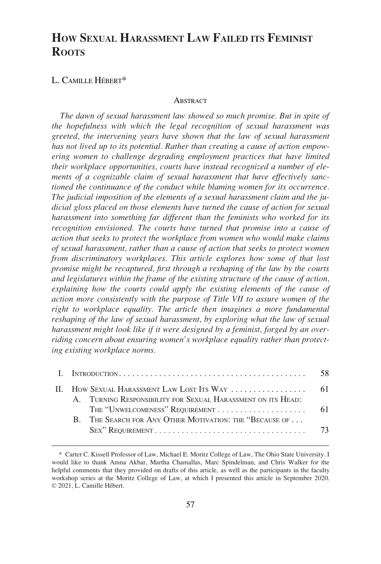# **HOW SEXUAL HARASSMENT LAW FAILED ITS FEMINIST ROOTS**

## L. CAMILLE HÉBERT\*

#### **ABSTRACT**

*The dawn of sexual harassment law showed so much promise. But in spite of the hopefulness with which the legal recognition of sexual harassment was greeted, the intervening years have shown that the law of sexual harassment has not lived up to its potential. Rather than creating a cause of action empowering women to challenge degrading employment practices that have limited their workplace opportunities, courts have instead recognized a number of elements of a cognizable claim of sexual harassment that have effectively sanctioned the continuance of the conduct while blaming women for its occurrence. The judicial imposition of the elements of a sexual harassment claim and the judicial gloss placed on those elements have turned the cause of action for sexual harassment into something far different than the feminists who worked for its recognition envisioned. The courts have turned that promise into a cause of action that seeks to protect the workplace from women who would make claims of sexual harassment, rather than a cause of action that seeks to protect women from discriminatory workplaces. This article explores how some of that lost promise might be recaptured, first through a reshaping of the law by the courts and legislatures within the frame of the existing structure of the cause of action, explaining how the courts could apply the existing elements of the cause of action more consistently with the purpose of Title VII to assure women of the right to workplace equality. The article then imagines a more fundamental reshaping of the law of sexual harassment, by exploring what the law of sexual harassment might look like if it were designed by a feminist, forged by an overriding concern about ensuring women's workplace equality rather than protecting existing workplace norms.* 

|  |  |                                                              | 58. |
|--|--|--------------------------------------------------------------|-----|
|  |  |                                                              |     |
|  |  | A. TURNING RESPONSIBILITY FOR SEXUAL HARASSMENT ON ITS HEAD: |     |
|  |  |                                                              |     |
|  |  | B. THE SEARCH FOR ANY OTHER MOTIVATION: THE "BECAUSE OF      |     |
|  |  |                                                              |     |
|  |  |                                                              |     |

<sup>\*</sup> Carter C. Kissell Professor of Law, Michael E. Moritz College of Law, The Ohio State University. I would like to thank Amna Akbar, Martha Chamallas, Marc Spindelman, and Chris Walker for the helpful comments that they provided on drafts of this article, as well as the participants in the faculty workshop series at the Moritz College of Law, at which I presented this article in September 2020. © 2021, L. Camille Hébert.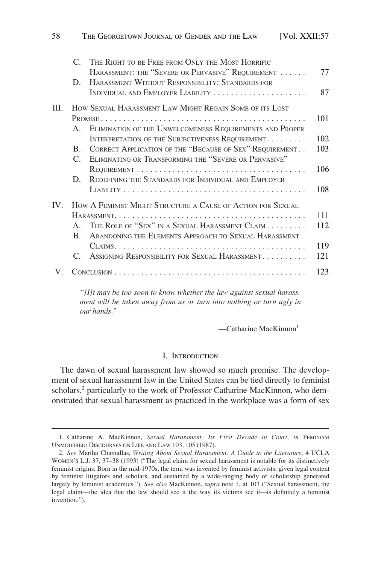<span id="page-1-0"></span>

|      | $\mathcal{C}$         | THE RIGHT TO BE FREE FROM ONLY THE MOST HORRIFIC            |     |
|------|-----------------------|-------------------------------------------------------------|-----|
|      |                       | HARASSMENT: THE "SEVERE OR PERVASIVE" REQUIREMENT           | 77  |
|      | D.                    | HARASSMENT WITHOUT RESPONSIBILITY: STANDARDS FOR            |     |
|      |                       |                                                             | 87  |
| III. |                       | HOW SEXUAL HARASSMENT LAW MIGHT REGAIN SOME OF ITS LOST     |     |
|      |                       |                                                             | 101 |
|      | $A_{\cdot}$           | ELIMINATION OF THE UNWELCOMENESS REQUIREMENTS AND PROPER    |     |
|      |                       | INTERPRETATION OF THE SUBJECTIVENESS REQUIREMENT            | 102 |
|      | $B_{\cdot}$           | CORRECT APPLICATION OF THE "BECAUSE OF SEX" REQUIREMENT     | 103 |
|      | $C_{\cdot}$           | ELIMINATING OR TRANSFORMING THE "SEVERE OR PERVASIVE"       |     |
|      |                       |                                                             | 106 |
|      | D.                    | REDEFINING THE STANDARDS FOR INDIVIDUAL AND EMPLOYER        |     |
|      |                       |                                                             | 108 |
| IV   |                       | HOW A FEMINIST MIGHT STRUCTURE A CAUSE OF ACTION FOR SEXUAL |     |
|      |                       |                                                             | 111 |
|      | $\mathbf{A}$          | THE ROLE OF "SEX" IN A SEXUAL HARASSMENT CLAIM              | 112 |
|      | B.                    | ABANDONING THE ELEMENTS APPROACH TO SEXUAL HARASSMENT       |     |
|      |                       |                                                             | 119 |
|      | $\mathcal{C}_{\cdot}$ | ASSIGNING RESPONSIBILITY FOR SEXUAL HARASSMENT              | 121 |
|      |                       |                                                             | 123 |
|      |                       |                                                             |     |

*"[I]t may be too soon to know whether the law against sexual harassment will be taken away from us or turn into nothing or turn ugly in our hands."* 

 $\sim$ Catharine MacKinnon<sup>1</sup>

#### I. INTRODUCTION

The dawn of sexual harassment law showed so much promise. The development of sexual harassment law in the United States can be tied directly to feminist scholars,<sup>2</sup> particularly to the work of Professor Catharine MacKinnon, who demonstrated that sexual harassment as practiced in the workplace was a form of sex

<sup>1.</sup> Catharine A. MacKinnon, *Sexual Harassment: Its First Decade in Court, in* FEMINISM UNMODIFIED: DISCOURSES ON LIFE AND LAW 103, 105 (1987).

<sup>2.</sup> *See* Martha Chamallas, *Writing About Sexual Harassment: A Guide to the Literature,* 4 UCLA WOMEN'S L.J. 37, 37–38 (1993) ("The legal claim for sexual harassment is notable for its distinctively feminist origins. Born in the mid-1970s, the term was invented by feminist activists, given legal content by feminist litigators and scholars, and sustained by a wide-ranging body of scholarship generated largely by feminist academics."). *See also* MacKinnon, *supra* note 1, at 103 ("Sexual harassment, the legal claim—the idea that the law should see it the way its victims see it—is definitely a feminist invention.").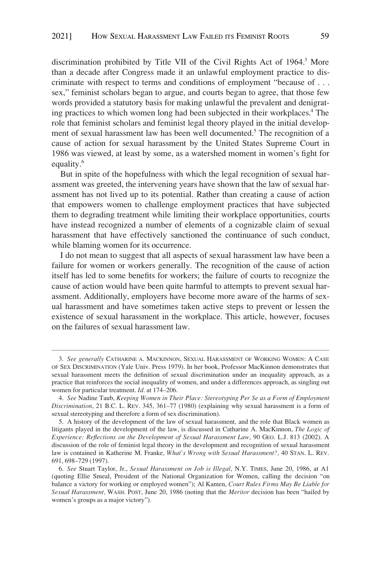discrimination prohibited by Title VII of the Civil Rights Act of 1964.<sup>3</sup> More than a decade after Congress made it an unlawful employment practice to discriminate with respect to terms and conditions of employment "because of . . . sex," feminist scholars began to argue, and courts began to agree, that those few words provided a statutory basis for making unlawful the prevalent and denigrating practices to which women long had been subjected in their workplaces.4 The role that feminist scholars and feminist legal theory played in the initial development of sexual harassment law has been well documented.<sup>5</sup> The recognition of a cause of action for sexual harassment by the United States Supreme Court in 1986 was viewed, at least by some, as a watershed moment in women's fight for equality.<sup>6</sup>

But in spite of the hopefulness with which the legal recognition of sexual harassment was greeted, the intervening years have shown that the law of sexual harassment has not lived up to its potential. Rather than creating a cause of action that empowers women to challenge employment practices that have subjected them to degrading treatment while limiting their workplace opportunities, courts have instead recognized a number of elements of a cognizable claim of sexual harassment that have effectively sanctioned the continuance of such conduct, while blaming women for its occurrence.

I do not mean to suggest that all aspects of sexual harassment law have been a failure for women or workers generally. The recognition of the cause of action itself has led to some benefits for workers; the failure of courts to recognize the cause of action would have been quite harmful to attempts to prevent sexual harassment. Additionally, employers have become more aware of the harms of sexual harassment and have sometimes taken active steps to prevent or lessen the existence of sexual harassment in the workplace. This article, however, focuses on the failures of sexual harassment law.

<sup>3.</sup> *See generally* CATHARINE A. MACKINNON, SEXUAL HARASSMENT OF WORKING WOMEN: A CASE OF SEX DISCRIMINATION (Yale Univ. Press 1979). In her book, Professor MacKinnon demonstrates that sexual harassment meets the definition of sexual discrimination under an inequality approach, as a practice that reinforces the social inequality of women, and under a differences approach, as singling out women for particular treatment. *Id.* at 174–206.

<sup>4.</sup> *See* Nadine Taub, *Keeping Women in Their Place: Stereotyping Per Se as a Form of Employment Discrimination*, 21 B.C. L. REV. 345, 361–77 (1980) (explaining why sexual harassment is a form of sexual stereotyping and therefore a form of sex discrimination).

<sup>5.</sup> A history of the development of the law of sexual harassment, and the role that Black women as litigants played in the development of the law, is discussed in Catharine A. MacKinnon, *The Logic of Experience: Reflections on the Development of Sexual Harassment Law*, 90 GEO. L.J. 813 (2002). A discussion of the role of feminist legal theory in the development and recognition of sexual harassment law is contained in Katherine M. Franke, *What's Wrong with Sexual Harassment?,* 40 STAN. L. REV. 691, 698–729 (1997).

<sup>6.</sup> *See* Stuart Taylor, Jr., *Sexual Harassment on Job is Illegal*, N.Y. TIMES, June 20, 1986, at A1 (quoting Ellie Smeal, President of the National Organization for Women, calling the decision "on balance a victory for working or employed women"); Al Kamen, *Court Rules Firms May Be Liable for Sexual Harassment,* WASH. POST, June 20, 1986 (noting that the *Meritor* decision has been "hailed by women's groups as a major victory").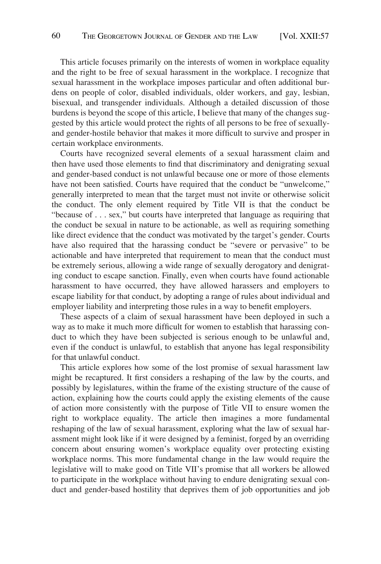This article focuses primarily on the interests of women in workplace equality and the right to be free of sexual harassment in the workplace. I recognize that sexual harassment in the workplace imposes particular and often additional burdens on people of color, disabled individuals, older workers, and gay, lesbian, bisexual, and transgender individuals. Although a detailed discussion of those burdens is beyond the scope of this article, I believe that many of the changes suggested by this article would protect the rights of all persons to be free of sexuallyand gender-hostile behavior that makes it more difficult to survive and prosper in certain workplace environments.

Courts have recognized several elements of a sexual harassment claim and then have used those elements to find that discriminatory and denigrating sexual and gender-based conduct is not unlawful because one or more of those elements have not been satisfied. Courts have required that the conduct be "unwelcome," generally interpreted to mean that the target must not invite or otherwise solicit the conduct. The only element required by Title VII is that the conduct be "because of . . . sex," but courts have interpreted that language as requiring that the conduct be sexual in nature to be actionable, as well as requiring something like direct evidence that the conduct was motivated by the target's gender. Courts have also required that the harassing conduct be "severe or pervasive" to be actionable and have interpreted that requirement to mean that the conduct must be extremely serious, allowing a wide range of sexually derogatory and denigrating conduct to escape sanction. Finally, even when courts have found actionable harassment to have occurred, they have allowed harassers and employers to escape liability for that conduct, by adopting a range of rules about individual and employer liability and interpreting those rules in a way to benefit employers.

These aspects of a claim of sexual harassment have been deployed in such a way as to make it much more difficult for women to establish that harassing conduct to which they have been subjected is serious enough to be unlawful and, even if the conduct is unlawful, to establish that anyone has legal responsibility for that unlawful conduct.

This article explores how some of the lost promise of sexual harassment law might be recaptured. It first considers a reshaping of the law by the courts, and possibly by legislatures, within the frame of the existing structure of the cause of action, explaining how the courts could apply the existing elements of the cause of action more consistently with the purpose of Title VII to ensure women the right to workplace equality. The article then imagines a more fundamental reshaping of the law of sexual harassment, exploring what the law of sexual harassment might look like if it were designed by a feminist, forged by an overriding concern about ensuring women's workplace equality over protecting existing workplace norms. This more fundamental change in the law would require the legislative will to make good on Title VII's promise that all workers be allowed to participate in the workplace without having to endure denigrating sexual conduct and gender-based hostility that deprives them of job opportunities and job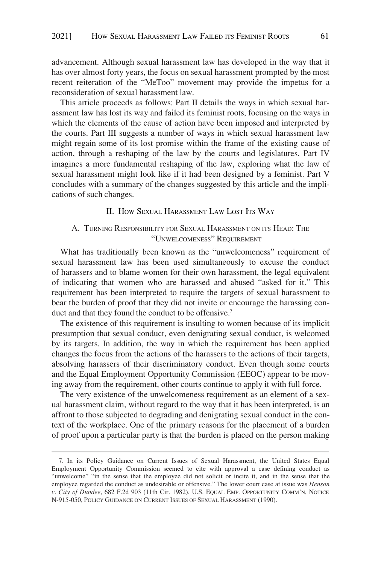<span id="page-4-0"></span>advancement. Although sexual harassment law has developed in the way that it has over almost forty years, the focus on sexual harassment prompted by the most recent reiteration of the "MeToo" movement may provide the impetus for a reconsideration of sexual harassment law.

This article proceeds as follows: Part II details the ways in which sexual harassment law has lost its way and failed its feminist roots, focusing on the ways in which the elements of the cause of action have been imposed and interpreted by the courts. Part III suggests a number of ways in which sexual harassment law might regain some of its lost promise within the frame of the existing cause of action, through a reshaping of the law by the courts and legislatures. Part IV imagines a more fundamental reshaping of the law, exploring what the law of sexual harassment might look like if it had been designed by a feminist. Part V concludes with a summary of the changes suggested by this article and the implications of such changes.

## II. HOW SEXUAL HARASSMENT LAW LOST ITS WAY

# A. TURNING RESPONSIBILITY FOR SEXUAL HARASSMENT ON ITS HEAD: THE "UNWELCOMENESS" REQUIREMENT

What has traditionally been known as the "unwelcomeness" requirement of sexual harassment law has been used simultaneously to excuse the conduct of harassers and to blame women for their own harassment, the legal equivalent of indicating that women who are harassed and abused "asked for it." This requirement has been interpreted to require the targets of sexual harassment to bear the burden of proof that they did not invite or encourage the harassing conduct and that they found the conduct to be offensive.<sup>7</sup>

The existence of this requirement is insulting to women because of its implicit presumption that sexual conduct, even denigrating sexual conduct, is welcomed by its targets. In addition, the way in which the requirement has been applied changes the focus from the actions of the harassers to the actions of their targets, absolving harassers of their discriminatory conduct. Even though some courts and the Equal Employment Opportunity Commission (EEOC) appear to be moving away from the requirement, other courts continue to apply it with full force.

The very existence of the unwelcomeness requirement as an element of a sexual harassment claim, without regard to the way that it has been interpreted, is an affront to those subjected to degrading and denigrating sexual conduct in the context of the workplace. One of the primary reasons for the placement of a burden of proof upon a particular party is that the burden is placed on the person making

<sup>7.</sup> In its Policy Guidance on Current Issues of Sexual Harassment, the United States Equal Employment Opportunity Commission seemed to cite with approval a case defining conduct as "unwelcome" "in the sense that the employee did not solicit or incite it, and in the sense that the employee regarded the conduct as undesirable or offensive." The lower court case at issue was *Henson v. City of Dundee,* 682 F.2d 903 (11th Cir. 1982). U.S. EQUAL EMP. OPPORTUNITY COMM'N, NOTICE N-915-050, POLICY GUIDANCE ON CURRENT ISSUES OF SEXUAL HARASSMENT (1990).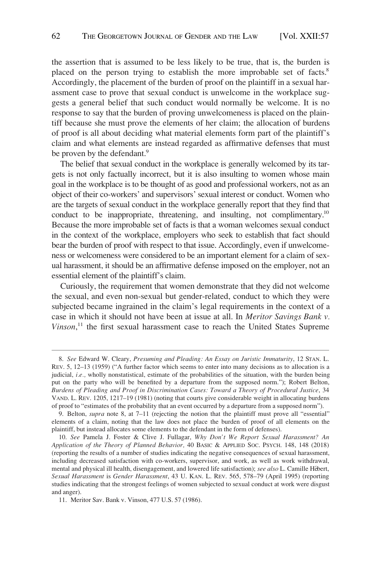the assertion that is assumed to be less likely to be true, that is, the burden is placed on the person trying to establish the more improbable set of facts.<sup>8</sup> Accordingly, the placement of the burden of proof on the plaintiff in a sexual harassment case to prove that sexual conduct is unwelcome in the workplace suggests a general belief that such conduct would normally be welcome. It is no response to say that the burden of proving unwelcomeness is placed on the plaintiff because she must prove the elements of her claim; the allocation of burdens of proof is all about deciding what material elements form part of the plaintiff's claim and what elements are instead regarded as affirmative defenses that must be proven by the defendant.<sup>9</sup>

The belief that sexual conduct in the workplace is generally welcomed by its targets is not only factually incorrect, but it is also insulting to women whose main goal in the workplace is to be thought of as good and professional workers, not as an object of their co-workers' and supervisors' sexual interest or conduct. Women who are the targets of sexual conduct in the workplace generally report that they find that conduct to be inappropriate, threatening, and insulting, not complimentary.10 Because the more improbable set of facts is that a woman welcomes sexual conduct in the context of the workplace, employers who seek to establish that fact should bear the burden of proof with respect to that issue. Accordingly, even if unwelcomeness or welcomeness were considered to be an important element for a claim of sexual harassment, it should be an affirmative defense imposed on the employer, not an essential element of the plaintiff's claim.

Curiously, the requirement that women demonstrate that they did not welcome the sexual, and even non-sexual but gender-related, conduct to which they were subjected became ingrained in the claim's legal requirements in the context of a case in which it should not have been at issue at all. In *Meritor Savings Bank v. Vinson*, 11 the first sexual harassment case to reach the United States Supreme

<sup>8.</sup> *See* Edward W. Cleary, *Presuming and Pleading: An Essay on Juristic Immaturity*, 12 STAN. L. REV. 5, 12–13 (1959) ("A further factor which seems to enter into many decisions as to allocation is a judicial, *i.e.*, wholly nonstatistical, estimate of the probabilities of the situation, with the burden being put on the party who will be benefited by a departure from the supposed norm."); Robert Belton, *Burdens of Pleading and Proof in Discrimination Cases: Toward a Theory of Procedural Justice*, 34 VAND. L. REV. 1205, 1217–19 (1981) (noting that courts give considerable weight in allocating burdens of proof to "estimates of the probability that an event occurred by a departure from a supposed norm").

<sup>9.</sup> Belton, *supra* note 8, at 7–11 (rejecting the notion that the plaintiff must prove all "essential" elements of a claim, noting that the law does not place the burden of proof of all elements on the plaintiff, but instead allocates some elements to the defendant in the form of defenses).

<sup>10.</sup> *See* Pamela J. Foster & Clive J. Fullagar, *Why Don't We Report Sexual Harassment? An Application of the Theory of Planned Behavior,* 40 BASIC & APPLIED SOC. PSYCH. 148, 148 (2018) (reporting the results of a number of studies indicating the negative consequences of sexual harassment, including decreased satisfaction with co-workers, supervisor, and work, as well as work withdrawal, mental and physical ill health, disengagement, and lowered life satisfaction); *see also* L. Camille Hébert, *Sexual Harassment* is *Gender Harassment*, 43 U. KAN. L. REV. 565, 578–79 (April 1995) (reporting studies indicating that the strongest feelings of women subjected to sexual conduct at work were disgust and anger).

<sup>11.</sup> Meritor Sav. Bank v. Vinson, 477 U.S. 57 (1986).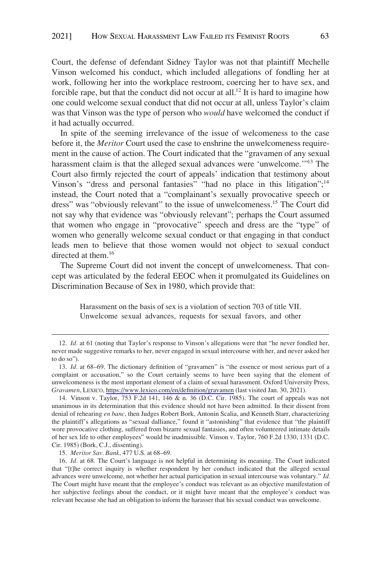Court, the defense of defendant Sidney Taylor was not that plaintiff Mechelle Vinson welcomed his conduct, which included allegations of fondling her at work, following her into the workplace restroom, coercing her to have sex, and forcible rape, but that the conduct did not occur at all.<sup>12</sup> It is hard to imagine how one could welcome sexual conduct that did not occur at all, unless Taylor's claim was that Vinson was the type of person who *would* have welcomed the conduct if it had actually occurred.

In spite of the seeming irrelevance of the issue of welcomeness to the case before it, the *Meritor* Court used the case to enshrine the unwelcomeness requirement in the cause of action. The Court indicated that the "gravamen of any sexual harassment claim is that the alleged sexual advances were 'unwelcome.'"<sup>13</sup> The Court also firmly rejected the court of appeals' indication that testimony about Vinson's "dress and personal fantasies" "had no place in this litigation";<sup>14</sup> instead, the Court noted that a "complainant's sexually provocative speech or dress" was "obviously relevant" to the issue of unwelcomeness.15 The Court did not say why that evidence was "obviously relevant"; perhaps the Court assumed that women who engage in "provocative" speech and dress are the "type" of women who generally welcome sexual conduct or that engaging in that conduct leads men to believe that those women would not object to sexual conduct directed at them.<sup>16</sup>

The Supreme Court did not invent the concept of unwelcomeness. That concept was articulated by the federal EEOC when it promulgated its Guidelines on Discrimination Because of Sex in 1980, which provide that:

> Harassment on the basis of sex is a violation of section 703 of title VII. Unwelcome sexual advances, requests for sexual favors, and other

<sup>12.</sup> *Id.* at 61 (noting that Taylor's response to Vinson's allegations were that "he never fondled her, never made suggestive remarks to her, never engaged in sexual intercourse with her, and never asked her to do so").

<sup>13.</sup> *Id.* at 68–69. The dictionary definition of "gravamen" is "the essence or most serious part of a complaint or accusation," so the Court certainly seems to have been saying that the element of unwelcomeness is the most important element of a claim of sexual harassment. Oxford University Press, *Gravamen*, LEXICO,<https://www.lexico.com/en/definition/gravamen>(last visited Jan. 30, 2021).

<sup>14.</sup> Vinson v. Taylor, 753 F.2d 141, 146 & n. 36 (D.C. Cir. 1985). The court of appeals was not unanimous in its determination that this evidence should not have been admitted. In their dissent from denial of rehearing *en banc*, then Judges Robert Bork, Antonin Scalia, and Kenneth Starr, characterizing the plaintiff's allegations as "sexual dalliance," found it "astonishing" that evidence that "the plaintiff wore provocative clothing, suffered from bizarre sexual fantasies, and often volunteered intimate details of her sex life to other employees" would be inadmissible. Vinson v. Taylor, 760 F.2d 1330, 1331 (D.C. Cir. 1985) (Bork, C.J., dissenting).

<sup>15.</sup> *Meritor Sav. Bank*, 477 U.S. at 68–69.

<sup>16.</sup> *Id.* at 68. The Court's language is not helpful in determining its meaning. The Court indicated that "[t]he correct inquiry is whether respondent by her conduct indicated that the alleged sexual advances were unwelcome, not whether her actual participation in sexual intercourse was voluntary." *Id.*  The Court might have meant that the employee's conduct was relevant as an objective manifestation of her subjective feelings about the conduct, or it might have meant that the employee's conduct was relevant because she had an obligation to inform the harasser that his sexual conduct was unwelcome.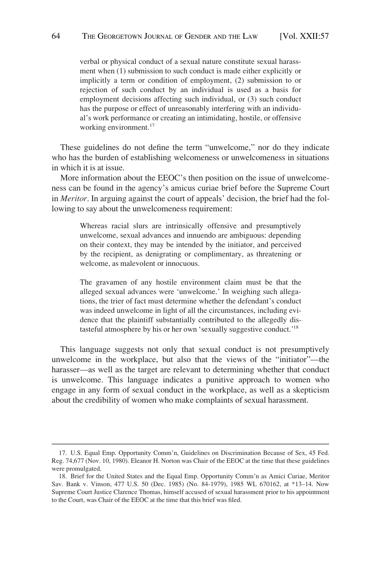verbal or physical conduct of a sexual nature constitute sexual harassment when (1) submission to such conduct is made either explicitly or implicitly a term or condition of employment, (2) submission to or rejection of such conduct by an individual is used as a basis for employment decisions affecting such individual, or (3) such conduct has the purpose or effect of unreasonably interfering with an individual's work performance or creating an intimidating, hostile, or offensive working environment.<sup>17</sup>

These guidelines do not define the term "unwelcome," nor do they indicate who has the burden of establishing welcomeness or unwelcomeness in situations in which it is at issue.

More information about the EEOC's then position on the issue of unwelcomeness can be found in the agency's amicus curiae brief before the Supreme Court in *Meritor*. In arguing against the court of appeals' decision, the brief had the following to say about the unwelcomeness requirement:

> Whereas racial slurs are intrinsically offensive and presumptively unwelcome, sexual advances and innuendo are ambiguous: depending on their context, they may be intended by the initiator, and perceived by the recipient, as denigrating or complimentary, as threatening or welcome, as malevolent or innocuous.

> The gravamen of any hostile environment claim must be that the alleged sexual advances were 'unwelcome.' In weighing such allegations, the trier of fact must determine whether the defendant's conduct was indeed unwelcome in light of all the circumstances, including evidence that the plaintiff substantially contributed to the allegedly distasteful atmosphere by his or her own 'sexually suggestive conduct.'18

This language suggests not only that sexual conduct is not presumptively unwelcome in the workplace, but also that the views of the "initiator"—the harasser—as well as the target are relevant to determining whether that conduct is unwelcome. This language indicates a punitive approach to women who engage in any form of sexual conduct in the workplace, as well as a skepticism about the credibility of women who make complaints of sexual harassment.

<sup>17.</sup> U.S. Equal Emp. Opportunity Comm'n, Guidelines on Discrimination Because of Sex, 45 Fed. Reg. 74,677 (Nov. 10, 1980). Eleanor H. Norton was Chair of the EEOC at the time that these guidelines were promulgated.

<sup>18.</sup> Brief for the United States and the Equal Emp. Opportunity Comm'n as Amici Curiae, Meritor Sav. Bank v. Vinson, 477 U.S. 50 (Dec. 1985) (No. 84-1979), 1985 WL 670162, at \*13–14. Now Supreme Court Justice Clarence Thomas, himself accused of sexual harassment prior to his appointment to the Court, was Chair of the EEOC at the time that this brief was filed.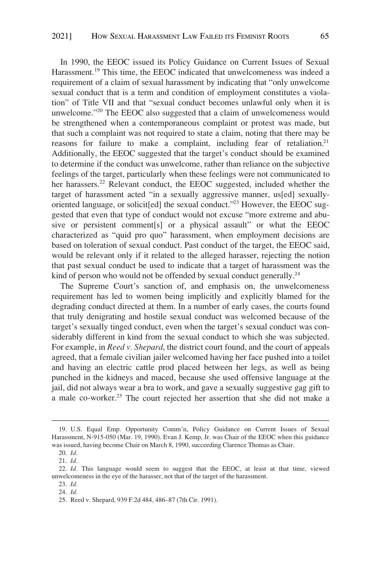In 1990, the EEOC issued its Policy Guidance on Current Issues of Sexual Harassment.<sup>19</sup> This time, the EEOC indicated that unwelcomeness was indeed a requirement of a claim of sexual harassment by indicating that "only unwelcome sexual conduct that is a term and condition of employment constitutes a violation" of Title VII and that "sexual conduct becomes unlawful only when it is unwelcome."20 The EEOC also suggested that a claim of unwelcomeness would be strengthened when a contemporaneous complaint or protest was made, but that such a complaint was not required to state a claim, noting that there may be reasons for failure to make a complaint, including fear of retaliation.<sup>21</sup> Additionally, the EEOC suggested that the target's conduct should be examined to determine if the conduct was unwelcome, rather than reliance on the subjective feelings of the target, particularly when these feelings were not communicated to her harassers.<sup>22</sup> Relevant conduct, the EEOC suggested, included whether the target of harassment acted "in a sexually aggressive manner, us[ed] sexuallyoriented language, or solicit[ed] the sexual conduct."23 However, the EEOC suggested that even that type of conduct would not excuse "more extreme and abusive or persistent comment[s] or a physical assault" or what the EEOC characterized as "quid pro quo" harassment, when employment decisions are based on toleration of sexual conduct. Past conduct of the target, the EEOC said, would be relevant only if it related to the alleged harasser, rejecting the notion that past sexual conduct be used to indicate that a target of harassment was the kind of person who would not be offended by sexual conduct generally.<sup>24</sup>

The Supreme Court's sanction of, and emphasis on, the unwelcomeness requirement has led to women being implicitly and explicitly blamed for the degrading conduct directed at them. In a number of early cases, the courts found that truly denigrating and hostile sexual conduct was welcomed because of the target's sexually tinged conduct, even when the target's sexual conduct was considerably different in kind from the sexual conduct to which she was subjected. For example, in *Reed v. Shepard*, the district court found, and the court of appeals agreed, that a female civilian jailer welcomed having her face pushed into a toilet and having an electric cattle prod placed between her legs, as well as being punched in the kidneys and maced, because she used offensive language at the jail, did not always wear a bra to work, and gave a sexually suggestive gag gift to a male co-worker.<sup>25</sup> The court rejected her assertion that she did not make a

<sup>19.</sup> U.S. Equal Emp. Opportunity Comm'n, Policy Guidance on Current Issues of Sexual Harassment, N-915-050 (Mar. 19, 1990). Evan J. Kemp, Jr. was Chair of the EEOC when this guidance was issued, having become Chair on March 8, 1990, succeeding Clarence Thomas as Chair.

<sup>20.</sup> *Id.* 

<sup>21.</sup> *Id.* 

<sup>22.</sup> *Id.* This language would seem to suggest that the EEOC, at least at that time, viewed unwelcomeness in the eye of the harasser, not that of the target of the harassment.

<sup>23.</sup> *Id.* 

<sup>24.</sup> *Id.* 

<sup>25.</sup> Reed v. Shepard, 939 F.2d 484, 486–87 (7th Cir. 1991).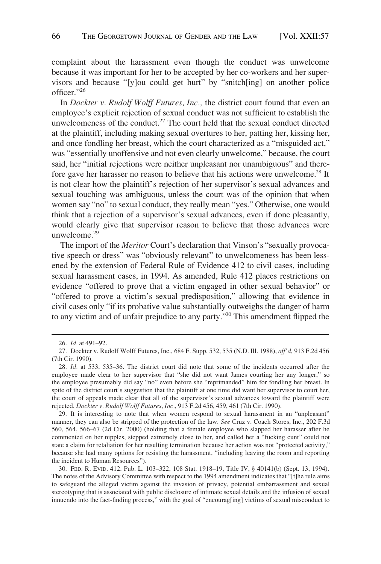complaint about the harassment even though the conduct was unwelcome because it was important for her to be accepted by her co-workers and her supervisors and because "[y]ou could get hurt" by "snitch[ing] on another police officer."<sup>26</sup>

In *Dockter v. Rudolf Wolff Futures, Inc.,* the district court found that even an employee's explicit rejection of sexual conduct was not sufficient to establish the unwelcomeness of the conduct.<sup>27</sup> The court held that the sexual conduct directed at the plaintiff, including making sexual overtures to her, patting her, kissing her, and once fondling her breast, which the court characterized as a "misguided act," was "essentially unoffensive and not even clearly unwelcome," because, the court said, her "initial rejections were neither unpleasant nor unambiguous" and therefore gave her harasser no reason to believe that his actions were unwelcome.28 It is not clear how the plaintiff's rejection of her supervisor's sexual advances and sexual touching was ambiguous, unless the court was of the opinion that when women say "no" to sexual conduct, they really mean "yes." Otherwise, one would think that a rejection of a supervisor's sexual advances, even if done pleasantly, would clearly give that supervisor reason to believe that those advances were unwelcome.29

The import of the *Meritor* Court's declaration that Vinson's "sexually provocative speech or dress" was "obviously relevant" to unwelcomeness has been lessened by the extension of Federal Rule of Evidence 412 to civil cases, including sexual harassment cases, in 1994. As amended, Rule 412 places restrictions on evidence "offered to prove that a victim engaged in other sexual behavior" or "offered to prove a victim's sexual predisposition," allowing that evidence in civil cases only "if its probative value substantially outweighs the danger of harm to any victim and of unfair prejudice to any party."30 This amendment flipped the

<sup>26.</sup> *Id.* at 491–92.

<sup>27.</sup> Dockter v. Rudolf Wolff Futures, Inc., 684 F. Supp. 532, 535 (N.D. Ill. 1988), *aff'd*, 913 F.2d 456 (7th Cir. 1990).

<sup>28.</sup> *Id.* at 533, 535–36. The district court did note that some of the incidents occurred after the employee made clear to her supervisor that "she did not want James courting her any longer," so the employee presumably did say "no" even before she "reprimanded" him for fondling her breast. In spite of the district court's suggestion that the plaintiff at one time did want her supervisor to court her, the court of appeals made clear that all of the supervisor's sexual advances toward the plaintiff were rejected. *Dockter v. Rudolf Wolff Futures, Inc.*, 913 F.2d 456, 459, 461 (7th Cir. 1990).

<sup>29.</sup> It is interesting to note that when women respond to sexual harassment in an "unpleasant" manner, they can also be stripped of the protection of the law. *See* Cruz v. Coach Stores, Inc., 202 F.3d 560, 564, 566–67 (2d Cir. 2000) (holding that a female employee who slapped her harasser after he commented on her nipples, stepped extremely close to her, and called her a "fucking cunt" could not state a claim for retaliation for her resulting termination because her action was not "protected activity," because she had many options for resisting the harassment, "including leaving the room and reporting the incident to Human Resources").

<sup>30.</sup> FED. R. EVID. 412. Pub. L. 103–322, 108 Stat. 1918–19, Title IV, § 40141(b) (Sept. 13, 1994). The notes of the Advisory Committee with respect to the 1994 amendment indicates that "[t]he rule aims to safeguard the alleged victim against the invasion of privacy, potential embarrassment and sexual stereotyping that is associated with public disclosure of intimate sexual details and the infusion of sexual innuendo into the fact-finding process," with the goal of "encourag[ing] victims of sexual misconduct to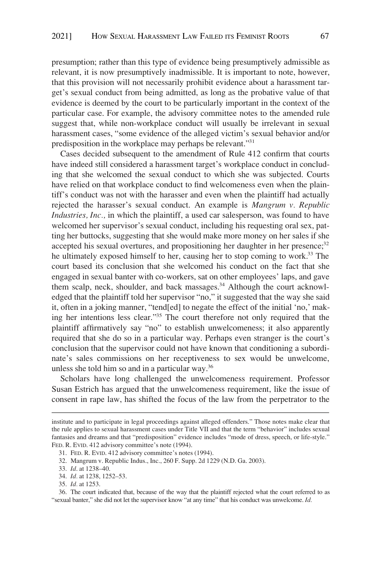presumption; rather than this type of evidence being presumptively admissible as relevant, it is now presumptively inadmissible. It is important to note, however, that this provision will not necessarily prohibit evidence about a harassment target's sexual conduct from being admitted, as long as the probative value of that evidence is deemed by the court to be particularly important in the context of the particular case. For example, the advisory committee notes to the amended rule suggest that, while non-workplace conduct will usually be irrelevant in sexual harassment cases, "some evidence of the alleged victim's sexual behavior and/or predisposition in the workplace may perhaps be relevant."31

Cases decided subsequent to the amendment of Rule 412 confirm that courts have indeed still considered a harassment target's workplace conduct in concluding that she welcomed the sexual conduct to which she was subjected. Courts have relied on that workplace conduct to find welcomeness even when the plaintiff's conduct was not with the harasser and even when the plaintiff had actually rejected the harasser's sexual conduct. An example is *Mangrum v. Republic Industries, Inc.,* in which the plaintiff, a used car salesperson, was found to have welcomed her supervisor's sexual conduct, including his requesting oral sex, patting her buttocks, suggesting that she would make more money on her sales if she accepted his sexual overtures, and propositioning her daughter in her presence; $32$ he ultimately exposed himself to her, causing her to stop coming to work.<sup>33</sup> The court based its conclusion that she welcomed his conduct on the fact that she engaged in sexual banter with co-workers, sat on other employees' laps, and gave them scalp, neck, shoulder, and back massages.<sup>34</sup> Although the court acknowledged that the plaintiff told her supervisor "no," it suggested that the way she said it, often in a joking manner, "tend[ed] to negate the effect of the initial 'no,' making her intentions less clear."35 The court therefore not only required that the plaintiff affirmatively say "no" to establish unwelcomeness; it also apparently required that she do so in a particular way. Perhaps even stranger is the court's conclusion that the supervisor could not have known that conditioning a subordinate's sales commissions on her receptiveness to sex would be unwelcome, unless she told him so and in a particular way.36

Scholars have long challenged the unwelcomeness requirement. Professor Susan Estrich has argued that the unwelcomeness requirement, like the issue of consent in rape law, has shifted the focus of the law from the perpetrator to the

institute and to participate in legal proceedings against alleged offenders." Those notes make clear that the rule applies to sexual harassment cases under Title VII and that the term "behavior" includes sexual fantasies and dreams and that "predisposition" evidence includes "mode of dress, speech, or life-style." FED. R. EVID. 412 advisory committee's note (1994).

<sup>31.</sup> FED. R. EVID. 412 advisory committee's notes (1994).

<sup>32.</sup> Mangrum v. Republic Indus., Inc., 260 F. Supp. 2d 1229 (N.D. Ga. 2003).

<sup>33.</sup> *Id*. at 1238–40.

<sup>34.</sup> *Id.* at 1238, 1252–53.

<sup>35.</sup> *Id.* at 1253.

<sup>36.</sup> The court indicated that, because of the way that the plaintiff rejected what the court referred to as "sexual banter," she did not let the supervisor know "at any time" that his conduct was unwelcome. *Id.*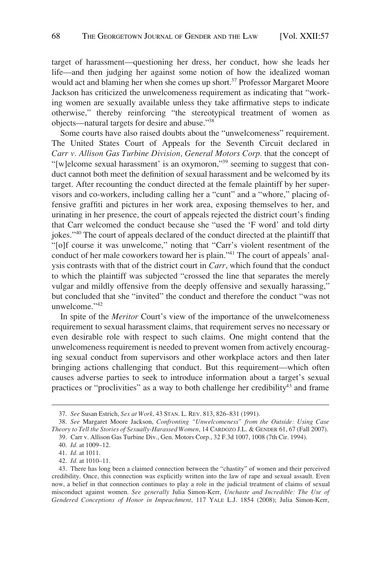target of harassment—questioning her dress, her conduct, how she leads her life—and then judging her against some notion of how the idealized woman would act and blaming her when she comes up short.<sup>37</sup> Professor Margaret Moore Jackson has criticized the unwelcomeness requirement as indicating that "working women are sexually available unless they take affirmative steps to indicate otherwise," thereby reinforcing "the stereotypical treatment of women as objects—natural targets for desire and abuse."38

Some courts have also raised doubts about the "unwelcomeness" requirement. The United States Court of Appeals for the Seventh Circuit declared in *Carr v. Allison Gas Turbine Division, General Motors Corp.* that the concept of "[w]elcome sexual harassment' is an oxymoron,"<sup>39</sup> seeming to suggest that conduct cannot both meet the definition of sexual harassment and be welcomed by its target. After recounting the conduct directed at the female plaintiff by her supervisors and co-workers, including calling her a "cunt" and a "whore," placing offensive graffiti and pictures in her work area, exposing themselves to her, and urinating in her presence, the court of appeals rejected the district court's finding that Carr welcomed the conduct because she "used the 'F word' and told dirty jokes."40 The court of appeals declared of the conduct directed at the plaintiff that "[o]f course it was unwelcome," noting that "Carr's violent resentment of the conduct of her male coworkers toward her is plain."41 The court of appeals' analysis contrasts with that of the district court in *Carr*, which found that the conduct to which the plaintiff was subjected "crossed the line that separates the merely vulgar and mildly offensive from the deeply offensive and sexually harassing," but concluded that she "invited" the conduct and therefore the conduct "was not unwelcome."<sup>42</sup>

In spite of the *Meritor* Court's view of the importance of the unwelcomeness requirement to sexual harassment claims, that requirement serves no necessary or even desirable role with respect to such claims. One might contend that the unwelcomeness requirement is needed to prevent women from actively encouraging sexual conduct from supervisors and other workplace actors and then later bringing actions challenging that conduct. But this requirement—which often causes adverse parties to seek to introduce information about a target's sexual practices or "proclivities" as a way to both challenge her credibility<sup>43</sup> and frame

<sup>37.</sup> *See* Susan Estrich, *Sex at Work*, 43 STAN. L. REV. 813, 826–831 (1991).

<sup>38.</sup> *See* Margaret Moore Jackson, *Confronting "Unwelcomeness" from the Outside: Using Case Theory to Tell the Stories of Sexually-Harassed Women*, 14 CARDOZO J.L. & GENDER 61, 67 (Fall 2007).

<sup>39.</sup> Carr v. Allison Gas Turbine Div., Gen. Motors Corp., 32 F.3d 1007, 1008 (7th Cir. 1994).

<sup>40.</sup> *Id.* at 1009–12.

<sup>41.</sup> *Id.* at 1011.

<sup>42.</sup> *Id.* at 1010–11.

<sup>43.</sup> There has long been a claimed connection between the "chastity" of women and their perceived credibility. Once, this connection was explicitly written into the law of rape and sexual assault. Even now, a belief in that connection continues to play a role in the judicial treatment of claims of sexual misconduct against women. *See generally* Julia Simon-Kerr, *Unchaste and Incredible: The Use of Gendered Conceptions of Honor in Impeachment*, 117 YALE L.J. 1854 (2008); Julia Simon-Kerr,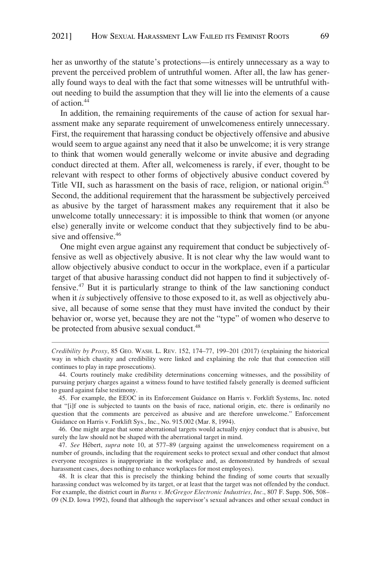her as unworthy of the statute's protections—is entirely unnecessary as a way to prevent the perceived problem of untruthful women. After all, the law has generally found ways to deal with the fact that some witnesses will be untruthful without needing to build the assumption that they will lie into the elements of a cause of action.44

In addition, the remaining requirements of the cause of action for sexual harassment make any separate requirement of unwelcomeness entirely unnecessary. First, the requirement that harassing conduct be objectively offensive and abusive would seem to argue against any need that it also be unwelcome; it is very strange to think that women would generally welcome or invite abusive and degrading conduct directed at them. After all, welcomeness is rarely, if ever, thought to be relevant with respect to other forms of objectively abusive conduct covered by Title VII, such as harassment on the basis of race, religion, or national origin.<sup>45</sup> Second, the additional requirement that the harassment be subjectively perceived as abusive by the target of harassment makes any requirement that it also be unwelcome totally unnecessary: it is impossible to think that women (or anyone else) generally invite or welcome conduct that they subjectively find to be abusive and offensive.<sup>46</sup>

One might even argue against any requirement that conduct be subjectively offensive as well as objectively abusive. It is not clear why the law would want to allow objectively abusive conduct to occur in the workplace, even if a particular target of that abusive harassing conduct did not happen to find it subjectively offensive. $47$  But it is particularly strange to think of the law sanctioning conduct when it *is* subjectively offensive to those exposed to it, as well as objectively abusive, all because of some sense that they must have invited the conduct by their behavior or, worse yet, because they are not the "type" of women who deserve to be protected from abusive sexual conduct.<sup>48</sup>

46. One might argue that some aberrational targets would actually enjoy conduct that is abusive, but surely the law should not be shaped with the aberrational target in mind.

47. *See* Hébert, *supra* note 10, at 577–89 (arguing against the unwelcomeness requirement on a number of grounds, including that the requirement seeks to protect sexual and other conduct that almost everyone recognizes is inappropriate in the workplace and, as demonstrated by hundreds of sexual harassment cases, does nothing to enhance workplaces for most employees).

48. It is clear that this is precisely the thinking behind the finding of some courts that sexually harassing conduct was welcomed by its target, or at least that the target was not offended by the conduct. For example, the district court in *Burns v. McGregor Electronic Industries, Inc*., 807 F. Supp. 506, 508– 09 (N.D. Iowa 1992), found that although the supervisor's sexual advances and other sexual conduct in

*Credibility by Proxy*, 85 GEO. WASH. L. REV. 152, 174–77, 199–201 (2017) (explaining the historical way in which chastity and credibility were linked and explaining the role that that connection still continues to play in rape prosecutions).

<sup>44.</sup> Courts routinely make credibility determinations concerning witnesses, and the possibility of pursuing perjury charges against a witness found to have testified falsely generally is deemed sufficient to guard against false testimony.

<sup>45.</sup> For example, the EEOC in its Enforcement Guidance on Harris v. Forklift Systems, Inc. noted that "[i]f one is subjected to taunts on the basis of race, national origin, etc. there is ordinarily no question that the comments are perceived as abusive and are therefore unwelcome." Enforcement Guidance on Harris v. Forklift Sys., Inc., No. 915.002 (Mar. 8, 1994).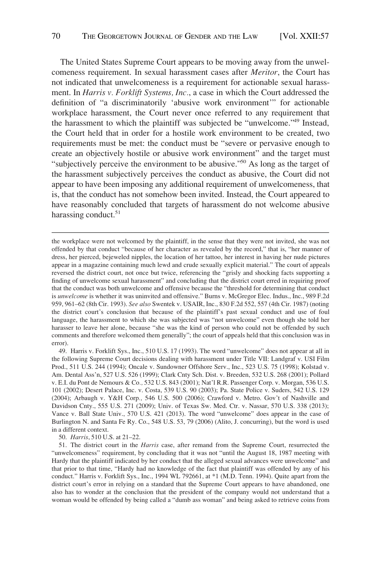The United States Supreme Court appears to be moving away from the unwelcomeness requirement. In sexual harassment cases after *Meritor*, the Court has not indicated that unwelcomeness is a requirement for actionable sexual harassment. In *Harris v. Forklift Systems, Inc.*, a case in which the Court addressed the definition of "a discriminatorily 'abusive work environment'" for actionable workplace harassment, the Court never once referred to any requirement that the harassment to which the plaintiff was subjected be "unwelcome."49 Instead, the Court held that in order for a hostile work environment to be created, two requirements must be met: the conduct must be "severe or pervasive enough to create an objectively hostile or abusive work environment" and the target must "subjectively perceive the environment to be abusive."50 As long as the target of the harassment subjectively perceives the conduct as abusive, the Court did not appear to have been imposing any additional requirement of unwelcomeness, that is, that the conduct has not somehow been invited. Instead, the Court appeared to have reasonably concluded that targets of harassment do not welcome abusive harassing conduct.<sup>51</sup>

the workplace were not welcomed by the plaintiff, in the sense that they were not invited, she was not offended by that conduct "because of her character as revealed by the record," that is, "her manner of dress, her pierced, bejeweled nipples, the location of her tattoo, her interest in having her nude pictures appear in a magazine containing much lewd and crude sexually explicit material." The court of appeals reversed the district court, not once but twice, referencing the "grisly and shocking facts supporting a finding of unwelcome sexual harassment" and concluding that the district court erred in requiring proof that the conduct was both unwelcome and offensive because the "threshold for determining that conduct is *unwelcome* is whether it was uninvited and offensive." Burns v. McGregor Elec. Indus., Inc., 989 F.2d 959, 961–62 (8th Cir. 1993). *See also* Swentek v. USAIR, Inc., 830 F.2d 552, 557 (4th Cir. 1987) (noting the district court's conclusion that because of the plaintiff's past sexual conduct and use of foul language, the harassment to which she was subjected was "not unwelcome" even though she told her harasser to leave her alone, because "she was the kind of person who could not be offended by such comments and therefore welcomed them generally"; the court of appeals held that this conclusion was in error).

<sup>49.</sup> Harris v. Forklift Sys., Inc., 510 U.S. 17 (1993). The word "unwelcome" does not appear at all in the following Supreme Court decisions dealing with harassment under Title VII: Landgraf v. USI Film Prod., 511 U.S. 244 (1994); Oncale v. Sundowner Offshore Serv., Inc., 523 U.S. 75 (1998); Kolstad v. Am. Dental Ass'n, 527 U.S. 526 (1999); Clark Cnty Sch. Dist. v. Breeden, 532 U.S. 268 (2001); Pollard v. E.I. du Pont de Nemours & Co*.,* 532 U.S. 843 (2001); Nat'l R.R. Passenger Corp. v. Morgan, 536 U.S. 101 (2002); Desert Palace, Inc. v. Costa, 539 U.S. 90 (2003); Pa. State Police v. Suders, 542 U.S. 129 (2004); Arbaugh v. Y&H Corp*.,* 546 U.S. 500 (2006); Crawford v. Metro. Gov't of Nashville and Davidson Cnty., 555 U.S. 271 (2009); Univ. of Texas Sw. Med. Ctr. v. Nassar, 570 U.S. 338 (2013); Vance v. Ball State Univ., 570 U.S. 421 (2013). The word "unwelcome" does appear in the case of Burlington N. and Santa Fe Ry. Co., 548 U.S. 53, 79 (2006) (Alito, J. concurring), but the word is used in a different context.

<sup>50.</sup> *Harris*, 510 U.S. at 21–22.

<sup>51.</sup> The district court in the *Harris* case, after remand from the Supreme Court, resurrected the "unwelcomeness" requirement, by concluding that it was not "until the August 18, 1987 meeting with Hardy that the plaintiff indicated by her conduct that the alleged sexual advances were unwelcome" and that prior to that time, "Hardy had no knowledge of the fact that plaintiff was offended by any of his conduct." Harris v. Forklift Sys., Inc., 1994 WL 792661, at \*1 (M.D. Tenn. 1994). Quite apart from the district court's error in relying on a standard that the Supreme Court appears to have abandoned, one also has to wonder at the conclusion that the president of the company would not understand that a woman would be offended by being called a "dumb ass woman" and being asked to retrieve coins from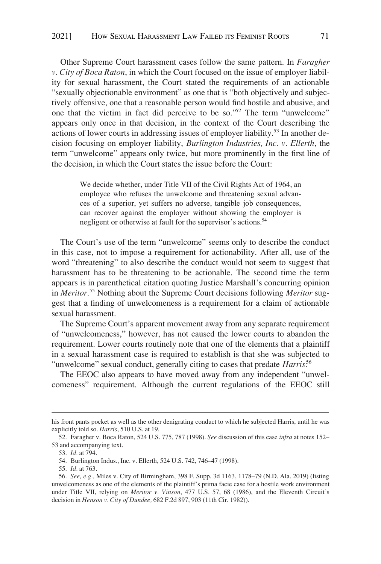Other Supreme Court harassment cases follow the same pattern. In *Faragher v. City of Boca Raton*, in which the Court focused on the issue of employer liability for sexual harassment, the Court stated the requirements of an actionable "sexually objectionable environment" as one that is "both objectively and subjectively offensive, one that a reasonable person would find hostile and abusive, and one that the victim in fact did perceive to be so."52 The term "unwelcome" appears only once in that decision, in the context of the Court describing the actions of lower courts in addressing issues of employer liability.53 In another decision focusing on employer liability, *Burlington Industries, Inc. v. Ellerth*, the term "unwelcome" appears only twice, but more prominently in the first line of the decision, in which the Court states the issue before the Court:

> We decide whether, under Title VII of the Civil Rights Act of 1964, an employee who refuses the unwelcome and threatening sexual advances of a superior, yet suffers no adverse, tangible job consequences, can recover against the employer without showing the employer is negligent or otherwise at fault for the supervisor's actions.<sup>54</sup>

The Court's use of the term "unwelcome" seems only to describe the conduct in this case, not to impose a requirement for actionability. After all, use of the word "threatening" to also describe the conduct would not seem to suggest that harassment has to be threatening to be actionable. The second time the term appears is in parenthetical citation quoting Justice Marshall's concurring opinion in *Meritor.*55 Nothing about the Supreme Court decisions following *Meritor* suggest that a finding of unwelcomeness is a requirement for a claim of actionable sexual harassment.

The Supreme Court's apparent movement away from any separate requirement of "unwelcomeness," however, has not caused the lower courts to abandon the requirement. Lower courts routinely note that one of the elements that a plaintiff in a sexual harassment case is required to establish is that she was subjected to "unwelcome" sexual conduct, generally citing to cases that predate *Harris*.<sup>56</sup>

The EEOC also appears to have moved away from any independent "unwelcomeness" requirement. Although the current regulations of the EEOC still

his front pants pocket as well as the other denigrating conduct to which he subjected Harris, until he was explicitly told so. *Harris*, 510 U.S. at 19.

<sup>52.</sup> Faragher v. Boca Raton, 524 U.S. 775, 787 (1998). *See* discussion of this case *infra* at notes 152– 53 and accompanying text.

<sup>53.</sup> *Id.* at 794.

<sup>54.</sup> Burlington Indus., Inc. v. Ellerth, 524 U.S. 742, 746–47 (1998).

<sup>55.</sup> *Id.* at 763.

<sup>56.</sup> *See, e.g.,* Miles v. City of Birmingham, 398 F. Supp. 3d 1163, 1178–79 (N.D. Ala. 2019) (listing unwelcomeness as one of the elements of the plaintiff's prima facie case for a hostile work environment under Title VII, relying on *Meritor v. Vinson*, 477 U.S. 57, 68 (1986), and the Eleventh Circuit's decision in *Henson v. City of Dundee,* 682 F.2d 897, 903 (11th Cir. 1982)).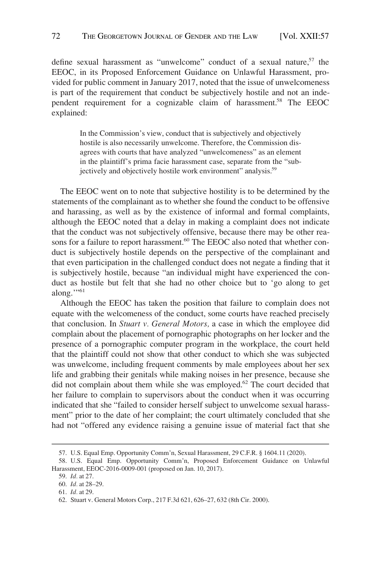define sexual harassment as "unwelcome" conduct of a sexual nature,  $57$  the EEOC, in its Proposed Enforcement Guidance on Unlawful Harassment, provided for public comment in January 2017, noted that the issue of unwelcomeness is part of the requirement that conduct be subjectively hostile and not an independent requirement for a cognizable claim of harassment.<sup>58</sup> The EEOC explained:

> In the Commission's view, conduct that is subjectively and objectively hostile is also necessarily unwelcome. Therefore, the Commission disagrees with courts that have analyzed "unwelcomeness" as an element in the plaintiff's prima facie harassment case, separate from the "subjectively and objectively hostile work environment" analysis.<sup>59</sup>

The EEOC went on to note that subjective hostility is to be determined by the statements of the complainant as to whether she found the conduct to be offensive and harassing, as well as by the existence of informal and formal complaints, although the EEOC noted that a delay in making a complaint does not indicate that the conduct was not subjectively offensive, because there may be other reasons for a failure to report harassment.<sup>60</sup> The EEOC also noted that whether conduct is subjectively hostile depends on the perspective of the complainant and that even participation in the challenged conduct does not negate a finding that it is subjectively hostile, because "an individual might have experienced the conduct as hostile but felt that she had no other choice but to 'go along to get along."<sup>51</sup>

Although the EEOC has taken the position that failure to complain does not equate with the welcomeness of the conduct, some courts have reached precisely that conclusion. In *Stuart v. General Motors,* a case in which the employee did complain about the placement of pornographic photographs on her locker and the presence of a pornographic computer program in the workplace, the court held that the plaintiff could not show that other conduct to which she was subjected was unwelcome, including frequent comments by male employees about her sex life and grabbing their genitals while making noises in her presence, because she did not complain about them while she was employed.<sup>62</sup> The court decided that her failure to complain to supervisors about the conduct when it was occurring indicated that she "failed to consider herself subject to unwelcome sexual harassment" prior to the date of her complaint; the court ultimately concluded that she had not "offered any evidence raising a genuine issue of material fact that she

<sup>57.</sup> U.S. Equal Emp. Opportunity Comm'n, Sexual Harassment, 29 C.F.R. § 1604.11 (2020).

<sup>58.</sup> U.S. Equal Emp. Opportunity Comm'n, Proposed Enforcement Guidance on Unlawful Harassment, EEOC-2016-0009-001 (proposed on Jan. 10, 2017).

<sup>59.</sup> *Id.* at 27.

<sup>60.</sup> *Id.* at 28–29.

<sup>61.</sup> *Id.* at 29.

<sup>62.</sup> Stuart v. General Motors Corp., 217 F.3d 621, 626–27, 632 (8th Cir. 2000).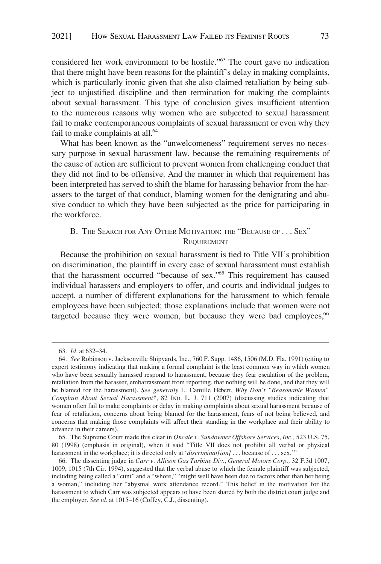<span id="page-16-0"></span>considered her work environment to be hostile."63 The court gave no indication that there might have been reasons for the plaintiff's delay in making complaints, which is particularly ironic given that she also claimed retaliation by being subject to unjustified discipline and then termination for making the complaints about sexual harassment. This type of conclusion gives insufficient attention to the numerous reasons why women who are subjected to sexual harassment fail to make contemporaneous complaints of sexual harassment or even why they fail to make complaints at all.<sup>64</sup>

What has been known as the "unwelcomeness" requirement serves no necessary purpose in sexual harassment law, because the remaining requirements of the cause of action are sufficient to prevent women from challenging conduct that they did not find to be offensive. And the manner in which that requirement has been interpreted has served to shift the blame for harassing behavior from the harassers to the target of that conduct, blaming women for the denigrating and abusive conduct to which they have been subjected as the price for participating in the workforce.

# B. THE SEARCH FOR ANY OTHER MOTIVATION: THE "BECAUSE OF . . . SEX" **REQUIREMENT**

Because the prohibition on sexual harassment is tied to Title VII's prohibition on discrimination, the plaintiff in every case of sexual harassment must establish that the harassment occurred "because of sex."65 This requirement has caused individual harassers and employers to offer, and courts and individual judges to accept, a number of different explanations for the harassment to which female employees have been subjected; those explanations include that women were not targeted because they were women, but because they were bad employees,  $66$ 

<sup>63.</sup> *Id.* at 632–34.

<sup>64.</sup> *See* Robinson v. Jacksonville Shipyards, Inc., 760 F. Supp. 1486, 1506 (M.D. Fla. 1991) (citing to expert testimony indicating that making a formal complaint is the least common way in which women who have been sexually harassed respond to harassment, because they fear escalation of the problem, retaliation from the harasser, embarrassment from reporting, that nothing will be done, and that they will be blamed for the harassment). *See generally L. Camille Hébert, Why Don't "Reasonable Women" Complain About Sexual Harassment?,* 82 IND. L. J. 711 (2007) (discussing studies indicating that women often fail to make complaints or delay in making complaints about sexual harassment because of fear of retaliation, concerns about being blamed for the harassment, fears of not being believed, and concerns that making those complaints will affect their standing in the workplace and their ability to advance in their careers).

<sup>65.</sup> The Supreme Court made this clear in *Oncale v. Sundowner Offshore Services, Inc.,* 523 U.S. 75, 80 (1998) (emphasis in original), when it said "Title VII does not prohibit all verbal or physical harassment in the workplace; it is directed only at '*discriminat[ion]* . . . because of . . . sex.'"

<sup>66.</sup> The dissenting judge in *Carr v. Allison Gas Turbine Div., General Motors Corp.,* 32 F.3d 1007, 1009, 1015 (7th Cir. 1994), suggested that the verbal abuse to which the female plaintiff was subjected, including being called a "cunt" and a "whore," "might well have been due to factors other than her being a woman," including her "abysmal work attendance record." This belief in the motivation for the harassment to which Carr was subjected appears to have been shared by both the district court judge and the employer. *See id.* at 1015–16 (Coffey, C.J., dissenting).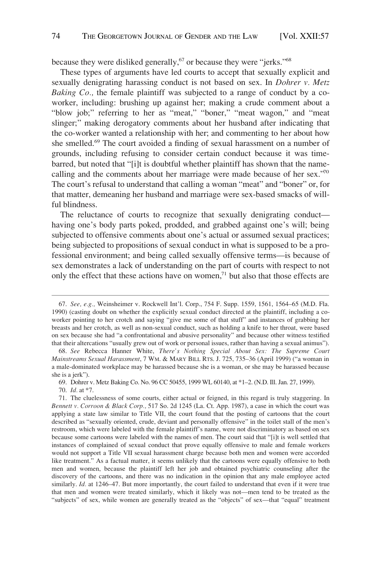because they were disliked generally, $67$  or because they were "jerks." $68$ 

These types of arguments have led courts to accept that sexually explicit and sexually denigrating harassing conduct is not based on sex. In *Dohrer v. Metz Baking Co.,* the female plaintiff was subjected to a range of conduct by a coworker, including: brushing up against her; making a crude comment about a "blow job;" referring to her as "meat," "boner," "meat wagon," and "meat slinger;" making derogatory comments about her husband after indicating that the co-worker wanted a relationship with her; and commenting to her about how she smelled.<sup>69</sup> The court avoided a finding of sexual harassment on a number of grounds, including refusing to consider certain conduct because it was timebarred, but noted that "[i]t is doubtful whether plaintiff has shown that the namecalling and the comments about her marriage were made because of her sex."70 The court's refusal to understand that calling a woman "meat" and "boner" or, for that matter, demeaning her husband and marriage were sex-based smacks of willful blindness.

The reluctance of courts to recognize that sexually denigrating conduct having one's body parts poked, prodded, and grabbed against one's will; being subjected to offensive comments about one's actual or assumed sexual practices; being subjected to propositions of sexual conduct in what is supposed to be a professional environment; and being called sexually offensive terms—is because of sex demonstrates a lack of understanding on the part of courts with respect to not only the effect that these actions have on women, $71$  but also that those effects are

<sup>67.</sup> *See, e.g.,* Weinsheimer v. Rockwell Int'l. Corp., 754 F. Supp. 1559, 1561, 1564–65 (M.D. Fla. 1990) (casting doubt on whether the explicitly sexual conduct directed at the plaintiff, including a coworker pointing to her crotch and saying "give me some of that stuff" and instances of grabbing her breasts and her crotch, as well as non-sexual conduct, such as holding a knife to her throat, were based on sex because she had "a confrontational and abusive personality" and because other witness testified that their altercations "usually grew out of work or personal issues, rather than having a sexual animus").

<sup>68.</sup> *See* Rebecca Hanner White, *There's Nothing Special About Sex: The Supreme Court Mainstreams Sexual Harassment*, 7 WM. & MARY BILL RTS. J. 725, 735–36 (April 1999) ("a woman in a male-dominated workplace may be harassed because she is a woman, or she may be harassed because she is a jerk").

<sup>69.</sup> Dohrer v. Metz Baking Co. No. 96 CC 50455, 1999 WL 60140, at \*1–2. (N.D. Ill. Jan. 27, 1999).

<sup>70.</sup> *Id.* at \*7.

<sup>71.</sup> The cluelessness of some courts, either actual or feigned, in this regard is truly staggering. In *Bennett v. Corroon & Black Corp.,* 517 So. 2d 1245 (La. Ct. App. 1987), a case in which the court was applying a state law similar to Title VII, the court found that the posting of cartoons that the court described as "sexually oriented, crude, deviant and personally offensive" in the toilet stall of the men's restroom, which were labeled with the female plaintiff's name, were not discriminatory as based on sex because some cartoons were labeled with the names of men. The court said that "[i]t is well settled that instances of complained of sexual conduct that prove equally offensive to male and female workers would not support a Title VII sexual harassment charge because both men and women were accorded like treatment." As a factual matter, it seems unlikely that the cartoons were equally offensive to both men and women, because the plaintiff left her job and obtained psychiatric counseling after the discovery of the cartoons, and there was no indication in the opinion that any male employee acted similarly. *Id.* at 1246–47. But more importantly, the court failed to understand that even if it were true that men and women were treated similarly, which it likely was not—men tend to be treated as the "subjects" of sex, while women are generally treated as the "objects" of sex—that "equal" treatment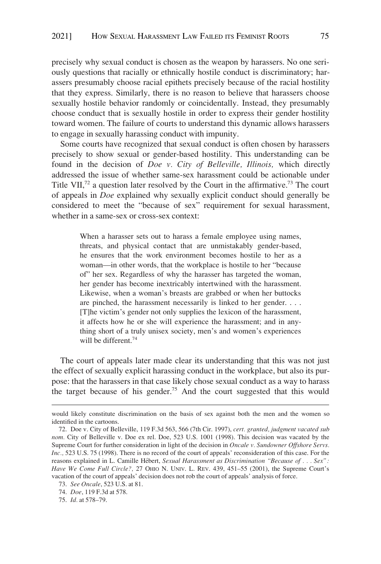precisely why sexual conduct is chosen as the weapon by harassers. No one seriously questions that racially or ethnically hostile conduct is discriminatory; harassers presumably choose racial epithets precisely because of the racial hostility that they express. Similarly, there is no reason to believe that harassers choose sexually hostile behavior randomly or coincidentally. Instead, they presumably choose conduct that is sexually hostile in order to express their gender hostility toward women. The failure of courts to understand this dynamic allows harassers to engage in sexually harassing conduct with impunity.

Some courts have recognized that sexual conduct is often chosen by harassers precisely to show sexual or gender-based hostility. This understanding can be found in the decision of *Doe v. City of Belleville, Illinois,* which directly addressed the issue of whether same-sex harassment could be actionable under Title VII,<sup>72</sup> a question later resolved by the Court in the affirmative.<sup>73</sup> The court of appeals in *Doe* explained why sexually explicit conduct should generally be considered to meet the "because of sex" requirement for sexual harassment, whether in a same-sex or cross-sex context:

> When a harasser sets out to harass a female employee using names, threats, and physical contact that are unmistakably gender-based, he ensures that the work environment becomes hostile to her as a woman—in other words, that the workplace is hostile to her "because of" her sex. Regardless of why the harasser has targeted the woman, her gender has become inextricably intertwined with the harassment. Likewise, when a woman's breasts are grabbed or when her buttocks are pinched, the harassment necessarily is linked to her gender. . . . [T]he victim's gender not only supplies the lexicon of the harassment, it affects how he or she will experience the harassment; and in anything short of a truly unisex society, men's and women's experiences will be different.<sup>74</sup>

The court of appeals later made clear its understanding that this was not just the effect of sexually explicit harassing conduct in the workplace, but also its purpose: that the harassers in that case likely chose sexual conduct as a way to harass the target because of his gender.75 And the court suggested that this would

would likely constitute discrimination on the basis of sex against both the men and the women so identified in the cartoons.

<sup>72.</sup> Doe v. City of Belleville, 119 F.3d 563, 566 (7th Cir. 1997), *cert. granted, judgment vacated sub nom.* City of Belleville v. Doe ex rel. Doe, 523 U.S. 1001 (1998). This decision was vacated by the Supreme Court for further consideration in light of the decision in *Oncale v. Sundowner Offshore Servs. Inc.,* 523 U.S. 75 (1998). There is no record of the court of appeals' reconsideration of this case. For the reasons explained in L. Camille Hébert, *Sexual Harassment as Discrimination "Because of . . . Sex"*: *Have We Come Full Circle?,* 27 OHIO N. UNIV. L. REV. 439, 451–55 (2001), the Supreme Court's vacation of the court of appeals' decision does not rob the court of appeals' analysis of force.

<sup>73.</sup> *See Oncale*, 523 U.S. at 81.

<sup>74.</sup> *Doe*, 119 F.3d at 578.

<sup>75.</sup> *Id.* at 578–79.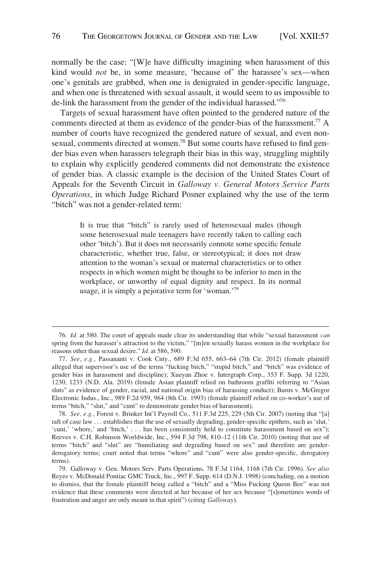normally be the case: "[W]e have difficulty imagining when harassment of this kind would *not* be, in some measure, 'because of' the harassee's sex—when one's genitals are grabbed, when one is denigrated in gender-specific language, and when one is threatened with sexual assault, it would seem to us impossible to de-link the harassment from the gender of the individual harassed."76

Targets of sexual harassment have often pointed to the gendered nature of the comments directed at them as evidence of the gender-bias of the harassment.<sup>77</sup> A number of courts have recognized the gendered nature of sexual, and even nonsexual, comments directed at women.<sup>78</sup> But some courts have refused to find gender bias even when harassers telegraph their bias in this way, struggling mightily to explain why explicitly gendered comments did not demonstrate the existence of gender bias. A classic example is the decision of the United States Court of Appeals for the Seventh Circuit in *Galloway v. General Motors Service Parts Operations*, in which Judge Richard Posner explained why the use of the term "bitch" was not a gender-related term:

> It is true that "bitch" is rarely used of heterosexual males (though some heterosexual male teenagers have recently taken to calling each other 'bitch'). But it does not necessarily connote some specific female characteristic, whether true, false, or stereotypical; it does not draw attention to the woman's sexual or maternal characteristics or to other respects in which women might be thought to be inferior to men in the workplace, or unworthy of equal dignity and respect. In its normal usage, it is simply a pejorative term for 'woman.'79

<sup>76.</sup> *Id.* at 580. The court of appeals made clear its understanding that while "sexual harassment *can* spring from the harasser's attraction to the victim," "[m]en sexually harass women in the workplace for reasons other than sexual desire." *Id.* at 586, 590.

<sup>77.</sup> *See, e.g.,* Passananti v. Cook Cnty., 689 F.3d 655, 663–64 (7th Cir. 2012) (female plaintiff alleged that supervisor's use of the terms "fucking bitch," "stupid bitch," and "bitch" was evidence of gender bias in harassment and discipline); Xueyan Zhoe v. Intergraph Corp., 353 F. Supp. 3d 1220, 1230, 1233 (N.D. Ala. 2019) (female Asian plaintiff relied on bathroom graffiti referring to "Asian sluts" as evidence of gender, racial, and national origin bias of harassing conduct); Burns v. McGregor Electronic Indus., Inc., 989 F.2d 959, 964 (8th Cir. 1993) (female plaintiff relied on co-worker's use of terms "bitch," "slut," and "cunt" to demonstrate gender bias of harassment).

<sup>78.</sup> *See, e.g.,* Forest v. Brinker Int'l Payroll Co., 511 F.3d 225, 229 (5th Cir. 2007) (noting that "[a] raft of case law . . . establishes that the use of sexually degrading, gender-specific epithets, such as 'slut,' 'cunt,' 'whore,' and 'bitch,' . . . has been consistently held to constitute harassment based on sex"); Reeves v. C.H. Robinson Worldwide, Inc., 594 F.3d 798, 810–12 (11th Cir. 2010) (noting that use of terms "bitch" and "slut" are "humiliating and degrading based on sex" and therefore are genderderogatory terms; court noted that terms "whore" and "cunt" were also gender-specific, derogatory terms).

<sup>79.</sup> Galloway v. Gen. Motors Serv. Parts Operations, 78 F.3d 1164, 1168 (7th Cir. 1996). *See also* Reyes v. McDonald Pontiac GMC Truck, Inc., 997 F. Supp. 614 (D.N.J. 1998) (concluding, on a motion to dismiss, that the female plaintiff being called a "bitch" and a "Miss Fucking Queen Bee" was not evidence that these comments were directed at her because of her sex because "[s]ometimes words of frustration and anger are only meant in that spirit") (citing *Galloway*).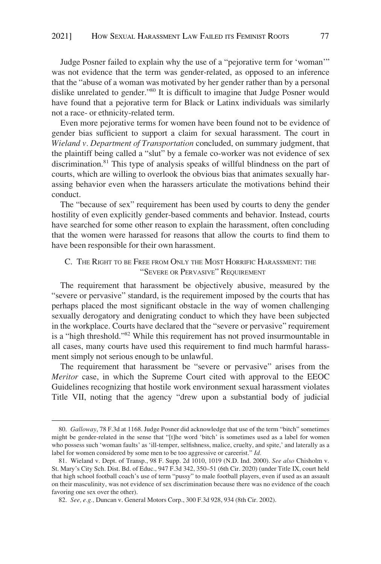<span id="page-20-0"></span>Judge Posner failed to explain why the use of a "pejorative term for 'woman'" was not evidence that the term was gender-related, as opposed to an inference that the "abuse of a woman was motivated by her gender rather than by a personal dislike unrelated to gender."80 It is difficult to imagine that Judge Posner would have found that a pejorative term for Black or Latinx individuals was similarly not a race- or ethnicity-related term.

Even more pejorative terms for women have been found not to be evidence of gender bias sufficient to support a claim for sexual harassment. The court in *Wieland v. Department of Transportation* concluded, on summary judgment, that the plaintiff being called a "slut" by a female co-worker was not evidence of sex discrimination.81 This type of analysis speaks of willful blindness on the part of courts, which are willing to overlook the obvious bias that animates sexually harassing behavior even when the harassers articulate the motivations behind their conduct.

The "because of sex" requirement has been used by courts to deny the gender hostility of even explicitly gender-based comments and behavior. Instead, courts have searched for some other reason to explain the harassment, often concluding that the women were harassed for reasons that allow the courts to find them to have been responsible for their own harassment.

# C. THE RIGHT TO BE FREE FROM ONLY THE MOST HORRIFIC HARASSMENT: THE "SEVERE OR PERVASIVE" REQUIREMENT

The requirement that harassment be objectively abusive, measured by the "severe or pervasive" standard, is the requirement imposed by the courts that has perhaps placed the most significant obstacle in the way of women challenging sexually derogatory and denigrating conduct to which they have been subjected in the workplace. Courts have declared that the "severe or pervasive" requirement is a "high threshold."82 While this requirement has not proved insurmountable in all cases, many courts have used this requirement to find much harmful harassment simply not serious enough to be unlawful.

The requirement that harassment be "severe or pervasive" arises from the *Meritor* case, in which the Supreme Court cited with approval to the EEOC Guidelines recognizing that hostile work environment sexual harassment violates Title VII, noting that the agency "drew upon a substantial body of judicial

<sup>80.</sup> *Galloway*, 78 F.3d at 1168. Judge Posner did acknowledge that use of the term "bitch" sometimes might be gender-related in the sense that "[t]he word 'bitch' is sometimes used as a label for women who possess such 'woman faults' as 'ill-temper, selfishness, malice, cruelty, and spite,' and laterally as a label for women considered by some men to be too aggressive or careerist." *Id.* 

<sup>81.</sup> Wieland v. Dept. of Transp., 98 F. Supp. 2d 1010, 1019 (N.D. Ind. 2000). *See also* Chisholm v. St. Mary's City Sch. Dist. Bd. of Educ., 947 F.3d 342, 350–51 (6th Cir. 2020) (under Title IX, court held that high school football coach's use of term "pussy" to male football players, even if used as an assault on their masculinity, was not evidence of sex discrimination because there was no evidence of the coach favoring one sex over the other).

<sup>82.</sup> *See, e.g.,* Duncan v. General Motors Corp., 300 F.3d 928, 934 (8th Cir. 2002).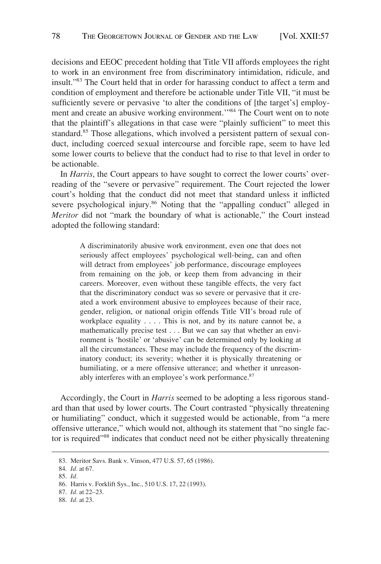decisions and EEOC precedent holding that Title VII affords employees the right to work in an environment free from discriminatory intimidation, ridicule, and insult."83 The Court held that in order for harassing conduct to affect a term and condition of employment and therefore be actionable under Title VII, "it must be sufficiently severe or pervasive 'to alter the conditions of [the target's] employment and create an abusive working environment.'"84 The Court went on to note that the plaintiff's allegations in that case were "plainly sufficient" to meet this standard.<sup>85</sup> Those allegations, which involved a persistent pattern of sexual conduct, including coerced sexual intercourse and forcible rape, seem to have led some lower courts to believe that the conduct had to rise to that level in order to be actionable.

In *Harris*, the Court appears to have sought to correct the lower courts' overreading of the "severe or pervasive" requirement. The Court rejected the lower court's holding that the conduct did not meet that standard unless it inflicted severe psychological injury.<sup>86</sup> Noting that the "appalling conduct" alleged in *Meritor* did not "mark the boundary of what is actionable," the Court instead adopted the following standard:

> A discriminatorily abusive work environment, even one that does not seriously affect employees' psychological well-being, can and often will detract from employees' job performance, discourage employees from remaining on the job, or keep them from advancing in their careers. Moreover, even without these tangible effects, the very fact that the discriminatory conduct was so severe or pervasive that it created a work environment abusive to employees because of their race, gender, religion, or national origin offends Title VII's broad rule of workplace equality . . . . This is not, and by its nature cannot be, a mathematically precise test . . . But we can say that whether an environment is 'hostile' or 'abusive' can be determined only by looking at all the circumstances. These may include the frequency of the discriminatory conduct; its severity; whether it is physically threatening or humiliating, or a mere offensive utterance; and whether it unreasonably interferes with an employee's work performance.<sup>87</sup>

Accordingly, the Court in *Harris* seemed to be adopting a less rigorous standard than that used by lower courts. The Court contrasted "physically threatening or humiliating" conduct, which it suggested would be actionable, from "a mere offensive utterance," which would not, although its statement that "no single factor is required"88 indicates that conduct need not be either physically threatening

<sup>83.</sup> Meritor Savs. Bank v. Vinson, 477 U.S. 57, 65 (1986).

<sup>84.</sup> *Id.* at 67.

<sup>85.</sup> *Id.* 

<sup>86.</sup> Harris v. Forklift Sys., Inc., 510 U.S. 17, 22 (1993).

<sup>87.</sup> *Id.* at 22–23.

<sup>88.</sup> *Id.* at 23.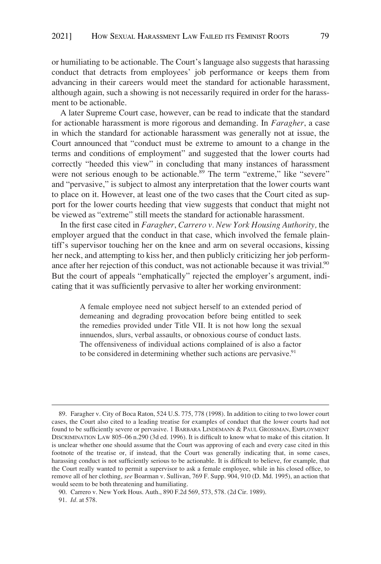or humiliating to be actionable. The Court's language also suggests that harassing conduct that detracts from employees' job performance or keeps them from advancing in their careers would meet the standard for actionable harassment, although again, such a showing is not necessarily required in order for the harassment to be actionable.

A later Supreme Court case, however, can be read to indicate that the standard for actionable harassment is more rigorous and demanding. In *Faragher*, a case in which the standard for actionable harassment was generally not at issue, the Court announced that "conduct must be extreme to amount to a change in the terms and conditions of employment" and suggested that the lower courts had correctly "heeded this view" in concluding that many instances of harassment were not serious enough to be actionable.<sup>89</sup> The term "extreme," like "severe" and "pervasive," is subject to almost any interpretation that the lower courts want to place on it. However, at least one of the two cases that the Court cited as support for the lower courts heeding that view suggests that conduct that might not be viewed as "extreme" still meets the standard for actionable harassment.

In the first case cited in *Faragher*, *Carrero v. New York Housing Authority,* the employer argued that the conduct in that case, which involved the female plaintiff's supervisor touching her on the knee and arm on several occasions, kissing her neck, and attempting to kiss her, and then publicly criticizing her job performance after her rejection of this conduct, was not actionable because it was trivial.<sup>90</sup> But the court of appeals "emphatically" rejected the employer's argument, indicating that it was sufficiently pervasive to alter her working environment:

> A female employee need not subject herself to an extended period of demeaning and degrading provocation before being entitled to seek the remedies provided under Title VII. It is not how long the sexual innuendos, slurs, verbal assaults, or obnoxious course of conduct lasts. The offensiveness of individual actions complained of is also a factor to be considered in determining whether such actions are pervasive.<sup>91</sup>

<sup>89.</sup> Faragher v. City of Boca Raton, 524 U.S. 775, 778 (1998). In addition to citing to two lower court cases, the Court also cited to a leading treatise for examples of conduct that the lower courts had not found to be sufficiently severe or pervasive. 1 BARBARA LINDEMANN & PAUL GROSSMAN, EMPLOYMENT DISCRIMINATION LAW 805–06 n.290 (3d ed. 1996). It is difficult to know what to make of this citation. It is unclear whether one should assume that the Court was approving of each and every case cited in this footnote of the treatise or, if instead, that the Court was generally indicating that, in some cases, harassing conduct is not sufficiently serious to be actionable. It is difficult to believe, for example, that the Court really wanted to permit a supervisor to ask a female employee, while in his closed office, to remove all of her clothing, *see* Boarman v. Sullivan, 769 F. Supp. 904, 910 (D. Md. 1995), an action that would seem to be both threatening and humiliating.

<sup>90.</sup> Carrero v. New York Hous. Auth., 890 F.2d 569, 573, 578. (2d Cir. 1989). 91. *Id.* at 578.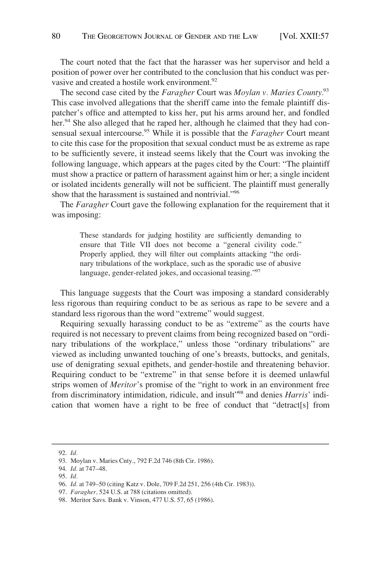The court noted that the fact that the harasser was her supervisor and held a position of power over her contributed to the conclusion that his conduct was pervasive and created a hostile work environment.<sup>92</sup>

The second case cited by the *Faragher* Court was *Moylan v. Maries County.*<sup>93</sup> This case involved allegations that the sheriff came into the female plaintiff dispatcher's office and attempted to kiss her, put his arms around her, and fondled her.<sup>94</sup> She also alleged that he raped her, although he claimed that they had consensual sexual intercourse.95 While it is possible that the *Faragher* Court meant to cite this case for the proposition that sexual conduct must be as extreme as rape to be sufficiently severe, it instead seems likely that the Court was invoking the following language, which appears at the pages cited by the Court: "The plaintiff must show a practice or pattern of harassment against him or her; a single incident or isolated incidents generally will not be sufficient. The plaintiff must generally show that the harassment is sustained and nontrivial."96

The *Faragher* Court gave the following explanation for the requirement that it was imposing:

> These standards for judging hostility are sufficiently demanding to ensure that Title VII does not become a "general civility code." Properly applied, they will filter out complaints attacking "the ordinary tribulations of the workplace, such as the sporadic use of abusive language, gender-related jokes, and occasional teasing."<sup>97</sup>

This language suggests that the Court was imposing a standard considerably less rigorous than requiring conduct to be as serious as rape to be severe and a standard less rigorous than the word "extreme" would suggest.

Requiring sexually harassing conduct to be as "extreme" as the courts have required is not necessary to prevent claims from being recognized based on "ordinary tribulations of the workplace," unless those "ordinary tribulations" are viewed as including unwanted touching of one's breasts, buttocks, and genitals, use of denigrating sexual epithets, and gender-hostile and threatening behavior. Requiring conduct to be "extreme" in that sense before it is deemed unlawful strips women of *Meritor*'s promise of the "right to work in an environment free from discriminatory intimidation, ridicule, and insult"98 and denies *Harris*' indication that women have a right to be free of conduct that "detract[s] from

<sup>92.</sup> *Id.* 

<sup>93.</sup> Moylan v. Maries Cnty., 792 F.2d 746 (8th Cir. 1986).

<sup>94.</sup> *Id.* at 747–48.

<sup>95.</sup> *Id.* 

<sup>96.</sup> *Id.* at 749–50 (citing Katz v. Dole, 709 F.2d 251, 256 (4th Cir. 1983)).

<sup>97.</sup> *Faragher,* 524 U.S. at 788 (citations omitted).

<sup>98.</sup> Meritor Savs. Bank v. Vinson, 477 U.S. 57, 65 (1986).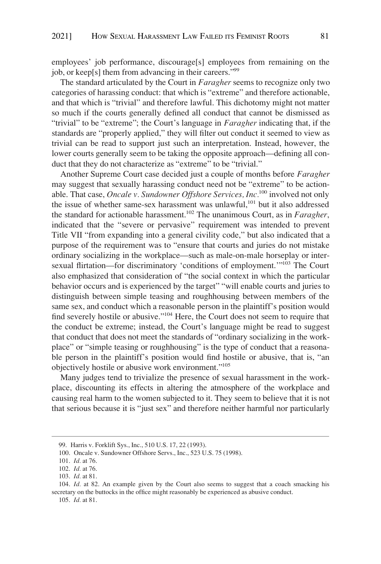employees' job performance, discourage[s] employees from remaining on the job, or keep[s] them from advancing in their careers."99

The standard articulated by the Court in *Faragher* seems to recognize only two categories of harassing conduct: that which is "extreme" and therefore actionable, and that which is "trivial" and therefore lawful. This dichotomy might not matter so much if the courts generally defined all conduct that cannot be dismissed as "trivial" to be "extreme"; the Court's language in *Faragher* indicating that, if the standards are "properly applied," they will filter out conduct it seemed to view as trivial can be read to support just such an interpretation. Instead, however, the lower courts generally seem to be taking the opposite approach—defining all conduct that they do not characterize as "extreme" to be "trivial."

Another Supreme Court case decided just a couple of months before *Faragher*  may suggest that sexually harassing conduct need not be "extreme" to be actionable. That case, *Oncale v. Sundowner Offshore Services, Inc.*100 involved not only the issue of whether same-sex harassment was unlawful,<sup>101</sup> but it also addressed the standard for actionable harassment.102 The unanimous Court, as in *Faragher*, indicated that the "severe or pervasive" requirement was intended to prevent Title VII "from expanding into a general civility code," but also indicated that a purpose of the requirement was to "ensure that courts and juries do not mistake ordinary socializing in the workplace—such as male-on-male horseplay or intersexual flirtation—for discriminatory 'conditions of employment.'"103 The Court also emphasized that consideration of "the social context in which the particular behavior occurs and is experienced by the target" "will enable courts and juries to distinguish between simple teasing and roughhousing between members of the same sex, and conduct which a reasonable person in the plaintiff's position would find severely hostile or abusive."<sup>104</sup> Here, the Court does not seem to require that the conduct be extreme; instead, the Court's language might be read to suggest that conduct that does not meet the standards of "ordinary socializing in the workplace" or "simple teasing or roughhousing" is the type of conduct that a reasonable person in the plaintiff's position would find hostile or abusive, that is, "an objectively hostile or abusive work environment."105

Many judges tend to trivialize the presence of sexual harassment in the workplace, discounting its effects in altering the atmosphere of the workplace and causing real harm to the women subjected to it. They seem to believe that it is not that serious because it is "just sex" and therefore neither harmful nor particularly

<sup>99.</sup> Harris v. Forklift Sys., Inc., 510 U.S. 17, 22 (1993).

<sup>100.</sup> Oncale v. Sundowner Offshore Servs., Inc., 523 U.S. 75 (1998).

<sup>101.</sup> *Id.* at 76.

<sup>102.</sup> *Id.* at 76.

<sup>103.</sup> *Id.* at 81.

<sup>104.</sup> *Id.* at 82. An example given by the Court also seems to suggest that a coach smacking his secretary on the buttocks in the office might reasonably be experienced as abusive conduct.

<sup>105.</sup> *Id.* at 81.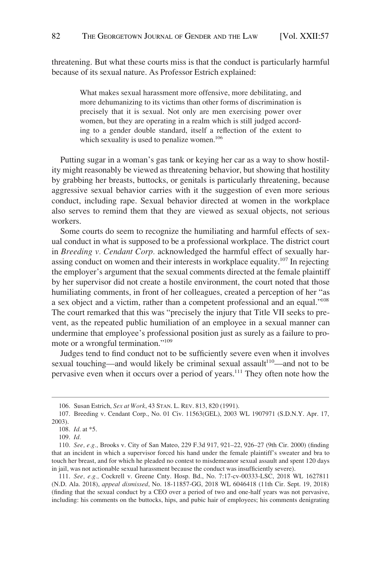threatening. But what these courts miss is that the conduct is particularly harmful because of its sexual nature. As Professor Estrich explained:

> What makes sexual harassment more offensive, more debilitating, and more dehumanizing to its victims than other forms of discrimination is precisely that it is sexual. Not only are men exercising power over women, but they are operating in a realm which is still judged according to a gender double standard, itself a reflection of the extent to which sexuality is used to penalize women.<sup>106</sup>

Putting sugar in a woman's gas tank or keying her car as a way to show hostility might reasonably be viewed as threatening behavior, but showing that hostility by grabbing her breasts, buttocks, or genitals is particularly threatening, because aggressive sexual behavior carries with it the suggestion of even more serious conduct, including rape. Sexual behavior directed at women in the workplace also serves to remind them that they are viewed as sexual objects, not serious workers.

Some courts do seem to recognize the humiliating and harmful effects of sexual conduct in what is supposed to be a professional workplace. The district court in *Breeding v. Cendant Corp.* acknowledged the harmful effect of sexually harassing conduct on women and their interests in workplace equality.<sup>107</sup> In rejecting the employer's argument that the sexual comments directed at the female plaintiff by her supervisor did not create a hostile environment, the court noted that those humiliating comments, in front of her colleagues, created a perception of her "as a sex object and a victim, rather than a competent professional and an equal."108 The court remarked that this was "precisely the injury that Title VII seeks to prevent, as the repeated public humiliation of an employee in a sexual manner can undermine that employee's professional position just as surely as a failure to promote or a wrongful termination."109

Judges tend to find conduct not to be sufficiently severe even when it involves sexual touching—and would likely be criminal sexual assault<sup>110</sup>—and not to be pervasive even when it occurs over a period of years.111 They often note how the

<sup>106.</sup> Susan Estrich, *Sex at Work*, 43 STAN. L. REV. 813, 820 (1991).

<sup>107.</sup> Breeding v. Cendant Corp., No. 01 Civ. 11563(GEL), 2003 WL 1907971 (S.D.N.Y. Apr. 17, 2003).

<sup>108.</sup> *Id.* at \*5.

<sup>109.</sup> *Id.* 

<sup>110.</sup> *See, e.g.,* Brooks v. City of San Mateo, 229 F.3d 917, 921–22, 926–27 (9th Cir. 2000) (finding that an incident in which a supervisor forced his hand under the female plaintiff's sweater and bra to touch her breast, and for which he pleaded no contest to misdemeanor sexual assault and spent 120 days in jail, was not actionable sexual harassment because the conduct was insufficiently severe).

<sup>111.</sup> *See, e.g.,* Cockrell v. Greene Cnty. Hosp. Bd., No. 7:17-cv-00333-LSC, 2018 WL 1627811 (N.D. Ala. 2018), *appeal dismissed*, No. 18-11857-GG, 2018 WL 6046418 (11th Cir. Sept. 19, 2018) (finding that the sexual conduct by a CEO over a period of two and one-half years was not pervasive, including: his comments on the buttocks, hips, and pubic hair of employees; his comments denigrating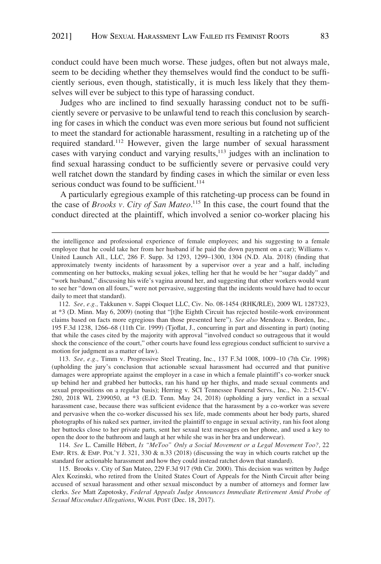conduct could have been much worse. These judges, often but not always male, seem to be deciding whether they themselves would find the conduct to be sufficiently serious, even though, statistically, it is much less likely that they themselves will ever be subject to this type of harassing conduct.

Judges who are inclined to find sexually harassing conduct not to be sufficiently severe or pervasive to be unlawful tend to reach this conclusion by searching for cases in which the conduct was even more serious but found not sufficient to meet the standard for actionable harassment, resulting in a ratcheting up of the required standard.112 However, given the large number of sexual harassment cases with varying conduct and varying results,113 judges with an inclination to find sexual harassing conduct to be sufficiently severe or pervasive could very well ratchet down the standard by finding cases in which the similar or even less serious conduct was found to be sufficient.<sup>114</sup>

A particularly egregious example of this ratcheting-up process can be found in the case of *Brooks v. City of San Mateo*. 115 In this case, the court found that the conduct directed at the plaintiff, which involved a senior co-worker placing his

112. *See, e.g.,* Takkunen v. Sappi Cloquet LLC, Civ. No. 08-1454 (RHK/RLE), 2009 WL 1287323, at \*3 (D. Minn. May 6, 2009) (noting that "[t]he Eighth Circuit has rejected hostile-work environment claims based on facts more egregious than those presented here"). *See also* Mendoza v. Borden, Inc., 195 F.3d 1238, 1266–68 (11th Cir. 1999) (Tjoflat, J., concurring in part and dissenting in part) (noting that while the cases cited by the majority with approval "involved conduct so outrageous that it would shock the conscience of the court," other courts have found less egregious conduct sufficient to survive a motion for judgment as a matter of law).

113. *See, e.g.,* Timm v. Progressive Steel Treating, Inc., 137 F.3d 1008, 1009–10 (7th Cir. 1998) (upholding the jury's conclusion that actionable sexual harassment had occurred and that punitive damages were appropriate against the employer in a case in which a female plaintiff's co-worker snuck up behind her and grabbed her buttocks, ran his hand up her thighs, and made sexual comments and sexual propositions on a regular basis); Herring v. SCI Tennessee Funeral Servs., Inc., No. 2:15-CV-280, 2018 WL 2399050, at \*3 (E.D. Tenn. May 24, 2018) (upholding a jury verdict in a sexual harassment case, because there was sufficient evidence that the harassment by a co-worker was severe and pervasive when the co-worker discussed his sex life, made comments about her body parts, shared photographs of his naked sex partner, invited the plaintiff to engage in sexual activity, ran his foot along her buttocks close to her private parts, sent her sexual text messages on her phone, and used a key to open the door to the bathroom and laugh at her while she was in her bra and underwear).

114. *See* L. Camille He´bert, *Is "MeToo" Only a Social Movement or a Legal Movement Too?,* 22 EMP. RTS. & EMP. POL'Y J. 321, 330 & n.33 (2018) (discussing the way in which courts ratchet up the standard for actionable harassment and how they could instead ratchet down that standard).

115. Brooks v. City of San Mateo, 229 F.3d 917 (9th Cir. 2000). This decision was written by Judge Alex Kozinski, who retired from the United States Court of Appeals for the Ninth Circuit after being accused of sexual harassment and other sexual misconduct by a number of attorneys and former law clerks. *See* Matt Zapotosky, *Federal Appeals Judge Announces Immediate Retirement Amid Probe of Sexual Misconduct Allegations*, WASH. POST (Dec. 18, 2017).

the intelligence and professional experience of female employees; and his suggesting to a female employee that he could take her from her husband if he paid the down payment on a car); Williams v. United Launch All., LLC, 286 F. Supp. 3d 1293, 1299–1300, 1304 (N.D. Ala. 2018) (finding that approximately twenty incidents of harassment by a supervisor over a year and a half, including commenting on her buttocks, making sexual jokes, telling her that he would be her "sugar daddy" and "work husband," discussing his wife's vagina around her, and suggesting that other workers would want to see her "down on all fours," were not pervasive, suggesting that the incidents would have had to occur daily to meet that standard).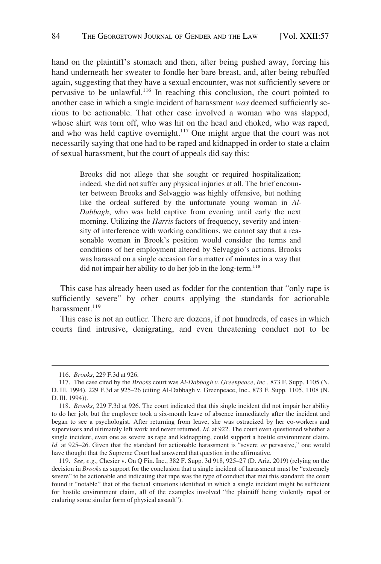hand on the plaintiff's stomach and then, after being pushed away, forcing his hand underneath her sweater to fondle her bare breast, and, after being rebuffed again, suggesting that they have a sexual encounter, was not sufficiently severe or pervasive to be unlawful.116 In reaching this conclusion, the court pointed to another case in which a single incident of harassment *was* deemed sufficiently serious to be actionable. That other case involved a woman who was slapped, whose shirt was torn off, who was hit on the head and choked, who was raped, and who was held captive overnight.<sup>117</sup> One might argue that the court was not necessarily saying that one had to be raped and kidnapped in order to state a claim of sexual harassment, but the court of appeals did say this:

> Brooks did not allege that she sought or required hospitalization; indeed, she did not suffer any physical injuries at all. The brief encounter between Brooks and Selvaggio was highly offensive, but nothing like the ordeal suffered by the unfortunate young woman in *Al-Dabbagh*, who was held captive from evening until early the next morning. Utilizing the *Harris* factors of frequency, severity and intensity of interference with working conditions, we cannot say that a reasonable woman in Brook's position would consider the terms and conditions of her employment altered by Selvaggio's actions. Brooks was harassed on a single occasion for a matter of minutes in a way that did not impair her ability to do her job in the long-term.<sup>118</sup>

This case has already been used as fodder for the contention that "only rape is sufficiently severe" by other courts applying the standards for actionable harassment<sup>119</sup>

This case is not an outlier. There are dozens, if not hundreds, of cases in which courts find intrusive, denigrating, and even threatening conduct not to be

<sup>116.</sup> *Brooks*, 229 F.3d at 926.

<sup>117.</sup> The case cited by the *Brooks* court was *Al-Dabbagh v. Greenpeace, Inc.,* 873 F. Supp. 1105 (N. D. Ill. 1994). 229 F.3d at 925–26 (citing Al-Dabbagh v. Greenpeace, Inc., 873 F. Supp. 1105, 1108 (N. D. Ill. 1994)).

<sup>118.</sup> *Brooks,* 229 F.3d at 926. The court indicated that this single incident did not impair her ability to do her job, but the employee took a six-month leave of absence immediately after the incident and began to see a psychologist. After returning from leave, she was ostracized by her co-workers and supervisors and ultimately left work and never returned. *Id.* at 922. The court even questioned whether a single incident, even one as severe as rape and kidnapping, could support a hostile environment claim. *Id.* at 925–26. Given that the standard for actionable harassment is "severe *or* pervasive," one would have thought that the Supreme Court had answered that question in the affirmative.

<sup>119.</sup> *See, e.g.,* Chesier v. On Q Fin. Inc., 382 F. Supp. 3d 918, 925–27 (D. Ariz. 2019) (relying on the decision in *Brooks* as support for the conclusion that a single incident of harassment must be "extremely severe" to be actionable and indicating that rape was the type of conduct that met this standard; the court found it "notable" that of the factual situations identified in which a single incident might be sufficient for hostile environment claim, all of the examples involved "the plaintiff being violently raped or enduring some similar form of physical assault").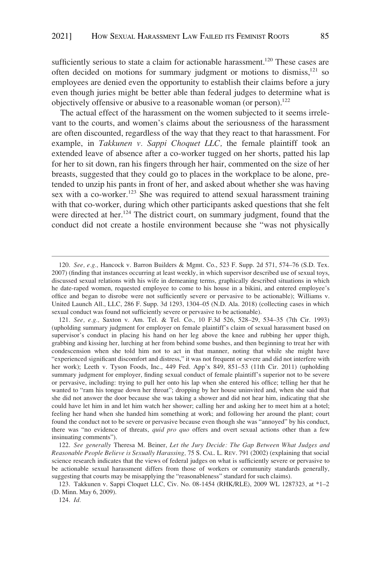sufficiently serious to state a claim for actionable harassment.<sup>120</sup> These cases are often decided on motions for summary judgment or motions to dismiss, $121$  so employees are denied even the opportunity to establish their claims before a jury even though juries might be better able than federal judges to determine what is objectively offensive or abusive to a reasonable woman (or person).122

The actual effect of the harassment on the women subjected to it seems irrelevant to the courts, and women's claims about the seriousness of the harassment are often discounted, regardless of the way that they react to that harassment. For example, in *Takkunen v. Sappi Choquet LLC,* the female plaintiff took an extended leave of absence after a co-worker tugged on her shorts, patted his lap for her to sit down, ran his fingers through her hair, commented on the size of her breasts, suggested that they could go to places in the workplace to be alone, pretended to unzip his pants in front of her, and asked about whether she was having sex with a co-worker.<sup>123</sup> She was required to attend sexual harassment training with that co-worker, during which other participants asked questions that she felt were directed at her.<sup>124</sup> The district court, on summary judgment, found that the conduct did not create a hostile environment because she "was not physically

<sup>120.</sup> *See, e.g.,* Hancock v. Barron Builders & Mgmt. Co., 523 F. Supp. 2d 571, 574–76 (S.D. Tex. 2007) (finding that instances occurring at least weekly, in which supervisor described use of sexual toys, discussed sexual relations with his wife in demeaning terms, graphically described situations in which he date-raped women, requested employee to come to his house in a bikini, and entered employee's office and began to disrobe were not sufficiently severe or pervasive to be actionable); Williams v. United Launch All., LLC, 286 F. Supp. 3d 1293, 1304–05 (N.D. Ala. 2018) (collecting cases in which sexual conduct was found not sufficiently severe or pervasive to be actionable).

<sup>121.</sup> *See, e.g.,* Saxton v. Am. Tel. & Tel. Co., 10 F.3d 526, 528–29, 534–35 (7th Cir. 1993) (upholding summary judgment for employer on female plaintiff's claim of sexual harassment based on supervisor's conduct in placing his hand on her leg above the knee and rubbing her upper thigh, grabbing and kissing her, lurching at her from behind some bushes, and then beginning to treat her with condescension when she told him not to act in that manner, noting that while she might have "experienced significant discomfort and distress," it was not frequent or severe and did not interfere with her work); Leeth v. Tyson Foods, Inc., 449 Fed. App'x 849, 851–53 (11th Cir. 2011) (upholding summary judgment for employer, finding sexual conduct of female plaintiff's superior not to be severe or pervasive, including: trying to pull her onto his lap when she entered his office; telling her that he wanted to "ram his tongue down her throat"; dropping by her house uninvited and, when she said that she did not answer the door because she was taking a shower and did not hear him, indicating that she could have let him in and let him watch her shower; calling her and asking her to meet him at a hotel; feeling her hand when she handed him something at work; and following her around the plant; court found the conduct not to be severe or pervasive because even though she was "annoyed" by his conduct, there was "no evidence of threats, *quid pro quo* offers and overt sexual actions other than a few insinuating comments").

<sup>122.</sup> *See generally* Theresa M. Beiner, *Let the Jury Decide: The Gap Between What Judges and Reasonable People Believe is Sexually Harassing,* 75 S. CAL. L. REV. 791 (2002) (explaining that social science research indicates that the views of federal judges on what is sufficiently severe or pervasive to be actionable sexual harassment differs from those of workers or community standards generally, suggesting that courts may be misapplying the "reasonableness" standard for such claims).

<sup>123.</sup> Takkunen v. Sappi Cloquet LLC, Civ. No. 08-1454 (RHK/RLE), 2009 WL 1287323, at \*1–2 (D. Minn. May 6, 2009).

<sup>124.</sup> *Id.*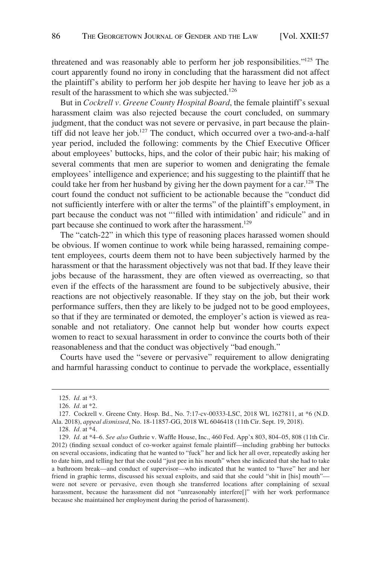threatened and was reasonably able to perform her job responsibilities."125 The court apparently found no irony in concluding that the harassment did not affect the plaintiff's ability to perform her job despite her having to leave her job as a result of the harassment to which she was subjected.<sup>126</sup>

But in *Cockrell v. Greene County Hospital Board*, the female plaintiff's sexual harassment claim was also rejected because the court concluded, on summary judgment, that the conduct was not severe or pervasive, in part because the plaintiff did not leave her job.<sup>127</sup> The conduct, which occurred over a two-and-a-half year period, included the following: comments by the Chief Executive Officer about employees' buttocks, hips, and the color of their pubic hair; his making of several comments that men are superior to women and denigrating the female employees' intelligence and experience; and his suggesting to the plaintiff that he could take her from her husband by giving her the down payment for a car.<sup>128</sup> The court found the conduct not sufficient to be actionable because the "conduct did not sufficiently interfere with or alter the terms" of the plaintiff's employment, in part because the conduct was not "'filled with intimidation' and ridicule" and in part because she continued to work after the harassment.<sup>129</sup>

The "catch-22" in which this type of reasoning places harassed women should be obvious. If women continue to work while being harassed, remaining competent employees, courts deem them not to have been subjectively harmed by the harassment or that the harassment objectively was not that bad. If they leave their jobs because of the harassment, they are often viewed as overreacting, so that even if the effects of the harassment are found to be subjectively abusive, their reactions are not objectively reasonable. If they stay on the job, but their work performance suffers, then they are likely to be judged not to be good employees, so that if they are terminated or demoted, the employer's action is viewed as reasonable and not retaliatory. One cannot help but wonder how courts expect women to react to sexual harassment in order to convince the courts both of their reasonableness and that the conduct was objectively "bad enough."

Courts have used the "severe or pervasive" requirement to allow denigrating and harmful harassing conduct to continue to pervade the workplace, essentially

<sup>125.</sup> *Id.* at \*3.

<sup>126.</sup> *Id.* at \*2.

<sup>127.</sup> Cockrell v. Greene Cnty. Hosp. Bd., No. 7:17-cv-00333-LSC, 2018 WL 1627811, at \*6 (N.D. Ala. 2018), *appeal dismissed*, No. 18-11857-GG, 2018 WL 6046418 (11th Cir. Sept. 19, 2018).

<sup>128.</sup> *Id.* at \*4.

<sup>129.</sup> *Id.* at \*4–6. *See also* Guthrie v. Waffle House, Inc., 460 Fed. App'x 803, 804–05, 808 (11th Cir. 2012) (finding sexual conduct of co-worker against female plaintiff—including grabbing her buttocks on several occasions, indicating that he wanted to "fuck" her and lick her all over, repeatedly asking her to date him, and telling her that she could "just pee in his mouth" when she indicated that she had to take a bathroom break—and conduct of supervisor—who indicated that he wanted to "have" her and her friend in graphic terms, discussed his sexual exploits, and said that she could "shit in [his] mouth" were not severe or pervasive, even though she transferred locations after complaining of sexual harassment, because the harassment did not "unreasonably interfere[]" with her work performance because she maintained her employment during the period of harassment).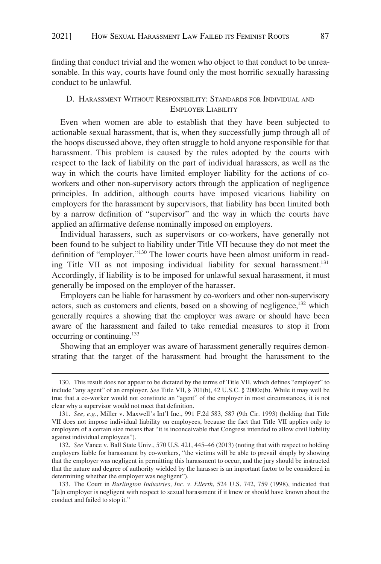<span id="page-30-0"></span>finding that conduct trivial and the women who object to that conduct to be unreasonable. In this way, courts have found only the most horrific sexually harassing conduct to be unlawful.

## D. HARASSMENT WITHOUT RESPONSIBILITY: STANDARDS FOR INDIVIDUAL AND EMPLOYER LIABILITY

Even when women are able to establish that they have been subjected to actionable sexual harassment, that is, when they successfully jump through all of the hoops discussed above, they often struggle to hold anyone responsible for that harassment. This problem is caused by the rules adopted by the courts with respect to the lack of liability on the part of individual harassers, as well as the way in which the courts have limited employer liability for the actions of coworkers and other non-supervisory actors through the application of negligence principles. In addition, although courts have imposed vicarious liability on employers for the harassment by supervisors, that liability has been limited both by a narrow definition of "supervisor" and the way in which the courts have applied an affirmative defense nominally imposed on employers.

Individual harassers, such as supervisors or co-workers, have generally not been found to be subject to liability under Title VII because they do not meet the definition of "employer."130 The lower courts have been almost uniform in reading Title VII as not imposing individual liability for sexual harassment.<sup>131</sup> Accordingly, if liability is to be imposed for unlawful sexual harassment, it must generally be imposed on the employer of the harasser.

Employers can be liable for harassment by co-workers and other non-supervisory actors, such as customers and clients, based on a showing of negligence,<sup>132</sup> which generally requires a showing that the employer was aware or should have been aware of the harassment and failed to take remedial measures to stop it from occurring or continuing.133

Showing that an employer was aware of harassment generally requires demonstrating that the target of the harassment had brought the harassment to the

<sup>130.</sup> This result does not appear to be dictated by the terms of Title VII, which defines "employer" to include "any agent" of an employer. *See* Title VII, § 701(b), 42 U.S.C. § 2000e(b). While it may well be true that a co-worker would not constitute an "agent" of the employer in most circumstances, it is not clear why a supervisor would not meet that definition.

<sup>131.</sup> *See, e.g.,* Miller v. Maxwell's Int'l Inc., 991 F.2d 583, 587 (9th Cir. 1993) (holding that Title VII does not impose individual liability on employees, because the fact that Title VII applies only to employers of a certain size means that "it is inconceivable that Congress intended to allow civil liability against individual employees").

<sup>132.</sup> *See* Vance v. Ball State Univ., 570 U.S. 421, 445–46 (2013) (noting that with respect to holding employers liable for harassment by co-workers, "the victims will be able to prevail simply by showing that the employer was negligent in permitting this harassment to occur, and the jury should be instructed that the nature and degree of authority wielded by the harasser is an important factor to be considered in determining whether the employer was negligent").

<sup>133.</sup> The Court in *Burlington Industries, Inc. v. Ellerth*, 524 U.S. 742, 759 (1998), indicated that "[a]n employer is negligent with respect to sexual harassment if it knew or should have known about the conduct and failed to stop it."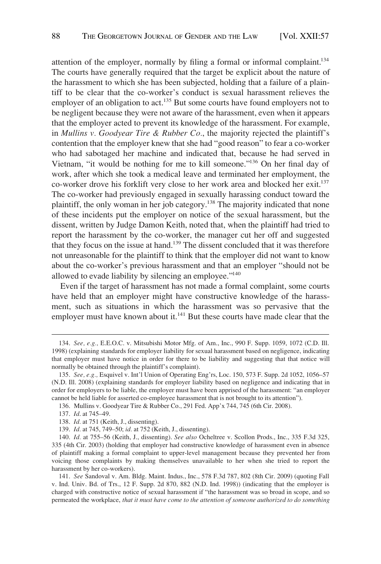attention of the employer, normally by filing a formal or informal complaint.<sup>134</sup> The courts have generally required that the target be explicit about the nature of the harassment to which she has been subjected, holding that a failure of a plaintiff to be clear that the co-worker's conduct is sexual harassment relieves the employer of an obligation to act.<sup>135</sup> But some courts have found employers not to be negligent because they were not aware of the harassment, even when it appears that the employer acted to prevent its knowledge of the harassment. For example, in *Mullins v. Goodyear Tire & Rubber Co.*, the majority rejected the plaintiff's contention that the employer knew that she had "good reason" to fear a co-worker who had sabotaged her machine and indicated that, because he had served in Vietnam, "it would be nothing for me to kill someone."136 On her final day of work, after which she took a medical leave and terminated her employment, the co-worker drove his forklift very close to her work area and blocked her exit.137 The co-worker had previously engaged in sexually harassing conduct toward the plaintiff, the only woman in her job category.138 The majority indicated that none of these incidents put the employer on notice of the sexual harassment, but the dissent, written by Judge Damon Keith, noted that, when the plaintiff had tried to report the harassment by the co-worker, the manager cut her off and suggested that they focus on the issue at hand.139 The dissent concluded that it was therefore not unreasonable for the plaintiff to think that the employer did not want to know about the co-worker's previous harassment and that an employer "should not be allowed to evade liability by silencing an employee."140

Even if the target of harassment has not made a formal complaint, some courts have held that an employer might have constructive knowledge of the harassment, such as situations in which the harassment was so pervasive that the employer must have known about it.<sup>141</sup> But these courts have made clear that the

<sup>134.</sup> *See, e.g.,* E.E.O.C. v. Mitsubishi Motor Mfg. of Am., Inc., 990 F. Supp. 1059, 1072 (C.D. Ill. 1998) (explaining standards for employer liability for sexual harassment based on negligence, indicating that employer must have notice in order for there to be liability and suggesting that that notice will normally be obtained through the plaintiff's complaint).

<sup>135.</sup> *See, e.g.,* Esquivel v. Int'l Union of Operating Eng'rs, Loc. 150, 573 F. Supp. 2d 1052, 1056–57 (N.D. Ill. 2008) (explaining standards for employer liability based on negligence and indicating that in order for employers to be liable, the employer must have been apprised of the harassment: "an employer cannot be held liable for asserted co-employee harassment that is not brought to its attention").

<sup>136.</sup> Mullins v. Goodyear Tire & Rubber Co., 291 Fed. App'x 744, 745 (6th Cir. 2008).

<sup>137.</sup> *Id*. at 745–49.

<sup>138.</sup> *Id.* at 751 (Keith, J., dissenting).

<sup>139.</sup> *Id.* at 745, 749–50; *id.* at 752 (Keith, J., dissenting).

<sup>140.</sup> *Id.* at 755–56 (Keith, J., dissenting). *See also* Ocheltree v. Scollon Prods., Inc., 335 F.3d 325, 335 (4th Cir. 2003) (holding that employer had constructive knowledge of harassment even in absence of plaintiff making a formal complaint to upper-level management because they prevented her from voicing those complaints by making themselves unavailable to her when she tried to report the harassment by her co-workers).

<sup>141.</sup> *See* Sandoval v. Am. Bldg. Maint. Indus., Inc., 578 F.3d 787, 802 (8th Cir. 2009) (quoting Fall v. Ind. Univ. Bd. of Trs., 12 F. Supp. 2d 870, 882 (N.D. Ind. 1998)) (indicating that the employer is charged with constructive notice of sexual harassment if "the harassment was so broad in scope, and so permeated the workplace, *that it must have come to the attention of someone authorized to do something*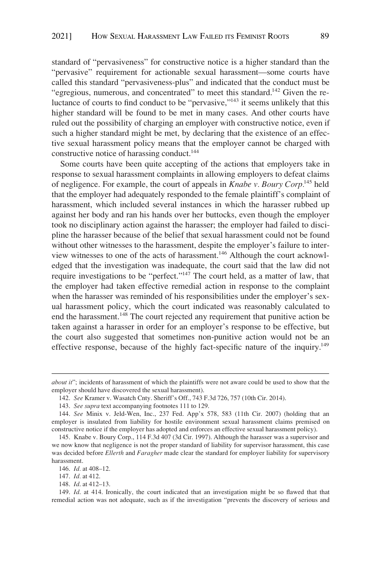standard of "pervasiveness" for constructive notice is a higher standard than the "pervasive" requirement for actionable sexual harassment—some courts have called this standard "pervasiveness-plus" and indicated that the conduct must be "egregious, numerous, and concentrated" to meet this standard.<sup>142</sup> Given the reluctance of courts to find conduct to be "pervasive,"143 it seems unlikely that this higher standard will be found to be met in many cases. And other courts have ruled out the possibility of charging an employer with constructive notice, even if such a higher standard might be met, by declaring that the existence of an effective sexual harassment policy means that the employer cannot be charged with constructive notice of harassing conduct.<sup>144</sup>

Some courts have been quite accepting of the actions that employers take in response to sexual harassment complaints in allowing employers to defeat claims of negligence. For example, the court of appeals in *Knabe v. Boury Corp.*145 held that the employer had adequately responded to the female plaintiff's complaint of harassment, which included several instances in which the harasser rubbed up against her body and ran his hands over her buttocks, even though the employer took no disciplinary action against the harasser; the employer had failed to discipline the harasser because of the belief that sexual harassment could not be found without other witnesses to the harassment, despite the employer's failure to interview witnesses to one of the acts of harassment.<sup>146</sup> Although the court acknowledged that the investigation was inadequate, the court said that the law did not require investigations to be "perfect."<sup>147</sup> The court held, as a matter of law, that the employer had taken effective remedial action in response to the complaint when the harasser was reminded of his responsibilities under the employer's sexual harassment policy, which the court indicated was reasonably calculated to end the harassment.<sup>148</sup> The court rejected any requirement that punitive action be taken against a harasser in order for an employer's response to be effective, but the court also suggested that sometimes non-punitive action would not be an effective response, because of the highly fact-specific nature of the inquiry.<sup>149</sup>

*about it*"; incidents of harassment of which the plaintiffs were not aware could be used to show that the employer should have discovered the sexual harassment).

<sup>142.</sup> *See* Kramer v. Wasatch Cnty. Sheriff's Off., 743 F.3d 726, 757 (10th Cir. 2014).

<sup>143.</sup> *See supra* text accompanying footnotes 111 to 129.

<sup>144.</sup> *See* Minix v. Jeld-Wen, Inc., 237 Fed. App'x 578, 583 (11th Cir. 2007) (holding that an employer is insulated from liability for hostile environment sexual harassment claims premised on constructive notice if the employer has adopted and enforces an effective sexual harassment policy).

<sup>145.</sup> Knabe v. Boury Corp., 114 F.3d 407 (3d Cir. 1997). Although the harasser was a supervisor and we now know that negligence is not the proper standard of liability for supervisor harassment, this case was decided before *Ellerth* and *Faragher* made clear the standard for employer liability for supervisory harassment.

<sup>146.</sup> *Id.* at 408–12.

<sup>147.</sup> *Id.* at 412.

<sup>148.</sup> *Id*. at 412–13.

<sup>149.</sup> *Id*. at 414. Ironically, the court indicated that an investigation might be so flawed that that remedial action was not adequate, such as if the investigation "prevents the discovery of serious and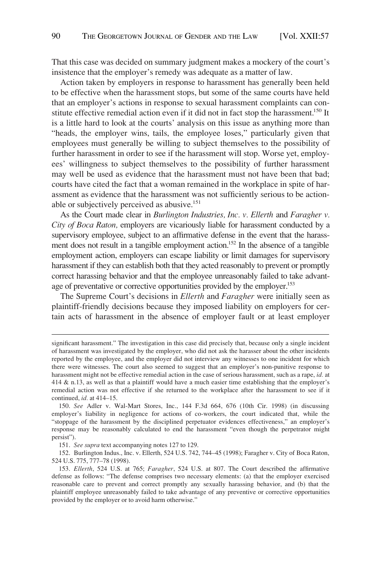That this case was decided on summary judgment makes a mockery of the court's insistence that the employer's remedy was adequate as a matter of law.

Action taken by employers in response to harassment has generally been held to be effective when the harassment stops, but some of the same courts have held that an employer's actions in response to sexual harassment complaints can constitute effective remedial action even if it did not in fact stop the harassment.<sup>150</sup> It is a little hard to look at the courts' analysis on this issue as anything more than "heads, the employer wins, tails, the employee loses," particularly given that employees must generally be willing to subject themselves to the possibility of further harassment in order to see if the harassment will stop. Worse yet, employees' willingness to subject themselves to the possibility of further harassment may well be used as evidence that the harassment must not have been that bad; courts have cited the fact that a woman remained in the workplace in spite of harassment as evidence that the harassment was not sufficiently serious to be actionable or subjectively perceived as abusive.151

As the Court made clear in *Burlington Industries, Inc. v. Ellerth* and *Faragher v. City of Boca Raton,* employers are vicariously liable for harassment conducted by a supervisory employee, subject to an affirmative defense in the event that the harassment does not result in a tangible employment action.<sup>152</sup> In the absence of a tangible employment action, employers can escape liability or limit damages for supervisory harassment if they can establish both that they acted reasonably to prevent or promptly correct harassing behavior and that the employee unreasonably failed to take advantage of preventative or corrective opportunities provided by the employer.<sup>153</sup>

The Supreme Court's decisions in *Ellerth* and *Faragher* were initially seen as plaintiff-friendly decisions because they imposed liability on employers for certain acts of harassment in the absence of employer fault or at least employer

significant harassment." The investigation in this case did precisely that, because only a single incident of harassment was investigated by the employer, who did not ask the harasser about the other incidents reported by the employee, and the employer did not interview any witnesses to one incident for which there were witnesses. The court also seemed to suggest that an employer's non-punitive response to harassment might not be effective remedial action in the case of serious harassment, such as a rape, *id.* at 414 & n.13, as well as that a plaintiff would have a much easier time establishing that the employer's remedial action was not effective if she returned to the workplace after the harassment to see if it continued, *id.* at 414–15.

<sup>150.</sup> *See* Adler v. Wal-Mart Stores, Inc., 144 F.3d 664, 676 (10th Cir. 1998) (in discussing employer's liability in negligence for actions of co-workers, the court indicated that, while the "stoppage of the harassment by the disciplined perpetuator evidences effectiveness," an employer's response may be reasonably calculated to end the harassment "even though the perpetrator might persist").

<sup>151.</sup> *See supra* text accompanying notes 127 to 129.

<sup>152.</sup> Burlington Indus., Inc. v. Ellerth, 524 U.S. 742, 744–45 (1998); Faragher v. City of Boca Raton, 524 U.S. 775, 777–78 (1998).

<sup>153.</sup> *Ellerth*, 524 U.S. at 765; *Faragher*, 524 U.S. at 807. The Court described the affirmative defense as follows: "The defense comprises two necessary elements: (a) that the employer exercised reasonable care to prevent and correct promptly any sexually harassing behavior, and (b) that the plaintiff employee unreasonably failed to take advantage of any preventive or corrective opportunities provided by the employer or to avoid harm otherwise."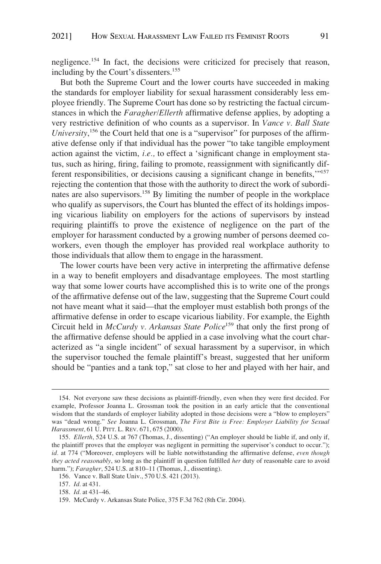negligence.154 In fact, the decisions were criticized for precisely that reason, including by the Court's dissenters.<sup>155</sup>

But both the Supreme Court and the lower courts have succeeded in making the standards for employer liability for sexual harassment considerably less employee friendly. The Supreme Court has done so by restricting the factual circumstances in which the *Faragher/Ellerth* affirmative defense applies, by adopting a very restrictive definition of who counts as a supervisor. In *Vance v. Ball State University*, 156 the Court held that one is a "supervisor" for purposes of the affirmative defense only if that individual has the power "to take tangible employment action against the victim, *i.e.,* to effect a 'significant change in employment status, such as hiring, firing, failing to promote, reassignment with significantly different responsibilities, or decisions causing a significant change in benefits,'"157 rejecting the contention that those with the authority to direct the work of subordinates are also supervisors.158 By limiting the number of people in the workplace who qualify as supervisors, the Court has blunted the effect of its holdings imposing vicarious liability on employers for the actions of supervisors by instead requiring plaintiffs to prove the existence of negligence on the part of the employer for harassment conducted by a growing number of persons deemed coworkers, even though the employer has provided real workplace authority to those individuals that allow them to engage in the harassment.

The lower courts have been very active in interpreting the affirmative defense in a way to benefit employers and disadvantage employees. The most startling way that some lower courts have accomplished this is to write one of the prongs of the affirmative defense out of the law, suggesting that the Supreme Court could not have meant what it said—that the employer must establish both prongs of the affirmative defense in order to escape vicarious liability. For example, the Eighth Circuit held in *McCurdy v. Arkansas State Police*<sup>159</sup> that only the first prong of the affirmative defense should be applied in a case involving what the court characterized as "a single incident" of sexual harassment by a supervisor, in which the supervisor touched the female plaintiff's breast, suggested that her uniform should be "panties and a tank top," sat close to her and played with her hair, and

<sup>154.</sup> Not everyone saw these decisions as plaintiff-friendly, even when they were first decided. For example, Professor Joanna L. Grossman took the position in an early article that the conventional wisdom that the standards of employer liability adopted in those decisions were a "blow to employers" was "dead wrong." *See* Joanna L. Grossman, *The First Bite is Free: Employer Liability for Sexual Harassment,* 61 U. PITT. L. REV. 671, 675 (2000).

<sup>155.</sup> *Ellerth*, 524 U.S. at 767 (Thomas, J., dissenting) ("An employer should be liable if, and only if, the plaintiff proves that the employer was negligent in permitting the supervisor's conduct to occur."); *id.* at 774 ("Moreover, employers will be liable notwithstanding the affirmative defense, *even though they acted reasonably*, so long as the plaintiff in question fulfilled *her* duty of reasonable care to avoid harm."); *Faragher*, 524 U.S. at 810–11 (Thomas, J., dissenting).

<sup>156.</sup> Vance v. Ball State Univ., 570 U.S. 421 (2013).

<sup>157.</sup> *Id.* at 431.

<sup>158.</sup> *Id.* at 431–46.

<sup>159.</sup> McCurdy v. Arkansas State Police, 375 F.3d 762 (8th Cir. 2004).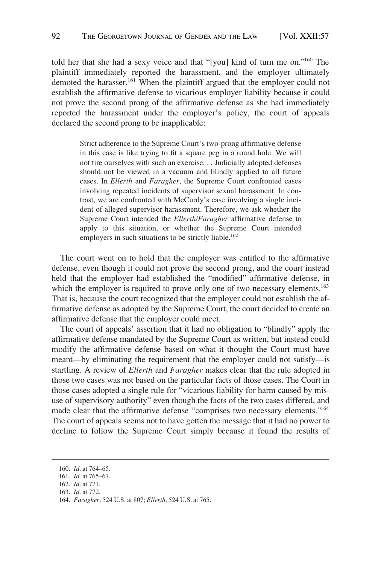told her that she had a sexy voice and that "[you] kind of turn me on."160 The plaintiff immediately reported the harassment, and the employer ultimately demoted the harasser.<sup>161</sup> When the plaintiff argued that the employer could not establish the affirmative defense to vicarious employer liability because it could not prove the second prong of the affirmative defense as she had immediately reported the harassment under the employer's policy, the court of appeals declared the second prong to be inapplicable:

> Strict adherence to the Supreme Court's two-prong affirmative defense in this case is like trying to fit a square peg in a round hole. We will not tire ourselves with such an exercise. . . Judicially adopted defenses should not be viewed in a vacuum and blindly applied to all future cases. In *Ellerth* and *Faragher,* the Supreme Court confronted cases involving repeated incidents of supervisor sexual harassment. In contrast, we are confronted with McCurdy's case involving a single incident of alleged supervisor harassment. Therefore, we ask whether the Supreme Court intended the *Ellerth/Faragher* affirmative defense to apply to this situation, or whether the Supreme Court intended employers in such situations to be strictly liable.<sup>162</sup>

The court went on to hold that the employer was entitled to the affirmative defense, even though it could not prove the second prong, and the court instead held that the employer had established the "modified" affirmative defense, in which the employer is required to prove only one of two necessary elements.<sup>163</sup> That is, because the court recognized that the employer could not establish the affirmative defense as adopted by the Supreme Court, the court decided to create an affirmative defense that the employer could meet.

The court of appeals' assertion that it had no obligation to "blindly" apply the affirmative defense mandated by the Supreme Court as written, but instead could modify the affirmative defense based on what it thought the Court must have meant—by eliminating the requirement that the employer could not satisfy—is startling. A review of *Ellerth* and *Faragher* makes clear that the rule adopted in those two cases was not based on the particular facts of those cases. The Court in those cases adopted a single rule for "vicarious liability for harm caused by misuse of supervisory authority" even though the facts of the two cases differed, and made clear that the affirmative defense "comprises two necessary elements."164 The court of appeals seems not to have gotten the message that it had no power to decline to follow the Supreme Court simply because it found the results of

<sup>160.</sup> *Id*. at 764–65.

<sup>161.</sup> *Id.* at 765–67.

<sup>162.</sup> *Id.* at 771.

<sup>163.</sup> *Id.* at 772.

<sup>164.</sup> *Faragher,* 524 U.S. at 807; *Ellerth,* 524 U.S. at 765.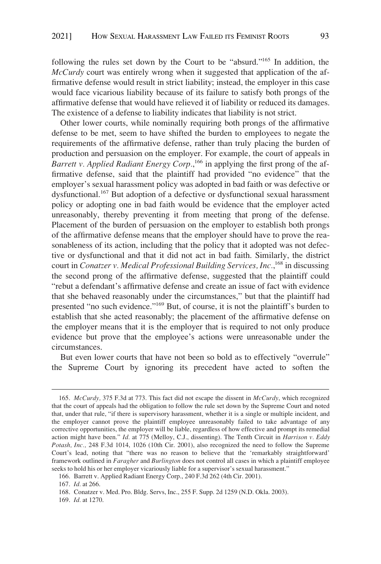following the rules set down by the Court to be "absurd."165 In addition, the *McCurdy* court was entirely wrong when it suggested that application of the affirmative defense would result in strict liability; instead, the employer in this case would face vicarious liability because of its failure to satisfy both prongs of the affirmative defense that would have relieved it of liability or reduced its damages. The existence of a defense to liability indicates that liability is not strict.

Other lower courts, while nominally requiring both prongs of the affirmative defense to be met, seem to have shifted the burden to employees to negate the requirements of the affirmative defense, rather than truly placing the burden of production and persuasion on the employer. For example, the court of appeals in Barrett v. Applied Radiant Energy Corp.,<sup>166</sup> in applying the first prong of the affirmative defense, said that the plaintiff had provided "no evidence" that the employer's sexual harassment policy was adopted in bad faith or was defective or dysfunctional.167 But adoption of a defective or dysfunctional sexual harassment policy or adopting one in bad faith would be evidence that the employer acted unreasonably, thereby preventing it from meeting that prong of the defense. Placement of the burden of persuasion on the employer to establish both prongs of the affirmative defense means that the employer should have to prove the reasonableness of its action, including that the policy that it adopted was not defective or dysfunctional and that it did not act in bad faith. Similarly, the district court in *Conatzer v. Medical Professional Building Services, Inc.*,<sup>168</sup> in discussing the second prong of the affirmative defense, suggested that the plaintiff could "rebut a defendant's affirmative defense and create an issue of fact with evidence that she behaved reasonably under the circumstances," but that the plaintiff had presented "no such evidence."169 But, of course, it is not the plaintiff's burden to establish that she acted reasonably; the placement of the affirmative defense on the employer means that it is the employer that is required to not only produce evidence but prove that the employee's actions were unreasonable under the circumstances.

But even lower courts that have not been so bold as to effectively "overrule" the Supreme Court by ignoring its precedent have acted to soften the

<sup>165.</sup> *McCurdy,* 375 F.3d at 773. This fact did not escape the dissent in *McCurdy*, which recognized that the court of appeals had the obligation to follow the rule set down by the Supreme Court and noted that, under that rule, "if there is supervisory harassment, whether it is a single or multiple incident, and the employer cannot prove the plaintiff employee unreasonably failed to take advantage of any corrective opportunities, the employer will be liable, regardless of how effective and prompt its remedial action might have been." *Id.* at 775 (Melloy, C.J., dissenting). The Tenth Circuit in *Harrison v. Eddy Potash, Inc.,* 248 F.3d 1014, 1026 (10th Cir. 2001), also recognized the need to follow the Supreme Court's lead, noting that "there was no reason to believe that the 'remarkably straightforward' framework outlined in *Faragher* and *Burlington* does not control all cases in which a plaintiff employee seeks to hold his or her employer vicariously liable for a supervisor's sexual harassment."

<sup>166.</sup> Barrett v. Applied Radiant Energy Corp., 240 F.3d 262 (4th Cir. 2001).

<sup>167.</sup> *Id.* at 266.

<sup>168.</sup> Conatzer v. Med. Pro. Bldg. Servs, Inc., 255 F. Supp. 2d 1259 (N.D. Okla. 2003).

<sup>169.</sup> *Id.* at 1270.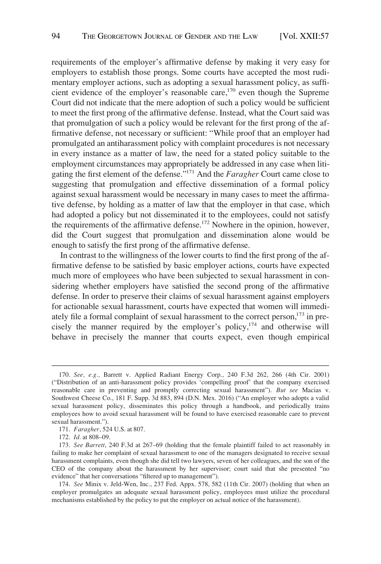requirements of the employer's affirmative defense by making it very easy for employers to establish those prongs. Some courts have accepted the most rudimentary employer actions, such as adopting a sexual harassment policy, as sufficient evidence of the employer's reasonable care,<sup>170</sup> even though the Supreme Court did not indicate that the mere adoption of such a policy would be sufficient to meet the first prong of the affirmative defense. Instead, what the Court said was that promulgation of such a policy would be relevant for the first prong of the affirmative defense, not necessary or sufficient: "While proof that an employer had promulgated an antiharassment policy with complaint procedures is not necessary in every instance as a matter of law, the need for a stated policy suitable to the employment circumstances may appropriately be addressed in any case when litigating the first element of the defense."171 And the *Faragher* Court came close to suggesting that promulgation and effective dissemination of a formal policy against sexual harassment would be necessary in many cases to meet the affirmative defense, by holding as a matter of law that the employer in that case, which had adopted a policy but not disseminated it to the employees, could not satisfy the requirements of the affirmative defense.<sup>172</sup> Nowhere in the opinion, however, did the Court suggest that promulgation and dissemination alone would be enough to satisfy the first prong of the affirmative defense.

In contrast to the willingness of the lower courts to find the first prong of the affirmative defense to be satisfied by basic employer actions, courts have expected much more of employees who have been subjected to sexual harassment in considering whether employers have satisfied the second prong of the affirmative defense. In order to preserve their claims of sexual harassment against employers for actionable sexual harassment, courts have expected that women will immediately file a formal complaint of sexual harassment to the correct person,<sup>173</sup> in precisely the manner required by the employer's policy,174 and otherwise will behave in precisely the manner that courts expect, even though empirical

<sup>170.</sup> *See, e.g.,* Barrett v. Applied Radiant Energy Corp., 240 F.3d 262, 266 (4th Cir. 2001) ("Distribution of an anti-harassment policy provides 'compelling proof' that the company exercised reasonable care in preventing and promptly correcting sexual harassment"). *But see* Macias v. Southwest Cheese Co., 181 F. Supp. 3d 883, 894 (D.N. Mex. 2016) ("An employer who adopts a valid sexual harassment policy, disseminates this policy through a handbook, and periodically trains employees how to avoid sexual harassment will be found to have exercised reasonable care to prevent sexual harassment.").

<sup>171.</sup> *Faragher*, 524 U.S. at 807.

<sup>172.</sup> *Id.* at 808–09.

<sup>173.</sup> *See Barrett*, 240 F.3d at 267–69 (holding that the female plaintiff failed to act reasonably in failing to make her complaint of sexual harassment to one of the managers designated to receive sexual harassment complaints, even though she did tell two lawyers, seven of her colleagues, and the son of the CEO of the company about the harassment by her supervisor; court said that she presented "no evidence" that her conversations "filtered up to management").

<sup>174.</sup> *See* Minix v. Jeld-Wen, Inc., 237 Fed. Appx. 578, 582 (11th Cir. 2007) (holding that when an employer promulgates an adequate sexual harassment policy, employees must utilize the procedural mechanisms established by the policy to put the employer on actual notice of the harassment).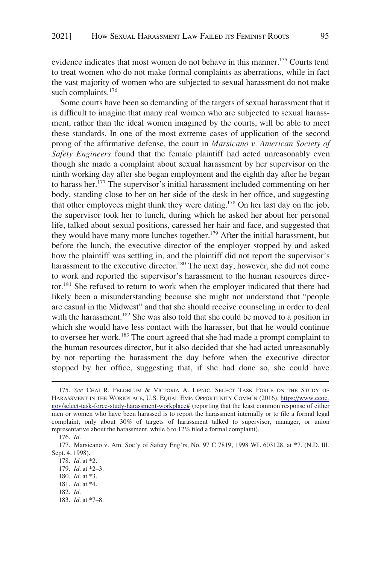evidence indicates that most women do not behave in this manner.<sup>175</sup> Courts tend to treat women who do not make formal complaints as aberrations, while in fact the vast majority of women who are subjected to sexual harassment do not make such complaints.<sup>176</sup>

Some courts have been so demanding of the targets of sexual harassment that it is difficult to imagine that many real women who are subjected to sexual harassment, rather than the ideal women imagined by the courts, will be able to meet these standards. In one of the most extreme cases of application of the second prong of the affirmative defense, the court in *Marsicano v. American Society of Safety Engineers* found that the female plaintiff had acted unreasonably even though she made a complaint about sexual harassment by her supervisor on the ninth working day after she began employment and the eighth day after he began to harass her.177 The supervisor's initial harassment included commenting on her body, standing close to her on her side of the desk in her office, and suggesting that other employees might think they were dating.<sup>178</sup> On her last day on the job, the supervisor took her to lunch, during which he asked her about her personal life, talked about sexual positions, caressed her hair and face, and suggested that they would have many more lunches together.<sup>179</sup> After the initial harassment, but before the lunch, the executive director of the employer stopped by and asked how the plaintiff was settling in, and the plaintiff did not report the supervisor's harassment to the executive director.<sup>180</sup> The next day, however, she did not come to work and reported the supervisor's harassment to the human resources director.181 She refused to return to work when the employer indicated that there had likely been a misunderstanding because she might not understand that "people are casual in the Midwest" and that she should receive counseling in order to deal with the harassment.<sup>182</sup> She was also told that she could be moved to a position in which she would have less contact with the harasser, but that he would continue to oversee her work.183 The court agreed that she had made a prompt complaint to the human resources director, but it also decided that she had acted unreasonably by not reporting the harassment the day before when the executive director stopped by her office, suggesting that, if she had done so, she could have

<sup>175.</sup> See CHAI R. FELDBLUM & VICTORIA A. LIPNIC, SELECT TASK FORCE ON THE STUDY OF HARASSMENT IN THE WORKPLACE, U.S. EQUAL EMP. OPPORTUNITY COMM'N (2016), [https://www.eeoc.](https://www.eeoc.gov/select-task-force-study-harassment-workplace#)  [gov/select-task-force-study-harassment-workplace#](https://www.eeoc.gov/select-task-force-study-harassment-workplace#) (reporting that the least common response of either men or women who have been harassed is to report the harassment internally or to file a formal legal complaint; only about 30% of targets of harassment talked to supervisor, manager, or union representative about the harassment, while 6 to 12% filed a formal complaint).

<sup>176.</sup> *Id.* 

<sup>177.</sup> Marsicano v. Am. Soc'y of Safety Eng'rs, No. 97 C 7819, 1998 WL 603128, at \*7. (N.D. Ill. Sept. 4, 1998).

<sup>178.</sup> *Id.* at \*2.

<sup>179.</sup> *Id.* at \*2–3.

<sup>180.</sup> *Id.* at \*3.

<sup>181.</sup> *Id.* at \*4.

<sup>182.</sup> *Id.* 

<sup>183.</sup> *Id.* at \*7–8.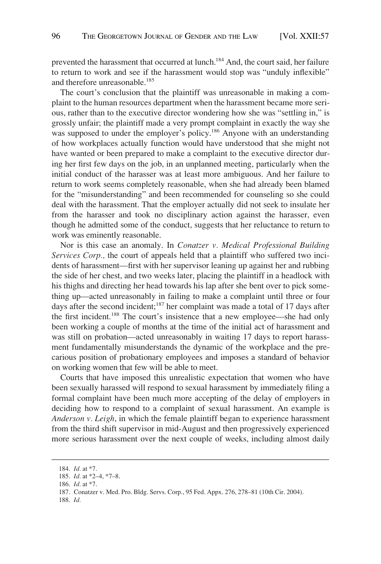prevented the harassment that occurred at lunch.<sup>184</sup> And, the court said, her failure to return to work and see if the harassment would stop was "unduly inflexible" and therefore unreasonable.<sup>185</sup>

The court's conclusion that the plaintiff was unreasonable in making a complaint to the human resources department when the harassment became more serious, rather than to the executive director wondering how she was "settling in," is grossly unfair; the plaintiff made a very prompt complaint in exactly the way she was supposed to under the employer's policy.<sup>186</sup> Anyone with an understanding of how workplaces actually function would have understood that she might not have wanted or been prepared to make a complaint to the executive director during her first few days on the job, in an unplanned meeting, particularly when the initial conduct of the harasser was at least more ambiguous. And her failure to return to work seems completely reasonable, when she had already been blamed for the "misunderstanding" and been recommended for counseling so she could deal with the harassment. That the employer actually did not seek to insulate her from the harasser and took no disciplinary action against the harasser, even though he admitted some of the conduct, suggests that her reluctance to return to work was eminently reasonable.

Nor is this case an anomaly. In *Conatzer v. Medical Professional Building Services Corp.,* the court of appeals held that a plaintiff who suffered two incidents of harassment—first with her supervisor leaning up against her and rubbing the side of her chest, and two weeks later, placing the plaintiff in a headlock with his thighs and directing her head towards his lap after she bent over to pick something up—acted unreasonably in failing to make a complaint until three or four days after the second incident;<sup>187</sup> her complaint was made a total of 17 days after the first incident.188 The court's insistence that a new employee—she had only been working a couple of months at the time of the initial act of harassment and was still on probation—acted unreasonably in waiting 17 days to report harassment fundamentally misunderstands the dynamic of the workplace and the precarious position of probationary employees and imposes a standard of behavior on working women that few will be able to meet.

Courts that have imposed this unrealistic expectation that women who have been sexually harassed will respond to sexual harassment by immediately filing a formal complaint have been much more accepting of the delay of employers in deciding how to respond to a complaint of sexual harassment. An example is *Anderson v. Leigh*, in which the female plaintiff began to experience harassment from the third shift supervisor in mid-August and then progressively experienced more serious harassment over the next couple of weeks, including almost daily

188. *Id.* 

<sup>184.</sup> *Id.* at \*7.

<sup>185.</sup> *Id.* at \*2–4, \*7–8.

<sup>186.</sup> *Id.* at \*7.

<sup>187.</sup> Conatzer v. Med. Pro. Bldg. Servs. Corp., 95 Fed. Appx. 276, 278–81 (10th Cir. 2004).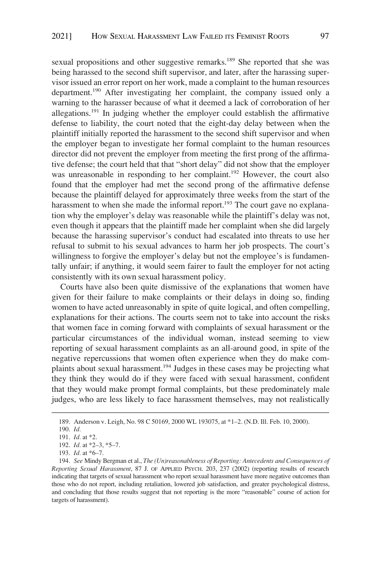sexual propositions and other suggestive remarks.<sup>189</sup> She reported that she was being harassed to the second shift supervisor, and later, after the harassing supervisor issued an error report on her work, made a complaint to the human resources department.190 After investigating her complaint, the company issued only a warning to the harasser because of what it deemed a lack of corroboration of her allegations.<sup>191</sup> In judging whether the employer could establish the affirmative defense to liability, the court noted that the eight-day delay between when the plaintiff initially reported the harassment to the second shift supervisor and when the employer began to investigate her formal complaint to the human resources director did not prevent the employer from meeting the first prong of the affirmative defense; the court held that that "short delay" did not show that the employer was unreasonable in responding to her complaint.<sup>192</sup> However, the court also found that the employer had met the second prong of the affirmative defense because the plaintiff delayed for approximately three weeks from the start of the harassment to when she made the informal report.<sup>193</sup> The court gave no explanation why the employer's delay was reasonable while the plaintiff's delay was not, even though it appears that the plaintiff made her complaint when she did largely because the harassing supervisor's conduct had escalated into threats to use her refusal to submit to his sexual advances to harm her job prospects. The court's willingness to forgive the employer's delay but not the employee's is fundamentally unfair; if anything, it would seem fairer to fault the employer for not acting consistently with its own sexual harassment policy.

Courts have also been quite dismissive of the explanations that women have given for their failure to make complaints or their delays in doing so, finding women to have acted unreasonably in spite of quite logical, and often compelling, explanations for their actions. The courts seem not to take into account the risks that women face in coming forward with complaints of sexual harassment or the particular circumstances of the individual woman, instead seeming to view reporting of sexual harassment complaints as an all-around good, in spite of the negative repercussions that women often experience when they do make complaints about sexual harassment.194 Judges in these cases may be projecting what they think they would do if they were faced with sexual harassment, confident that they would make prompt formal complaints, but these predominately male judges, who are less likely to face harassment themselves, may not realistically

<sup>189.</sup> Anderson v. Leigh, No. 98 C 50169, 2000 WL 193075, at \*1–2. (N.D. Ill. Feb. 10, 2000).

<sup>190.</sup> *Id.* 

<sup>191.</sup> *Id.* at \*2.

<sup>192.</sup> *Id.* at \*2–3, \*5–7.

<sup>193.</sup> *Id.* at \*6–7.

<sup>194.</sup> *See* Mindy Bergman et al., *The (Un)reasonableness of Reporting: Antecedents and Consequences of Reporting Sexual Harassment*, 87 J. OF APPLIED PSYCH. 203, 237 (2002) (reporting results of research indicating that targets of sexual harassment who report sexual harassment have more negative outcomes than those who do not report, including retaliation, lowered job satisfaction, and greater psychological distress, and concluding that those results suggest that not reporting is the more "reasonable" course of action for targets of harassment).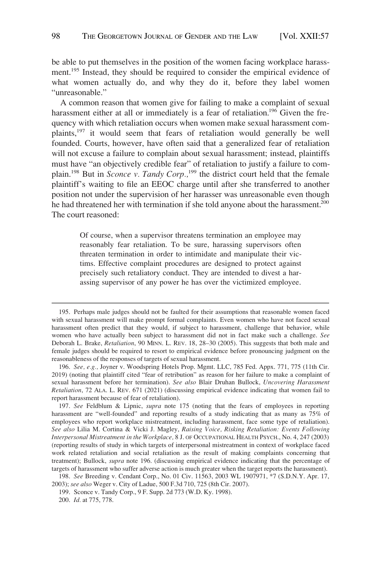be able to put themselves in the position of the women facing workplace harassment.195 Instead, they should be required to consider the empirical evidence of what women actually do, and why they do it, before they label women "unreasonable."

A common reason that women give for failing to make a complaint of sexual harassment either at all or immediately is a fear of retaliation.<sup>196</sup> Given the frequency with which retaliation occurs when women make sexual harassment complaints,<sup>197</sup> it would seem that fears of retaliation would generally be well founded. Courts, however, have often said that a generalized fear of retaliation will not excuse a failure to complain about sexual harassment; instead, plaintiffs must have "an objectively credible fear" of retaliation to justify a failure to complain.<sup>198</sup> But in *Sconce v. Tandy Corp.*,<sup>199</sup> the district court held that the female plaintiff's waiting to file an EEOC charge until after she transferred to another position not under the supervision of her harasser was unreasonable even though he had threatened her with termination if she told anyone about the harassment.<sup>200</sup> The court reasoned:

> Of course, when a supervisor threatens termination an employee may reasonably fear retaliation. To be sure, harassing supervisors often threaten termination in order to intimidate and manipulate their victims. Effective complaint procedures are designed to protect against precisely such retaliatory conduct. They are intended to divest a harassing supervisor of any power he has over the victimized employee.

<sup>195.</sup> Perhaps male judges should not be faulted for their assumptions that reasonable women faced with sexual harassment will make prompt formal complaints. Even women who have not faced sexual harassment often predict that they would, if subject to harassment, challenge that behavior, while women who have actually been subject to harassment did not in fact make such a challenge. *See*  Deborah L. Brake, *Retaliation*, 90 MINN. L. REV. 18, 28–30 (2005). This suggests that both male and female judges should be required to resort to empirical evidence before pronouncing judgment on the reasonableness of the responses of targets of sexual harassment.

<sup>196.</sup> *See, e.g.,* Joyner v. Woodspring Hotels Prop. Mgmt. LLC, 785 Fed. Appx. 771, 775 (11th Cir. 2019) (noting that plaintiff cited "fear of retribution" as reason for her failure to make a complaint of sexual harassment before her termination). *See also* Blair Druhan Bullock, *Uncovering Harassment Retaliation*, 72 ALA. L. REV. 671 (2021) (discussing empirical evidence indicating that women fail to report harassment because of fear of retaliation).

<sup>197.</sup> *See* Feldblum & Lipnic, *supra* note 175 (noting that the fears of employees in reporting harassment are "well-founded" and reporting results of a study indicating that as many as 75% of employees who report workplace mistreatment, including harassment, face some type of retaliation). *See also* Lilia M. Cortina & Vicki J. Magley, *Raising Voice, Risking Retaliation: Events Following Interpersonal Mistreatment in the Workplace,* 8 J. OF OCCUPATIONAL HEALTH PSYCH., No. 4, 247 (2003) (reporting results of study in which targets of interpersonal mistreatment in context of workplace faced work related retaliation and social retaliation as the result of making complaints concerning that treatment); Bullock, *supra* note 196. (discussing empirical evidence indicating that the percentage of targets of harassment who suffer adverse action is much greater when the target reports the harassment).

<sup>198.</sup> *See* Breeding v. Cendant Corp., No. 01 Civ. 11563, 2003 WL 1907971, \*7 (S.D.N.Y. Apr. 17, 2003); *see also* Weger v. City of Ladue, 500 F.3d 710, 725 (8th Cir. 2007).

<sup>199.</sup> Sconce v. Tandy Corp., 9 F. Supp. 2d 773 (W.D. Ky. 1998).

<sup>200.</sup> *Id.* at 775, 778.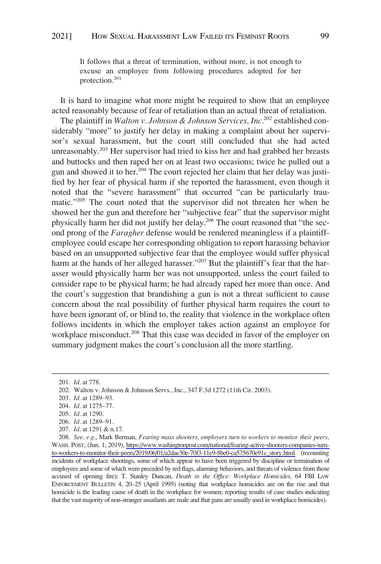It follows that a threat of termination, without more, is not enough to excuse an employee from following procedures adopted for her protection.<sup>201</sup>

It is hard to imagine what more might be required to show that an employee acted reasonably because of fear of retaliation than an actual threat of retaliation.

The plaintiff in *Walton v. Johnson & Johnson Services, Inc.*202 established considerably "more" to justify her delay in making a complaint about her supervisor's sexual harassment, but the court still concluded that she had acted unreasonably.<sup>203</sup> Her supervisor had tried to kiss her and had grabbed her breasts and buttocks and then raped her on at least two occasions; twice he pulled out a gun and showed it to her.204 The court rejected her claim that her delay was justified by her fear of physical harm if she reported the harassment, even though it noted that the "severe harassment" that occurred "can be particularly traumatic."205 The court noted that the supervisor did not threaten her when he showed her the gun and therefore her "subjective fear" that the supervisor might physically harm her did not justify her delay.206 The court reasoned that "the second prong of the *Faragher* defense would be rendered meaningless if a plaintiffemployee could escape her corresponding obligation to report harassing behavior based on an unsupported subjective fear that the employee would suffer physical harm at the hands of her alleged harasser."<sup>207</sup> But the plaintiff's fear that the harasser would physically harm her was not unsupported, unless the court failed to consider rape to be physical harm; he had already raped her more than once. And the court's suggestion that brandishing a gun is not a threat sufficient to cause concern about the real possibility of further physical harm requires the court to have been ignorant of, or blind to, the reality that violence in the workplace often follows incidents in which the employer takes action against an employee for workplace misconduct.<sup>208</sup> That this case was decided in favor of the employer on summary judgment makes the court's conclusion all the more startling.

205. *Id.* at 1290.

<sup>201.</sup> *Id.* at 778.

<sup>202.</sup> Walton v. Johnson & Johnson Servs., Inc., 347 F.3d 1272 (11th Cir. 2003).

<sup>203.</sup> *Id.* at 1289–93.

<sup>204.</sup> *Id.* at 1275–77.

<sup>206.</sup> *Id.* at 1289–91.

<sup>207.</sup> *Id.* at 1291 & n.17.

*See, e.g.*, Mark Berman, *Fearing mass shooters, employers turn to workers to monitor their peers,*  208. WASH. POST, (Jun. 1, 2019), [https://www.washingtonpost.com/national/fearing-active-shooters-companies-turn](https://www.washingtonpost.com/national/fearing-active-shooters-companies-turn-to-workers-to-monitor-their-peers/2019/06/01/a2dae30e-70f3-11e9-8be0-ca575670e91c_story.html)[to-workers-to-monitor-their-peers/2019/06/01/a2dae30e-70f3-11e9-8be0-ca575670e91c\\_story.html](https://www.washingtonpost.com/national/fearing-active-shooters-companies-turn-to-workers-to-monitor-their-peers/2019/06/01/a2dae30e-70f3-11e9-8be0-ca575670e91c_story.html) (recounting incidents of workplace shootings, some of which appear to have been triggered by discipline or termination of employees and some of which were preceded by red flags, alarming behaviors, and threats of violence from those accused of opening fire); T. Stanley Duncan, *Death in the Office: Workplace Homicides,* 64 FBI LAW ENFORCEMENT BULLETIN 4, 20-25 (April 1995) (noting that workplace homicides are on the rise and that homicide is the leading cause of death in the workplace for women; reporting results of case studies indicating that the vast majority of non-stranger assailants are male and that guns are usually used in workplace homicides).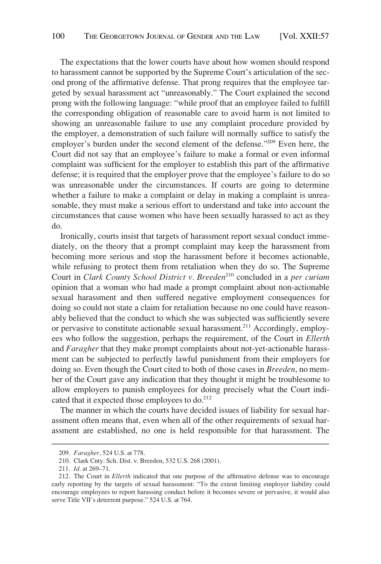The expectations that the lower courts have about how women should respond to harassment cannot be supported by the Supreme Court's articulation of the second prong of the affirmative defense. That prong requires that the employee targeted by sexual harassment act "unreasonably." The Court explained the second prong with the following language: "while proof that an employee failed to fulfill the corresponding obligation of reasonable care to avoid harm is not limited to showing an unreasonable failure to use any complaint procedure provided by the employer, a demonstration of such failure will normally suffice to satisfy the employer's burden under the second element of the defense."209 Even here, the Court did not say that an employee's failure to make a formal or even informal complaint was sufficient for the employer to establish this part of the affirmative defense; it is required that the employer prove that the employee's failure to do so was unreasonable under the circumstances. If courts are going to determine whether a failure to make a complaint or delay in making a complaint is unreasonable, they must make a serious effort to understand and take into account the circumstances that cause women who have been sexually harassed to act as they do.

Ironically, courts insist that targets of harassment report sexual conduct immediately, on the theory that a prompt complaint may keep the harassment from becoming more serious and stop the harassment before it becomes actionable, while refusing to protect them from retaliation when they do so. The Supreme Court in *Clark County School District v. Breeden*<sup>210</sup> concluded in a *per curiam* opinion that a woman who had made a prompt complaint about non-actionable sexual harassment and then suffered negative employment consequences for doing so could not state a claim for retaliation because no one could have reasonably believed that the conduct to which she was subjected was sufficiently severe or pervasive to constitute actionable sexual harassment.<sup>211</sup> Accordingly, employees who follow the suggestion, perhaps the requirement, of the Court in *Ellerth*  and *Faragher* that they make prompt complaints about not-yet-actionable harassment can be subjected to perfectly lawful punishment from their employers for doing so. Even though the Court cited to both of those cases in *Breeden*, no member of the Court gave any indication that they thought it might be troublesome to allow employers to punish employees for doing precisely what the Court indicated that it expected those employees to do.<sup>212</sup>

The manner in which the courts have decided issues of liability for sexual harassment often means that, even when all of the other requirements of sexual harassment are established, no one is held responsible for that harassment. The

<sup>209.</sup> *Faragher*, 524 U.S. at 778.

<sup>210.</sup> Clark Cnty. Sch. Dist. v. Breeden, 532 U.S. 268 (2001).

<sup>211.</sup> *Id.* at 269–71.

<sup>212.</sup> The Court in *Ellerth* indicated that one purpose of the affirmative defense was to encourage early reporting by the targets of sexual harassment: "To the extent limiting employer liability could encourage employees to report harassing conduct before it becomes severe or pervasive, it would also serve Title VII's deterrent purpose." 524 U.S. at 764.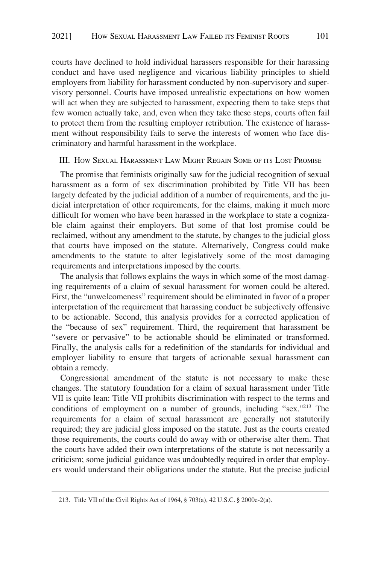<span id="page-44-0"></span>courts have declined to hold individual harassers responsible for their harassing conduct and have used negligence and vicarious liability principles to shield employers from liability for harassment conducted by non-supervisory and supervisory personnel. Courts have imposed unrealistic expectations on how women will act when they are subjected to harassment, expecting them to take steps that few women actually take, and, even when they take these steps, courts often fail to protect them from the resulting employer retribution. The existence of harassment without responsibility fails to serve the interests of women who face discriminatory and harmful harassment in the workplace.

#### III. HOW SEXUAL HARASSMENT LAW MIGHT REGAIN SOME OF ITS LOST PROMISE

The promise that feminists originally saw for the judicial recognition of sexual harassment as a form of sex discrimination prohibited by Title VII has been largely defeated by the judicial addition of a number of requirements, and the judicial interpretation of other requirements, for the claims, making it much more difficult for women who have been harassed in the workplace to state a cognizable claim against their employers. But some of that lost promise could be reclaimed, without any amendment to the statute, by changes to the judicial gloss that courts have imposed on the statute. Alternatively, Congress could make amendments to the statute to alter legislatively some of the most damaging requirements and interpretations imposed by the courts.

The analysis that follows explains the ways in which some of the most damaging requirements of a claim of sexual harassment for women could be altered. First, the "unwelcomeness" requirement should be eliminated in favor of a proper interpretation of the requirement that harassing conduct be subjectively offensive to be actionable. Second, this analysis provides for a corrected application of the "because of sex" requirement. Third, the requirement that harassment be "severe or pervasive" to be actionable should be eliminated or transformed. Finally, the analysis calls for a redefinition of the standards for individual and employer liability to ensure that targets of actionable sexual harassment can obtain a remedy.

Congressional amendment of the statute is not necessary to make these changes. The statutory foundation for a claim of sexual harassment under Title VII is quite lean: Title VII prohibits discrimination with respect to the terms and conditions of employment on a number of grounds, including "sex."213 The requirements for a claim of sexual harassment are generally not statutorily required; they are judicial gloss imposed on the statute. Just as the courts created those requirements, the courts could do away with or otherwise alter them. That the courts have added their own interpretations of the statute is not necessarily a criticism; some judicial guidance was undoubtedly required in order that employers would understand their obligations under the statute. But the precise judicial

<sup>213.</sup> Title VII of the Civil Rights Act of 1964, § 703(a), 42 U.S.C. § 2000e-2(a).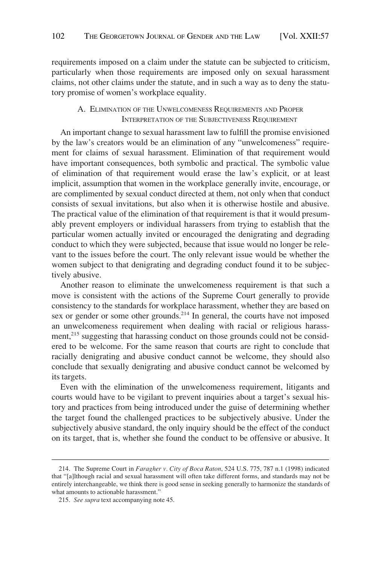<span id="page-45-0"></span>requirements imposed on a claim under the statute can be subjected to criticism, particularly when those requirements are imposed only on sexual harassment claims, not other claims under the statute, and in such a way as to deny the statutory promise of women's workplace equality.

## A. ELIMINATION OF THE UNWELCOMENESS REQUIREMENTS AND PROPER INTERPRETATION OF THE SUBJECTIVENESS REQUIREMENT

An important change to sexual harassment law to fulfill the promise envisioned by the law's creators would be an elimination of any "unwelcomeness" requirement for claims of sexual harassment. Elimination of that requirement would have important consequences, both symbolic and practical. The symbolic value of elimination of that requirement would erase the law's explicit, or at least implicit, assumption that women in the workplace generally invite, encourage, or are complimented by sexual conduct directed at them, not only when that conduct consists of sexual invitations, but also when it is otherwise hostile and abusive. The practical value of the elimination of that requirement is that it would presumably prevent employers or individual harassers from trying to establish that the particular women actually invited or encouraged the denigrating and degrading conduct to which they were subjected, because that issue would no longer be relevant to the issues before the court. The only relevant issue would be whether the women subject to that denigrating and degrading conduct found it to be subjectively abusive.

Another reason to eliminate the unwelcomeness requirement is that such a move is consistent with the actions of the Supreme Court generally to provide consistency to the standards for workplace harassment, whether they are based on sex or gender or some other grounds.<sup>214</sup> In general, the courts have not imposed an unwelcomeness requirement when dealing with racial or religious harassment,<sup>215</sup> suggesting that harassing conduct on those grounds could not be considered to be welcome. For the same reason that courts are right to conclude that racially denigrating and abusive conduct cannot be welcome, they should also conclude that sexually denigrating and abusive conduct cannot be welcomed by its targets.

Even with the elimination of the unwelcomeness requirement, litigants and courts would have to be vigilant to prevent inquiries about a target's sexual history and practices from being introduced under the guise of determining whether the target found the challenged practices to be subjectively abusive. Under the subjectively abusive standard, the only inquiry should be the effect of the conduct on its target, that is, whether she found the conduct to be offensive or abusive. It

<sup>214.</sup> The Supreme Court in *Faragher v. City of Boca Raton*, 524 U.S. 775, 787 n.1 (1998) indicated that "[a]lthough racial and sexual harassment will often take different forms, and standards may not be entirely interchangeable, we think there is good sense in seeking generally to harmonize the standards of what amounts to actionable harassment."

<sup>215.</sup> *See supra* text accompanying note 45.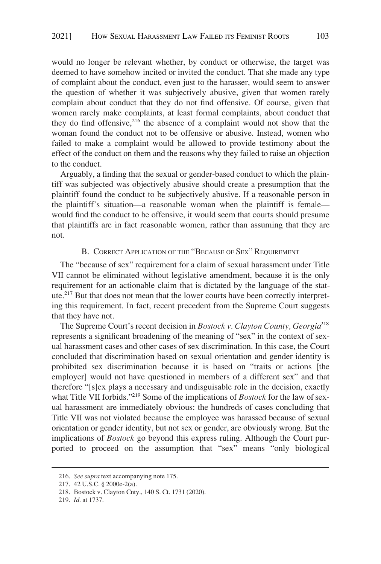<span id="page-46-0"></span>would no longer be relevant whether, by conduct or otherwise, the target was deemed to have somehow incited or invited the conduct. That she made any type of complaint about the conduct, even just to the harasser, would seem to answer the question of whether it was subjectively abusive, given that women rarely complain about conduct that they do not find offensive. Of course, given that women rarely make complaints, at least formal complaints, about conduct that they do find offensive,  $2^{16}$  the absence of a complaint would not show that the woman found the conduct not to be offensive or abusive. Instead, women who failed to make a complaint would be allowed to provide testimony about the effect of the conduct on them and the reasons why they failed to raise an objection to the conduct.

Arguably, a finding that the sexual or gender-based conduct to which the plaintiff was subjected was objectively abusive should create a presumption that the plaintiff found the conduct to be subjectively abusive. If a reasonable person in the plaintiff's situation—a reasonable woman when the plaintiff is female would find the conduct to be offensive, it would seem that courts should presume that plaintiffs are in fact reasonable women, rather than assuming that they are not.

## B. CORRECT APPLICATION OF THE "BECAUSE OF SEX" REQUIREMENT

The "because of sex" requirement for a claim of sexual harassment under Title VII cannot be eliminated without legislative amendment, because it is the only requirement for an actionable claim that is dictated by the language of the statute.217 But that does not mean that the lower courts have been correctly interpreting this requirement. In fact, recent precedent from the Supreme Court suggests that they have not.

The Supreme Court's recent decision in *Bostock v. Clayton County, Georgia*<sup>218</sup> represents a significant broadening of the meaning of "sex" in the context of sexual harassment cases and other cases of sex discrimination. In this case, the Court concluded that discrimination based on sexual orientation and gender identity is prohibited sex discrimination because it is based on "traits or actions [the employer] would not have questioned in members of a different sex" and that therefore "[s]ex plays a necessary and undisguisable role in the decision, exactly what Title VII forbids."219 Some of the implications of *Bostock* for the law of sexual harassment are immediately obvious: the hundreds of cases concluding that Title VII was not violated because the employee was harassed because of sexual orientation or gender identity, but not sex or gender, are obviously wrong. But the implications of *Bostock* go beyond this express ruling. Although the Court purported to proceed on the assumption that "sex" means "only biological

<sup>216.</sup> *See supra* text accompanying note 175.

<sup>217. 42</sup> U.S.C. § 2000e-2(a).

<sup>218.</sup> Bostock v. Clayton Cnty., 140 S. Ct. 1731 (2020).

<sup>219.</sup> *Id.* at 1737.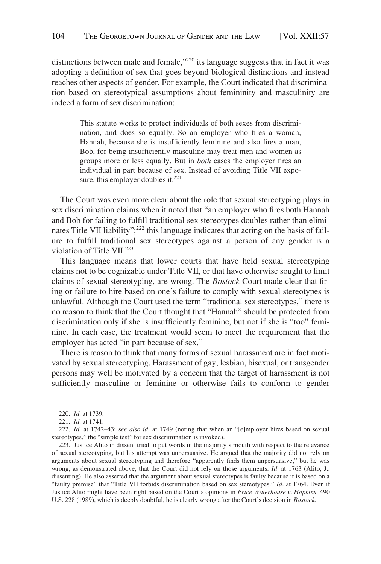distinctions between male and female,<sup>"220</sup> its language suggests that in fact it was adopting a definition of sex that goes beyond biological distinctions and instead reaches other aspects of gender. For example, the Court indicated that discrimination based on stereotypical assumptions about femininity and masculinity are indeed a form of sex discrimination:

> This statute works to protect individuals of both sexes from discrimination, and does so equally. So an employer who fires a woman, Hannah, because she is insufficiently feminine and also fires a man, Bob, for being insufficiently masculine may treat men and women as groups more or less equally. But in *both* cases the employer fires an individual in part because of sex. Instead of avoiding Title VII exposure, this employer doubles it. $^{221}$

The Court was even more clear about the role that sexual stereotyping plays in sex discrimination claims when it noted that "an employer who fires both Hannah and Bob for failing to fulfill traditional sex stereotypes doubles rather than eliminates Title VII liability";<sup>222</sup> this language indicates that acting on the basis of failure to fulfill traditional sex stereotypes against a person of any gender is a violation of Title VII.<sup>223</sup>

This language means that lower courts that have held sexual stereotyping claims not to be cognizable under Title VII, or that have otherwise sought to limit claims of sexual stereotyping, are wrong. The *Bostock* Court made clear that firing or failure to hire based on one's failure to comply with sexual stereotypes is unlawful. Although the Court used the term "traditional sex stereotypes," there is no reason to think that the Court thought that "Hannah" should be protected from discrimination only if she is insufficiently feminine, but not if she is "too" feminine. In each case, the treatment would seem to meet the requirement that the employer has acted "in part because of sex."

There is reason to think that many forms of sexual harassment are in fact motivated by sexual stereotyping. Harassment of gay, lesbian, bisexual, or transgender persons may well be motivated by a concern that the target of harassment is not sufficiently masculine or feminine or otherwise fails to conform to gender

<sup>220.</sup> *Id.* at 1739.

<sup>221.</sup> *Id.* at 1741.

<sup>222.</sup> *Id.* at 1742–43; s*ee also id.* at 1749 (noting that when an "[e]mployer hires based on sexual stereotypes," the "simple test" for sex discrimination is invoked).

<sup>223.</sup> Justice Alito in dissent tried to put words in the majority's mouth with respect to the relevance of sexual stereotyping, but his attempt was unpersuasive. He argued that the majority did not rely on arguments about sexual stereotyping and therefore "apparently finds them unpersuasive," but he was wrong, as demonstrated above, that the Court did not rely on those arguments. *Id.* at 1763 (Alito, J., dissenting). He also asserted that the argument about sexual stereotypes is faulty because it is based on a "faulty premise" that "Title VII forbids discrimination based on sex stereotypes." *Id.* at 1764. Even if Justice Alito might have been right based on the Court's opinions in *Price Waterhouse v. Hopkins,* 490 U.S. 228 (1989), which is deeply doubtful, he is clearly wrong after the Court's decision in *Bostock*.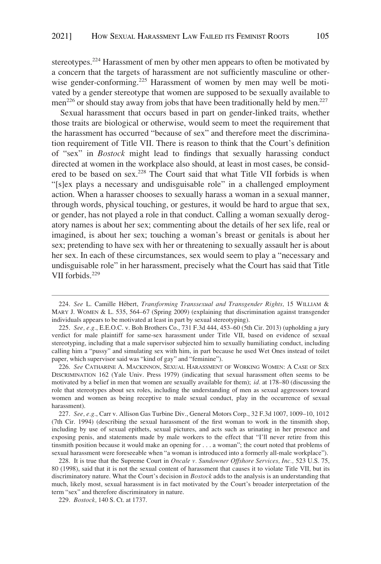stereotypes.<sup>224</sup> Harassment of men by other men appears to often be motivated by a concern that the targets of harassment are not sufficiently masculine or otherwise gender-conforming.<sup>225</sup> Harassment of women by men may well be motivated by a gender stereotype that women are supposed to be sexually available to men<sup>226</sup> or should stay away from jobs that have been traditionally held by men.<sup>227</sup>

Sexual harassment that occurs based in part on gender-linked traits, whether those traits are biological or otherwise, would seem to meet the requirement that the harassment has occurred "because of sex" and therefore meet the discrimination requirement of Title VII. There is reason to think that the Court's definition of "sex" in *Bostock* might lead to findings that sexually harassing conduct directed at women in the workplace also should, at least in most cases, be considered to be based on sex.<sup>228</sup> The Court said that what Title VII forbids is when "[s]ex plays a necessary and undisguisable role" in a challenged employment action. When a harasser chooses to sexually harass a woman in a sexual manner, through words, physical touching, or gestures, it would be hard to argue that sex, or gender, has not played a role in that conduct. Calling a woman sexually derogatory names is about her sex; commenting about the details of her sex life, real or imagined, is about her sex; touching a woman's breast or genitals is about her sex; pretending to have sex with her or threatening to sexually assault her is about her sex. In each of these circumstances, sex would seem to play a "necessary and undisguisable role" in her harassment, precisely what the Court has said that Title VII forbids.<sup>229</sup>

<sup>224.</sup> *See* L. Camille He´bert, *Transforming Transsexual and Transgender Rights,* 15 WILLIAM & MARY J. WOMEN & L. 535, 564–67 (Spring 2009) (explaining that discrimination against transgender individuals appears to be motivated at least in part by sexual stereotyping).

<sup>225.</sup> *See, e.g.*, E.E.O.C. v. Boh Brothers Co., 731 F.3d 444, 453–60 (5th Cir. 2013) (upholding a jury verdict for male plaintiff for same-sex harassment under Title VII, based on evidence of sexual stereotyping, including that a male supervisor subjected him to sexually humiliating conduct, including calling him a "pussy" and simulating sex with him, in part because he used Wet Ones instead of toilet paper, which supervisor said was "kind of gay" and "feminine").

<sup>226.</sup> *See* CATHARINE A. MACKINNON, SEXUAL HARASSMENT OF WORKING WOMEN: A CASE OF SEX DISCRIMINATION 162 (Yale Univ. Press 1979) (indicating that sexual harassment often seems to be motivated by a belief in men that women are sexually available for them); *id.* at 178–80 (discussing the role that stereotypes about sex roles, including the understanding of men as sexual aggressors toward women and women as being receptive to male sexual conduct, play in the occurrence of sexual harassment).

<sup>227.</sup> *See, e.g.*, Carr v. Allison Gas Turbine Div., General Motors Corp., 32 F.3d 1007, 1009–10, 1012 (7th Cir. 1994) (describing the sexual harassment of the first woman to work in the tinsmith shop, including by use of sexual epithets, sexual pictures, and acts such as urinating in her presence and exposing penis, and statements made by male workers to the effect that "I'll never retire from this tinsmith position because it would make an opening for . . . a woman"; the court noted that problems of sexual harassment were foreseeable when "a woman is introduced into a formerly all-male workplace").

<sup>228.</sup> It is true that the Supreme Court in *Oncale v. Sundowner Offshore Services, Inc.,* 523 U.S. 75, 80 (1998), said that it is not the sexual content of harassment that causes it to violate Title VII, but its discriminatory nature. What the Court's decision in *Bostock* adds to the analysis is an understanding that much, likely most, sexual harassment is in fact motivated by the Court's broader interpretation of the term "sex" and therefore discriminatory in nature.

<sup>229.</sup> *Bostock,* 140 S. Ct. at 1737.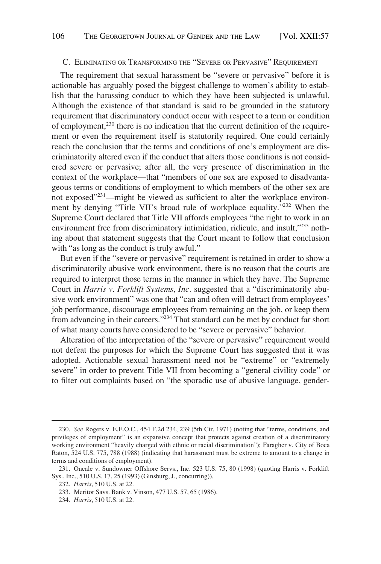#### <span id="page-49-0"></span>C. ELIMINATING OR TRANSFORMING THE "SEVERE OR PERVASIVE" REQUIREMENT

The requirement that sexual harassment be "severe or pervasive" before it is actionable has arguably posed the biggest challenge to women's ability to establish that the harassing conduct to which they have been subjected is unlawful. Although the existence of that standard is said to be grounded in the statutory requirement that discriminatory conduct occur with respect to a term or condition of employment,230 there is no indication that the current definition of the requirement or even the requirement itself is statutorily required. One could certainly reach the conclusion that the terms and conditions of one's employment are discriminatorily altered even if the conduct that alters those conditions is not considered severe or pervasive; after all, the very presence of discrimination in the context of the workplace—that "members of one sex are exposed to disadvantageous terms or conditions of employment to which members of the other sex are not exposed"<sup>231</sup>—might be viewed as sufficient to alter the workplace environment by denying "Title VII's broad rule of workplace equality."232 When the Supreme Court declared that Title VII affords employees "the right to work in an environment free from discriminatory intimidation, ridicule, and insult,<sup>233</sup> nothing about that statement suggests that the Court meant to follow that conclusion with "as long as the conduct is truly awful."

But even if the "severe or pervasive" requirement is retained in order to show a discriminatorily abusive work environment, there is no reason that the courts are required to interpret those terms in the manner in which they have. The Supreme Court in *Harris v. Forklift Systems, Inc.* suggested that a "discriminatorily abusive work environment" was one that "can and often will detract from employees' job performance, discourage employees from remaining on the job, or keep them from advancing in their careers."234 That standard can be met by conduct far short of what many courts have considered to be "severe or pervasive" behavior.

Alteration of the interpretation of the "severe or pervasive" requirement would not defeat the purposes for which the Supreme Court has suggested that it was adopted. Actionable sexual harassment need not be "extreme" or "extremely severe" in order to prevent Title VII from becoming a "general civility code" or to filter out complaints based on "the sporadic use of abusive language, gender-

<sup>230.</sup> *See* Rogers v. E.E.O.C., 454 F.2d 234, 239 (5th Cir. 1971) (noting that "terms, conditions, and privileges of employment" is an expansive concept that protects against creation of a discriminatory working environment "heavily charged with ethnic or racial discrimination"); Faragher v. City of Boca Raton, 524 U.S. 775, 788 (1988) (indicating that harassment must be extreme to amount to a change in terms and conditions of employment).

<sup>231.</sup> Oncale v. Sundowner Offshore Servs., Inc. 523 U.S. 75, 80 (1998) (quoting Harris v. Forklift Sys., Inc., 510 U.S. 17, 25 (1993) (Ginsburg, J., concurring)).

<sup>232.</sup> *Harris*, 510 U.S. at 22.

<sup>233.</sup> Meritor Savs. Bank v. Vinson, 477 U.S. 57, 65 (1986).

<sup>234.</sup> *Harris*, 510 U.S. at 22.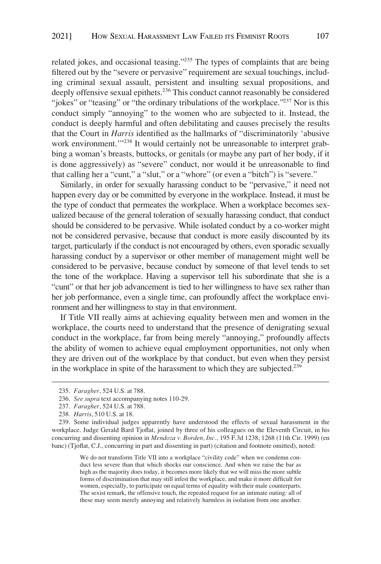related jokes, and occasional teasing."235 The types of complaints that are being filtered out by the "severe or pervasive" requirement are sexual touchings, including criminal sexual assault, persistent and insulting sexual propositions, and deeply offensive sexual epithets.<sup>236</sup> This conduct cannot reasonably be considered "jokes" or "teasing" or "the ordinary tribulations of the workplace."<sup>237</sup> Nor is this conduct simply "annoying" to the women who are subjected to it. Instead, the conduct is deeply harmful and often debilitating and causes precisely the results that the Court in *Harris* identified as the hallmarks of "discriminatorily 'abusive work environment."<sup>238</sup> It would certainly not be unreasonable to interpret grabbing a woman's breasts, buttocks, or genitals (or maybe any part of her body, if it is done aggressively) as "severe" conduct, nor would it be unreasonable to find that calling her a "cunt," a "slut," or a "whore" (or even a "bitch") is "severe."

Similarly, in order for sexually harassing conduct to be "pervasive," it need not happen every day or be committed by everyone in the workplace. Instead, it must be the type of conduct that permeates the workplace. When a workplace becomes sexualized because of the general toleration of sexually harassing conduct, that conduct should be considered to be pervasive. While isolated conduct by a co-worker might not be considered pervasive, because that conduct is more easily discounted by its target, particularly if the conduct is not encouraged by others, even sporadic sexually harassing conduct by a supervisor or other member of management might well be considered to be pervasive, because conduct by someone of that level tends to set the tone of the workplace. Having a supervisor tell his subordinate that she is a "cunt" or that her job advancement is tied to her willingness to have sex rather than her job performance, even a single time, can profoundly affect the workplace environment and her willingness to stay in that environment.

If Title VII really aims at achieving equality between men and women in the workplace, the courts need to understand that the presence of denigrating sexual conduct in the workplace, far from being merely "annoying," profoundly affects the ability of women to achieve equal employment opportunities, not only when they are driven out of the workplace by that conduct, but even when they persist in the workplace in spite of the harassment to which they are subjected.<sup>239</sup>

We do not transform Title VII into a workplace "civility code" when we condemn conduct less severe than that which shocks our conscience. And when we raise the bar as high as the majority does today, it becomes more likely that we will miss the more subtle forms of discrimination that may still infest the workplace, and make it more difficult for women, especially, to participate on equal terms of equality with their male counterparts. The sexist remark, the offensive touch, the repeated request for an intimate outing: all of these may seem merely annoying and relatively harmless in isolation from one another.

<sup>235.</sup> *Faragher*, 524 U.S. at 788.

<sup>236.</sup> *See supra* text accompanying notes 110-29.

<sup>237.</sup> *Faragher*, 524 U.S. at 788.

<sup>238.</sup> *Harris*, 510 U.S. at 18.

<sup>239.</sup> Some individual judges apparently have understood the effects of sexual harassment in the workplace. Judge Gerald Bard Tjoflat, joined by three of his colleagues on the Eleventh Circuit, in his concurring and dissenting opinion in *Mendoza v. Borden, Inc.,* 195 F.3d 1238, 1268 (11th Cir. 1999) (en banc) (Tjoflat, C.J., concurring in part and dissenting in part) (citation and footnote omitted), noted: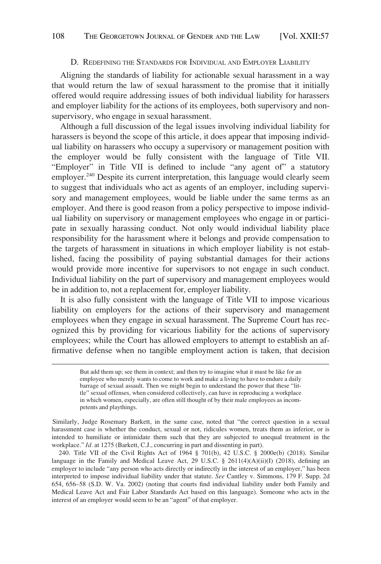#### D. REDEFINING THE STANDARDS FOR INDIVIDUAL AND EMPLOYER LIABILITY

<span id="page-51-0"></span>Aligning the standards of liability for actionable sexual harassment in a way that would return the law of sexual harassment to the promise that it initially offered would require addressing issues of both individual liability for harassers and employer liability for the actions of its employees, both supervisory and nonsupervisory, who engage in sexual harassment.

Although a full discussion of the legal issues involving individual liability for harassers is beyond the scope of this article, it does appear that imposing individual liability on harassers who occupy a supervisory or management position with the employer would be fully consistent with the language of Title VII. "Employer" in Title VII is defined to include "any agent of" a statutory employer.<sup>240</sup> Despite its current interpretation, this language would clearly seem to suggest that individuals who act as agents of an employer, including supervisory and management employees, would be liable under the same terms as an employer. And there is good reason from a policy perspective to impose individual liability on supervisory or management employees who engage in or participate in sexually harassing conduct. Not only would individual liability place responsibility for the harassment where it belongs and provide compensation to the targets of harassment in situations in which employer liability is not established, facing the possibility of paying substantial damages for their actions would provide more incentive for supervisors to not engage in such conduct. Individual liability on the part of supervisory and management employees would be in addition to, not a replacement for, employer liability.

It is also fully consistent with the language of Title VII to impose vicarious liability on employers for the actions of their supervisory and management employees when they engage in sexual harassment. The Supreme Court has recognized this by providing for vicarious liability for the actions of supervisory employees; while the Court has allowed employers to attempt to establish an affirmative defense when no tangible employment action is taken, that decision

Similarly, Judge Rosemary Barkett, in the same case, noted that "the correct question in a sexual harassment case is whether the conduct, sexual or not, ridicules women, treats them as inferior, or is intended to humiliate or intimidate them such that they are subjected to unequal treatment in the workplace." *Id.* at 1275 (Barkett, C.J., concurring in part and dissenting in part).

240. Title VII of the Civil Rights Act of 1964 § 701(b), 42 U.S.C. § 2000e(b) (2018). Similar language in the Family and Medical Leave Act, 29 U.S.C. §  $2611(4)(A)(ii)(I)$  (2018), defining an employer to include "any person who acts directly or indirectly in the interest of an employer," has been interpreted to impose individual liability under that statute. *See* Cantley v. Simmons, 179 F. Supp. 2d 654, 656–58 (S.D. W. Va. 2002) (noting that courts find individual liability under both Family and Medical Leave Act and Fair Labor Standards Act based on this language). Someone who acts in the interest of an employer would seem to be an "agent" of that employer.

But add them up; see them in context; and then try to imagine what it must be like for an employee who merely wants to come to work and make a living to have to endure a daily barrage of sexual assault. Then we might begin to understand the power that these "little" sexual offenses, when considered collectively, can have in reproducing a workplace in which women, especially, are often still thought of by their male employees as incompetents and playthings.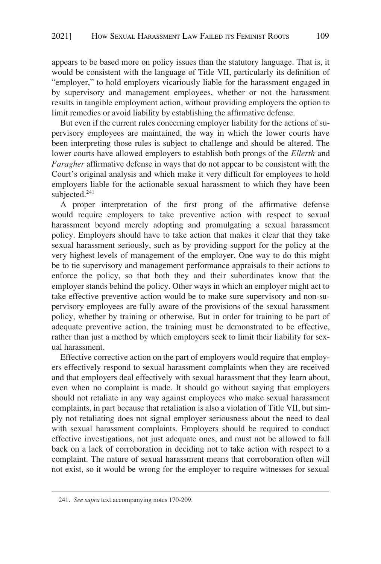appears to be based more on policy issues than the statutory language. That is, it would be consistent with the language of Title VII, particularly its definition of "employer," to hold employers vicariously liable for the harassment engaged in by supervisory and management employees, whether or not the harassment results in tangible employment action, without providing employers the option to limit remedies or avoid liability by establishing the affirmative defense.

But even if the current rules concerning employer liability for the actions of supervisory employees are maintained, the way in which the lower courts have been interpreting those rules is subject to challenge and should be altered. The lower courts have allowed employers to establish both prongs of the *Ellerth* and *Faragher* affirmative defense in ways that do not appear to be consistent with the Court's original analysis and which make it very difficult for employees to hold employers liable for the actionable sexual harassment to which they have been subjected.<sup>241</sup>

A proper interpretation of the first prong of the affirmative defense would require employers to take preventive action with respect to sexual harassment beyond merely adopting and promulgating a sexual harassment policy. Employers should have to take action that makes it clear that they take sexual harassment seriously, such as by providing support for the policy at the very highest levels of management of the employer. One way to do this might be to tie supervisory and management performance appraisals to their actions to enforce the policy, so that both they and their subordinates know that the employer stands behind the policy. Other ways in which an employer might act to take effective preventive action would be to make sure supervisory and non-supervisory employees are fully aware of the provisions of the sexual harassment policy, whether by training or otherwise. But in order for training to be part of adequate preventive action, the training must be demonstrated to be effective, rather than just a method by which employers seek to limit their liability for sexual harassment.

Effective corrective action on the part of employers would require that employers effectively respond to sexual harassment complaints when they are received and that employers deal effectively with sexual harassment that they learn about, even when no complaint is made. It should go without saying that employers should not retaliate in any way against employees who make sexual harassment complaints, in part because that retaliation is also a violation of Title VII, but simply not retaliating does not signal employer seriousness about the need to deal with sexual harassment complaints. Employers should be required to conduct effective investigations, not just adequate ones, and must not be allowed to fall back on a lack of corroboration in deciding not to take action with respect to a complaint. The nature of sexual harassment means that corroboration often will not exist, so it would be wrong for the employer to require witnesses for sexual

<sup>241.</sup> *See supra* text accompanying notes 170-209.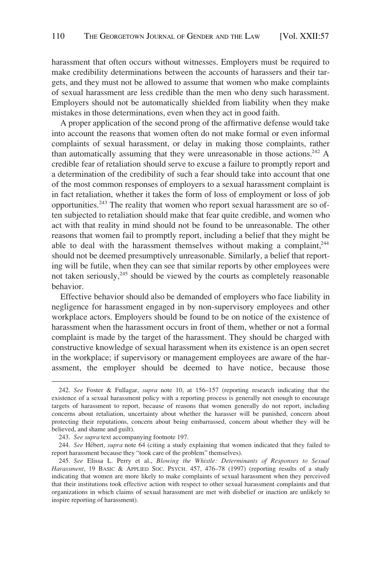harassment that often occurs without witnesses. Employers must be required to make credibility determinations between the accounts of harassers and their targets, and they must not be allowed to assume that women who make complaints of sexual harassment are less credible than the men who deny such harassment. Employers should not be automatically shielded from liability when they make mistakes in those determinations, even when they act in good faith.

A proper application of the second prong of the affirmative defense would take into account the reasons that women often do not make formal or even informal complaints of sexual harassment, or delay in making those complaints, rather than automatically assuming that they were unreasonable in those actions.<sup>242</sup> A credible fear of retaliation should serve to excuse a failure to promptly report and a determination of the credibility of such a fear should take into account that one of the most common responses of employers to a sexual harassment complaint is in fact retaliation, whether it takes the form of loss of employment or loss of job opportunities.243 The reality that women who report sexual harassment are so often subjected to retaliation should make that fear quite credible, and women who act with that reality in mind should not be found to be unreasonable. The other reasons that women fail to promptly report, including a belief that they might be able to deal with the harassment themselves without making a complaint,<sup>244</sup> should not be deemed presumptively unreasonable. Similarly, a belief that reporting will be futile, when they can see that similar reports by other employees were not taken seriously, $245$  should be viewed by the courts as completely reasonable behavior.

Effective behavior should also be demanded of employers who face liability in negligence for harassment engaged in by non-supervisory employees and other workplace actors. Employers should be found to be on notice of the existence of harassment when the harassment occurs in front of them, whether or not a formal complaint is made by the target of the harassment. They should be charged with constructive knowledge of sexual harassment when its existence is an open secret in the workplace; if supervisory or management employees are aware of the harassment, the employer should be deemed to have notice, because those

<sup>242.</sup> *See* Foster & Fullagar, *supra* note 10, at 156–157 (reporting research indicating that the existence of a sexual harassment policy with a reporting process is generally not enough to encourage targets of harassment to report, because of reasons that women generally do not report, including concerns about retaliation, uncertainty about whether the harasser will be punished, concern about protecting their reputations, concern about being embarrassed, concern about whether they will be believed, and shame and guilt).

<sup>243.</sup> *See supra* text accompanying footnote 197.

<sup>244.</sup> *See* Hébert, *supra* note 64 (citing a study explaining that women indicated that they failed to report harassment because they "took care of the problem" themselves).

<sup>245.</sup> *See* Elissa L. Perry et al., *Blowing the Whistle: Determinants of Responses to Sexual Harassment*, 19 BASIC & APPLIED SOC. PSYCH. 457, 476–78 (1997) (reporting results of a study indicating that women are more likely to make complaints of sexual harassment when they perceived that their institutions took effective action with respect to other sexual harassment complaints and that organizations in which claims of sexual harassment are met with disbelief or inaction are unlikely to inspire reporting of harassment).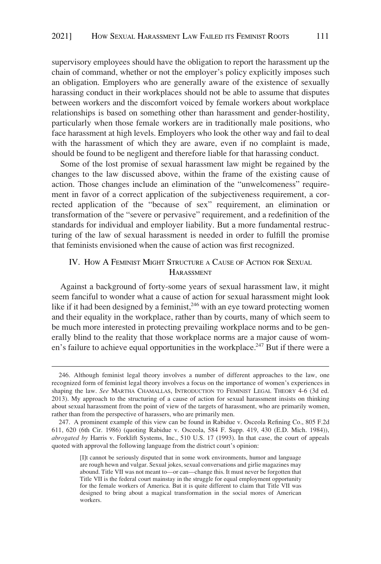<span id="page-54-0"></span>supervisory employees should have the obligation to report the harassment up the chain of command, whether or not the employer's policy explicitly imposes such an obligation. Employers who are generally aware of the existence of sexually harassing conduct in their workplaces should not be able to assume that disputes between workers and the discomfort voiced by female workers about workplace relationships is based on something other than harassment and gender-hostility, particularly when those female workers are in traditionally male positions, who face harassment at high levels. Employers who look the other way and fail to deal with the harassment of which they are aware, even if no complaint is made, should be found to be negligent and therefore liable for that harassing conduct.

Some of the lost promise of sexual harassment law might be regained by the changes to the law discussed above, within the frame of the existing cause of action. Those changes include an elimination of the "unwelcomeness" requirement in favor of a correct application of the subjectiveness requirement, a corrected application of the "because of sex" requirement, an elimination or transformation of the "severe or pervasive" requirement, and a redefinition of the standards for individual and employer liability. But a more fundamental restructuring of the law of sexual harassment is needed in order to fulfill the promise that feminists envisioned when the cause of action was first recognized.

# IV. HOW A FEMINIST MIGHT STRUCTURE A CAUSE OF ACTION FOR SEXUAL HARASSMENT

Against a background of forty-some years of sexual harassment law, it might seem fanciful to wonder what a cause of action for sexual harassment might look like if it had been designed by a feminist,  $246$  with an eye toward protecting women and their equality in the workplace, rather than by courts, many of which seem to be much more interested in protecting prevailing workplace norms and to be generally blind to the reality that those workplace norms are a major cause of women's failure to achieve equal opportunities in the workplace.<sup>247</sup> But if there were a

<sup>246.</sup> Although feminist legal theory involves a number of different approaches to the law, one recognized form of feminist legal theory involves a focus on the importance of women's experiences in shaping the law. *See* MARTHA CHAMALLAS, INTRODUCTION TO FEMINIST LEGAL THEORY 4-6 (3d ed. 2013). My approach to the structuring of a cause of action for sexual harassment insists on thinking about sexual harassment from the point of view of the targets of harassment, who are primarily women, rather than from the perspective of harassers, who are primarily men.

<sup>247.</sup> A prominent example of this view can be found in Rabidue v. Osceola Refining Co., 805 F.2d 611, 620 (6th Cir. 1986) (quoting Rabidue v. Osceola, 584 F. Supp. 419, 430 (E.D. Mich. 1984)), *abrogated by* Harris v. Forklift Systems, Inc., 510 U.S. 17 (1993). In that case, the court of appeals quoted with approval the following language from the district court's opinion:

<sup>[</sup>I]t cannot be seriously disputed that in some work environments, humor and language are rough hewn and vulgar. Sexual jokes, sexual conversations and girlie magazines may abound. Title VII was not meant to—or can—change this. It must never be forgotten that Title VII is the federal court mainstay in the struggle for equal employment opportunity for the female workers of America. But it is quite different to claim that Title VII was designed to bring about a magical transformation in the social mores of American workers.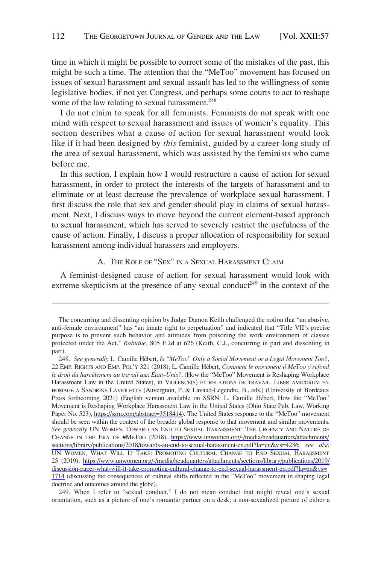<span id="page-55-0"></span>time in which it might be possible to correct some of the mistakes of the past, this might be such a time. The attention that the "MeToo" movement has focused on issues of sexual harassment and sexual assault has led to the willingness of some legislative bodies, if not yet Congress, and perhaps some courts to act to reshape some of the law relating to sexual harassment.<sup>248</sup>

I do not claim to speak for all feminists. Feminists do not speak with one mind with respect to sexual harassment and issues of women's equality. This section describes what a cause of action for sexual harassment would look like if it had been designed by *this* feminist, guided by a career-long study of the area of sexual harassment, which was assisted by the feminists who came before me.

In this section, I explain how I would restructure a cause of action for sexual harassment, in order to protect the interests of the targets of harassment and to eliminate or at least decrease the prevalence of workplace sexual harassment. I first discuss the role that sex and gender should play in claims of sexual harassment. Next, I discuss ways to move beyond the current element-based approach to sexual harassment, which has served to severely restrict the usefulness of the cause of action. Finally, I discuss a proper allocation of responsibility for sexual harassment among individual harassers and employers.

## A. THE ROLE OF "SEX" IN A SEXUAL HARASSMENT CLAIM

A feminist-designed cause of action for sexual harassment would look with extreme skepticism at the presence of any sexual conduct<sup>249</sup> in the context of the

249. When I refer to "sexual conduct," I do not mean conduct that might reveal one's sexual orientation, such as a picture of one's romantic partner on a desk; a non-sexualized picture of either a

The concurring and dissenting opinion by Judge Damon Keith challenged the notion that "an abusive, anti-female environment" has "an innate right to perpetuation" and indicated that "Title VII's precise purpose is to prevent such behavior and attitudes from poisoning the work environment of classes protected under the Act." *Rabidue*, 805 F.2d at 626 (Keith, C.J., concurring in part and dissenting in part).

<sup>248.</sup> See generally L. Camille Hébert, *Is "MeToo" Only a Social Movement or a Legal Movement Too?*, 22 EMP. RIGHTS AND EMP. POL'Y 321 (2018); L. Camille Hébert, *Comment le movement û MeToo y´ refond le droit du harcèlement au travail aux États-Unis?*, (How the "MeToo" Movement is Reshaping Workplace Harassment Law in the United States), in VIOLENCE(S) ET RELATIONS DE TRAVAIL, LIBER AMICORUM EN HOMAGE A` SANDRINE LAVIOLETTE (Auvergnon, P. & Lavaud-Legendre, B., eds.) (University of Bordeaux Press forthcoming 2021) (English version available on SSRN: L. Camille Hébert, How the "MeToo" Movement is Reshaping Workplace Harassment Law in the United States (Ohio State Pub. Law, Working Paper No. 523), [https://ssrn.com/abstract=3518414\)](https://ssrn.com/abstract=3518414). The United States response to the "MeToo" movement should be seen within the context of the broader global response to that movement and similar movements. *See generally* UN WOMEN, TOWARD AN END TO SEXUAL HARASSMENT: THE URGENCY AND NATURE OF CHANGE IN THE ERA OF #METOO (2018), [https://www.unwomen.org/-/media/headquarters/attachments/](https://www.unwomen.org/-/media/headquarters/attachments/sections/library/publications/2018/towards-an-end-to-sexual-harassment-en.pdf?la=en&vs=4236)  [sections/library/publications/2018/towards-an-end-to-sexual-harassment-en.pdf?la=en&vs=4236;](https://www.unwomen.org/-/media/headquarters/attachments/sections/library/publications/2018/towards-an-end-to-sexual-harassment-en.pdf?la=en&vs=4236) *see also*  UN WOMEN, WHAT WILL IT TAKE: PROMOTING CULTURAL CHANGE TO END SEXUAL HARASSMENT 25 (2019), [https://www.unwomen.org/-/media/headquarters/attachments/sections/library/publications/2019/](https://www.unwomen.org/-/media/headquarters/attachments/sections/library/publications/2019/discussion-paper-what-will-it-take-promoting-cultural-change-to-end-sexual-harassment-en.pdf?la=en&vs=1714)  [discussion-paper-what-will-it-take-promoting-cultural-change-to-end-sexual-harassment-en.pdf?la=en&vs=](https://www.unwomen.org/-/media/headquarters/attachments/sections/library/publications/2019/discussion-paper-what-will-it-take-promoting-cultural-change-to-end-sexual-harassment-en.pdf?la=en&vs=1714) [1714](https://www.unwomen.org/-/media/headquarters/attachments/sections/library/publications/2019/discussion-paper-what-will-it-take-promoting-cultural-change-to-end-sexual-harassment-en.pdf?la=en&vs=1714) (discussing the consequences of cultural shifts reflected in the "MeToo" movement in shaping legal doctrine and outcomes around the globe).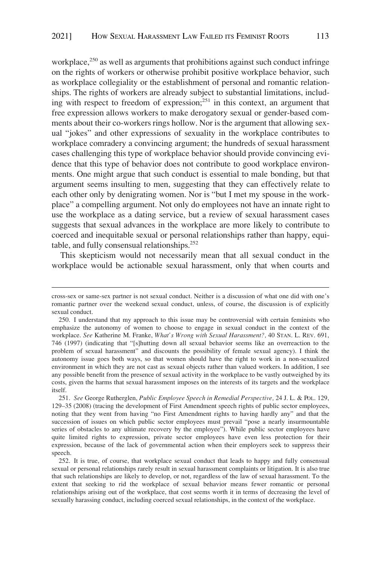workplace, $^{250}$  as well as arguments that prohibitions against such conduct infringe on the rights of workers or otherwise prohibit positive workplace behavior, such as workplace collegiality or the establishment of personal and romantic relationships. The rights of workers are already subject to substantial limitations, including with respect to freedom of expression; $^{251}$  in this context, an argument that free expression allows workers to make derogatory sexual or gender-based comments about their co-workers rings hollow. Nor is the argument that allowing sexual "jokes" and other expressions of sexuality in the workplace contributes to workplace comradery a convincing argument; the hundreds of sexual harassment cases challenging this type of workplace behavior should provide convincing evidence that this type of behavior does not contribute to good workplace environments. One might argue that such conduct is essential to male bonding, but that argument seems insulting to men, suggesting that they can effectively relate to each other only by denigrating women. Nor is "but I met my spouse in the workplace" a compelling argument. Not only do employees not have an innate right to use the workplace as a dating service, but a review of sexual harassment cases suggests that sexual advances in the workplace are more likely to contribute to coerced and inequitable sexual or personal relationships rather than happy, equitable, and fully consensual relationships.252

This skepticism would not necessarily mean that all sexual conduct in the workplace would be actionable sexual harassment, only that when courts and

cross-sex or same-sex partner is not sexual conduct. Neither is a discussion of what one did with one's romantic partner over the weekend sexual conduct, unless, of course, the discussion is of explicitly sexual conduct.

<sup>250.</sup> I understand that my approach to this issue may be controversial with certain feminists who emphasize the autonomy of women to choose to engage in sexual conduct in the context of the workplace. *See* Katherine M. Franke, *What's Wrong with Sexual Harassment?,* 40 STAN. L. REV. 691, 746 (1997) (indicating that "[s]hutting down all sexual behavior seems like an overreaction to the problem of sexual harassment" and discounts the possibility of female sexual agency). I think the autonomy issue goes both ways, so that women should have the right to work in a non-sexualized environment in which they are not cast as sexual objects rather than valued workers. In addition, I see any possible benefit from the presence of sexual activity in the workplace to be vastly outweighed by its costs, given the harms that sexual harassment imposes on the interests of its targets and the workplace itself.

<sup>251.</sup> *See* George Rutherglen, *Public Employee Speech in Remedial Perspective,* 24 J. L. & POL. 129, 129–35 (2008) (tracing the development of First Amendment speech rights of public sector employees, noting that they went from having "no First Amendment rights to having hardly any" and that the succession of issues on which public sector employees must prevail "pose a nearly insurmountable series of obstacles to any ultimate recovery by the employee"). While public sector employees have quite limited rights to expression, private sector employees have even less protection for their expression, because of the lack of governmental action when their employers seek to suppress their speech.

<sup>252.</sup> It is true, of course, that workplace sexual conduct that leads to happy and fully consensual sexual or personal relationships rarely result in sexual harassment complaints or litigation. It is also true that such relationships are likely to develop, or not, regardless of the law of sexual harassment. To the extent that seeking to rid the workplace of sexual behavior means fewer romantic or personal relationships arising out of the workplace, that cost seems worth it in terms of decreasing the level of sexually harassing conduct, including coerced sexual relationships, in the context of the workplace.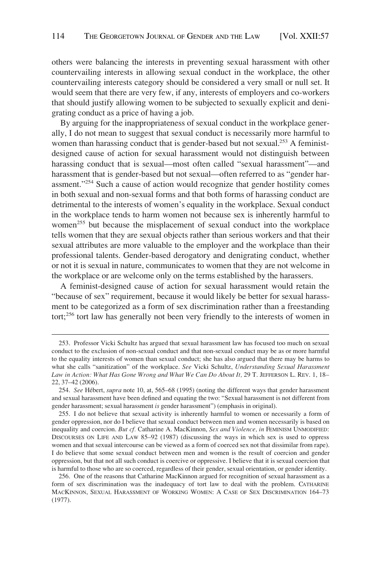others were balancing the interests in preventing sexual harassment with other countervailing interests in allowing sexual conduct in the workplace, the other countervailing interests category should be considered a very small or null set. It would seem that there are very few, if any, interests of employers and co-workers that should justify allowing women to be subjected to sexually explicit and denigrating conduct as a price of having a job.

By arguing for the inappropriateness of sexual conduct in the workplace generally, I do not mean to suggest that sexual conduct is necessarily more harmful to women than harassing conduct that is gender-based but not sexual.<sup>253</sup> A feministdesigned cause of action for sexual harassment would not distinguish between harassing conduct that is sexual—most often called "sexual harassment"—and harassment that is gender-based but not sexual—often referred to as "gender harassment."254 Such a cause of action would recognize that gender hostility comes in both sexual and non-sexual forms and that both forms of harassing conduct are detrimental to the interests of women's equality in the workplace. Sexual conduct in the workplace tends to harm women not because sex is inherently harmful to women<sup>255</sup> but because the misplacement of sexual conduct into the workplace tells women that they are sexual objects rather than serious workers and that their sexual attributes are more valuable to the employer and the workplace than their professional talents. Gender-based derogatory and denigrating conduct, whether or not it is sexual in nature, communicates to women that they are not welcome in the workplace or are welcome only on the terms established by the harassers.

A feminist-designed cause of action for sexual harassment would retain the "because of sex" requirement, because it would likely be better for sexual harassment to be categorized as a form of sex discrimination rather than a freestanding tort;256 tort law has generally not been very friendly to the interests of women in

<sup>253.</sup> Professor Vicki Schultz has argued that sexual harassment law has focused too much on sexual conduct to the exclusion of non-sexual conduct and that non-sexual conduct may be as or more harmful to the equality interests of women than sexual conduct; she has also argued that there may be harms to what she calls "sanitization" of the workplace. *See* Vicki Schultz, *Understanding Sexual Harassment*  Law in Action: What Has Gone Wrong and What We Can Do About It, 29 T. JEFFERSON L. REV. 1, 18-22, 37–42 (2006).

<sup>254.</sup> *See* He´bert, *supra* note 10, at, 565–68 (1995) (noting the different ways that gender harassment and sexual harassment have been defined and equating the two: "Sexual harassment is not different from gender harassment; sexual harassment *is* gender harassment") (emphasis in original).

<sup>255.</sup> I do not believe that sexual activity is inherently harmful to women or necessarily a form of gender oppression, nor do I believe that sexual conduct between men and women necessarily is based on inequality and coercion. *But cf.* Catharine A. MacKinnon, *Sex and Violence, in* FEMINISM UNMODIFIED: DISCOURSES ON LIFE AND LAW 85–92 (1987) (discussing the ways in which sex is used to oppress women and that sexual intercourse can be viewed as a form of coerced sex not that dissimilar from rape). I do believe that some sexual conduct between men and women is the result of coercion and gender oppression, but that not all such conduct is coercive or oppressive. I believe that it is sexual coercion that is harmful to those who are so coerced, regardless of their gender, sexual orientation, or gender identity.

<sup>256.</sup> One of the reasons that Catharine MacKinnon argued for recognition of sexual harassment as a form of sex discrimination was the inadequacy of tort law to deal with the problem. CATHARINE MACKINNON, SEXUAL HARASSMENT OF WORKING WOMEN: A CASE OF SEX DISCRIMINATION 164–73 (1977).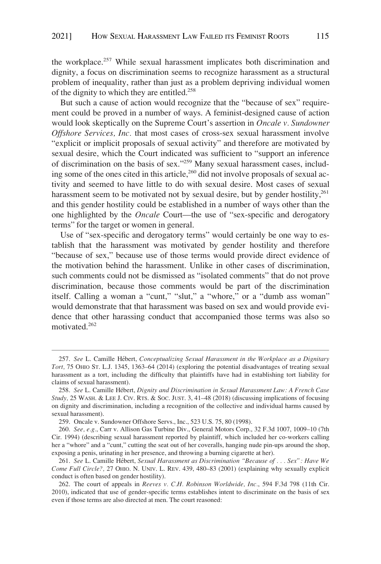the workplace.257 While sexual harassment implicates both discrimination and dignity, a focus on discrimination seems to recognize harassment as a structural problem of inequality, rather than just as a problem depriving individual women of the dignity to which they are entitled.<sup>258</sup>

But such a cause of action would recognize that the "because of sex" requirement could be proved in a number of ways. A feminist-designed cause of action would look skeptically on the Supreme Court's assertion in *Oncale v. Sundowner Offshore Services, Inc.* that most cases of cross-sex sexual harassment involve "explicit or implicit proposals of sexual activity" and therefore are motivated by sexual desire, which the Court indicated was sufficient to "support an inference of discrimination on the basis of sex."259 Many sexual harassment cases, including some of the ones cited in this article,<sup>260</sup> did not involve proposals of sexual activity and seemed to have little to do with sexual desire. Most cases of sexual harassment seem to be motivated not by sexual desire, but by gender hostility, $^{261}$ and this gender hostility could be established in a number of ways other than the one highlighted by the *Oncale* Court—the use of "sex-specific and derogatory terms" for the target or women in general.

Use of "sex-specific and derogatory terms" would certainly be one way to establish that the harassment was motivated by gender hostility and therefore "because of sex," because use of those terms would provide direct evidence of the motivation behind the harassment. Unlike in other cases of discrimination, such comments could not be dismissed as "isolated comments" that do not prove discrimination, because those comments would be part of the discrimination itself. Calling a woman a "cunt," "slut," a "whore," or a "dumb ass woman" would demonstrate that that harassment was based on sex and would provide evidence that other harassing conduct that accompanied those terms was also so motivated.262

<sup>257.</sup> See L. Camille Hébert, *Conceptualizing Sexual Harassment in the Workplace as a Dignitary Tort,* 75 OHIO ST. L.J. 1345, 1363–64 (2014) (exploring the potential disadvantages of treating sexual harassment as a tort, including the difficulty that plaintiffs have had in establishing tort liability for claims of sexual harassment).

<sup>258.</sup> See L. Camille Hébert, *Dignity and Discrimination in Sexual Harassment Law: A French Case Study,* 25 WASH. & LEE J. CIV. RTS. & SOC. JUST. 3, 41–48 (2018) (discussing implications of focusing on dignity and discrimination, including a recognition of the collective and individual harms caused by sexual harassment).

<sup>259.</sup> Oncale v. Sundowner Offshore Servs., Inc., 523 U.S. 75, 80 (1998).

<sup>260.</sup> *See, e.g.*, Carr v. Allison Gas Turbine Div., General Motors Corp., 32 F.3d 1007, 1009–10 (7th Cir. 1994) (describing sexual harassment reported by plaintiff, which included her co-workers calling her a "whore" and a "cunt," cutting the seat out of her coveralls, hanging nude pin-ups around the shop, exposing a penis, urinating in her presence, and throwing a burning cigarette at her).

<sup>261.</sup> See L. Camille Hébert, *Sexual Harassment as Discrimination "Because of . . . Sex": Have We Come Full Circle?,* 27 OHIO. N. UNIV. L. REV. 439, 480–83 (2001) (explaining why sexually explicit conduct is often based on gender hostility).

<sup>262.</sup> The court of appeals in *Reeves v. C.H. Robinson Worldwide, Inc.*, 594 F.3d 798 (11th Cir. 2010), indicated that use of gender-specific terms establishes intent to discriminate on the basis of sex even if those terms are also directed at men. The court reasoned: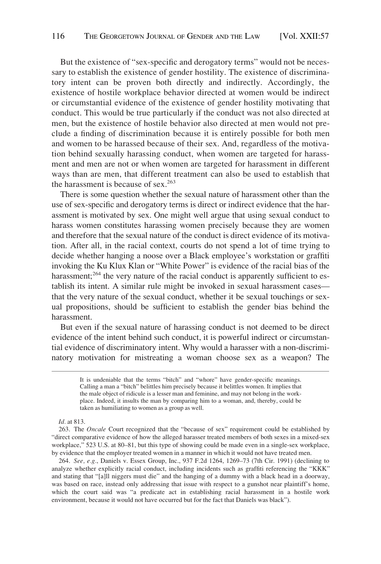But the existence of "sex-specific and derogatory terms" would not be necessary to establish the existence of gender hostility. The existence of discriminatory intent can be proven both directly and indirectly. Accordingly, the existence of hostile workplace behavior directed at women would be indirect or circumstantial evidence of the existence of gender hostility motivating that conduct. This would be true particularly if the conduct was not also directed at men, but the existence of hostile behavior also directed at men would not preclude a finding of discrimination because it is entirely possible for both men and women to be harassed because of their sex. And, regardless of the motivation behind sexually harassing conduct, when women are targeted for harassment and men are not or when women are targeted for harassment in different ways than are men, that different treatment can also be used to establish that the harassment is because of sex.<sup>263</sup>

There is some question whether the sexual nature of harassment other than the use of sex-specific and derogatory terms is direct or indirect evidence that the harassment is motivated by sex. One might well argue that using sexual conduct to harass women constitutes harassing women precisely because they are women and therefore that the sexual nature of the conduct is direct evidence of its motivation. After all, in the racial context, courts do not spend a lot of time trying to decide whether hanging a noose over a Black employee's workstation or graffiti invoking the Ku Klux Klan or "White Power" is evidence of the racial bias of the harassment; $^{264}$  the very nature of the racial conduct is apparently sufficient to establish its intent. A similar rule might be invoked in sexual harassment cases that the very nature of the sexual conduct, whether it be sexual touchings or sexual propositions, should be sufficient to establish the gender bias behind the harassment.

But even if the sexual nature of harassing conduct is not deemed to be direct evidence of the intent behind such conduct, it is powerful indirect or circumstantial evidence of discriminatory intent. Why would a harasser with a non-discriminatory motivation for mistreating a woman choose sex as a weapon? The

*Id.* at 813.

263. The *Oncale* Court recognized that the "because of sex" requirement could be established by "direct comparative evidence of how the alleged harasser treated members of both sexes in a mixed-sex workplace," 523 U.S. at 80–81, but this type of showing could be made even in a single-sex workplace, by evidence that the employer treated women in a manner in which it would not have treated men.

264. *See, e.g.*, Daniels v. Essex Group, Inc., 937 F.2d 1264, 1269–73 (7th Cir. 1991) (declining to analyze whether explicitly racial conduct, including incidents such as graffiti referencing the "KKK" and stating that "[a]ll niggers must die" and the hanging of a dummy with a black head in a doorway, was based on race, instead only addressing that issue with respect to a gunshot near plaintiff's home, which the court said was "a predicate act in establishing racial harassment in a hostile work environment, because it would not have occurred but for the fact that Daniels was black").

It is undeniable that the terms "bitch" and "whore" have gender-specific meanings. Calling a man a "bitch" belittles him precisely because it belittles women. It implies that the male object of ridicule is a lesser man and feminine, and may not belong in the workplace. Indeed, it insults the man by comparing him to a woman, and, thereby, could be taken as humiliating to women as a group as well.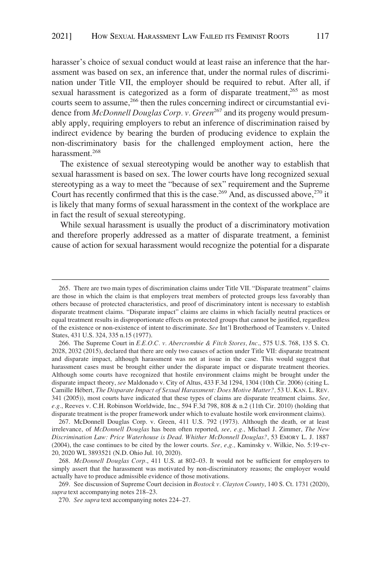harasser's choice of sexual conduct would at least raise an inference that the harassment was based on sex, an inference that, under the normal rules of discrimination under Title VII, the employer should be required to rebut. After all, if sexual harassment is categorized as a form of disparate treatment,<sup>265</sup> as most courts seem to assume,<sup>266</sup> then the rules concerning indirect or circumstantial evidence from *McDonnell Douglas Corp. v. Green*<sup>267</sup> and its progeny would presumably apply, requiring employers to rebut an inference of discrimination raised by indirect evidence by bearing the burden of producing evidence to explain the non-discriminatory basis for the challenged employment action, here the harassment.<sup>268</sup>

The existence of sexual stereotyping would be another way to establish that sexual harassment is based on sex. The lower courts have long recognized sexual stereotyping as a way to meet the "because of sex" requirement and the Supreme Court has recently confirmed that this is the case.<sup>269</sup> And, as discussed above,<sup>270</sup> it is likely that many forms of sexual harassment in the context of the workplace are in fact the result of sexual stereotyping.

While sexual harassment is usually the product of a discriminatory motivation and therefore properly addressed as a matter of disparate treatment, a feminist cause of action for sexual harassment would recognize the potential for a disparate

267. McDonnell Douglas Corp. v. Green, 411 U.S. 792 (1973). Although the death, or at least irrelevance, of *McDonnell Douglas* has been often reported, *see, e.g.,* Michael J. Zimmer, *The New Discrimination Law: Price Waterhouse is Dead. Whither McDonnell Douglas?*, 53 EMORY L. J. 1887 (2004), the case continues to be cited by the lower courts. *See, e,g.,* Kaminsky v. Wilkie, No. 5:19-cv-20, 2020 WL 3893521 (N.D. Ohio Jul. 10, 2020).

269. See discussion of Supreme Court decision in *Bostock v. Clayton County*, 140 S. Ct. 1731 (2020), *supra* text accompanying notes 218–23.

<sup>265.</sup> There are two main types of discrimination claims under Title VII. "Disparate treatment" claims are those in which the claim is that employers treat members of protected groups less favorably than others because of protected characteristics, and proof of discriminatory intent is necessary to establish disparate treatment claims. "Disparate impact" claims are claims in which facially neutral practices or equal treatment results in disproportionate effects on protected groups that cannot be justified, regardless of the existence or non-existence of intent to discriminate. *See* Int'l Brotherhood of Teamsters v. United States, 431 U.S. 324, 335 n.15 (1977).

<sup>266.</sup> The Supreme Court in *E.E.O.C. v. Abercrombie & Fitch Stores, Inc*., 575 U.S. 768, 135 S. Ct. 2028, 2032 (2015), declared that there are only two causes of action under Title VII: disparate treatment and disparate impact, although harassment was not at issue in the case. This would suggest that harassment cases must be brought either under the disparate impact or disparate treatment theories. Although some courts have recognized that hostile environment claims might be brought under the disparate impact theory, *see* Maldonado v. City of Altus, 433 F.3d 1294, 1304 (10th Cir. 2006) (citing L. Camille Hébert, *The Disparate Impact of Sexual Harassment: Does Motive Matter?, 53 U. KAN. L. REV.* 341 (2005)), most courts have indicated that these types of claims are disparate treatment claims. *See, e.g.*, Reeves v. C.H. Robinson Worldwide, Inc., 594 F.3d 798, 808 & n.2 (11th Cir. 2010) (holding that disparate treatment is the proper framework under which to evaluate hostile work environment claims).

<sup>268.</sup> *McDonnell Douglas Corp.*, 411 U.S. at 802–03. It would not be sufficient for employers to simply assert that the harassment was motivated by non-discriminatory reasons; the employer would actually have to produce admissible evidence of those motivations.

<sup>270.</sup> *See supra* text accompanying notes 224–27.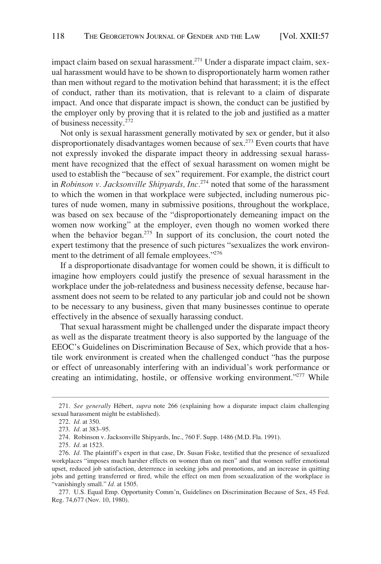impact claim based on sexual harassment.<sup>271</sup> Under a disparate impact claim, sexual harassment would have to be shown to disproportionately harm women rather than men without regard to the motivation behind that harassment; it is the effect of conduct, rather than its motivation, that is relevant to a claim of disparate impact. And once that disparate impact is shown, the conduct can be justified by the employer only by proving that it is related to the job and justified as a matter of business necessity.<sup>272</sup>

Not only is sexual harassment generally motivated by sex or gender, but it also disproportionately disadvantages women because of sex.<sup>273</sup> Even courts that have not expressly invoked the disparate impact theory in addressing sexual harassment have recognized that the effect of sexual harassment on women might be used to establish the "because of sex" requirement. For example, the district court in *Robinson v. Jacksonville Shipyards, Inc.*274 noted that some of the harassment to which the women in that workplace were subjected, including numerous pictures of nude women, many in submissive positions, throughout the workplace, was based on sex because of the "disproportionately demeaning impact on the women now working" at the employer, even though no women worked there when the behavior began.<sup>275</sup> In support of its conclusion, the court noted the expert testimony that the presence of such pictures "sexualizes the work environment to the detriment of all female employees."<sup>276</sup>

If a disproportionate disadvantage for women could be shown, it is difficult to imagine how employers could justify the presence of sexual harassment in the workplace under the job-relatedness and business necessity defense, because harassment does not seem to be related to any particular job and could not be shown to be necessary to any business, given that many businesses continue to operate effectively in the absence of sexually harassing conduct.

That sexual harassment might be challenged under the disparate impact theory as well as the disparate treatment theory is also supported by the language of the EEOC's Guidelines on Discrimination Because of Sex, which provide that a hostile work environment is created when the challenged conduct "has the purpose or effect of unreasonably interfering with an individual's work performance or creating an intimidating, hostile, or offensive working environment."<sup>277</sup> While

<sup>271.</sup> *See generally Hébert, supra note 266* (explaining how a disparate impact claim challenging sexual harassment might be established).

<sup>272.</sup> *Id.* at 350.

<sup>273.</sup> *Id.* at 383–95.

<sup>274.</sup> Robinson v. Jacksonville Shipyards, Inc., 760 F. Supp. 1486 (M.D. Fla. 1991).

<sup>275.</sup> *Id.* at 1523.

<sup>276.</sup> *Id.* The plaintiff's expert in that case, Dr. Susan Fiske, testified that the presence of sexualized workplaces "imposes much harsher effects on women than on men" and that women suffer emotional upset, reduced job satisfaction, deterrence in seeking jobs and promotions, and an increase in quitting jobs and getting transferred or fired, while the effect on men from sexualization of the workplace is "vanishingly small." *Id.* at 1505.

<sup>277.</sup> U.S. Equal Emp. Opportunity Comm'n, Guidelines on Discrimination Because of Sex, 45 Fed. Reg. 74,677 (Nov. 10, 1980).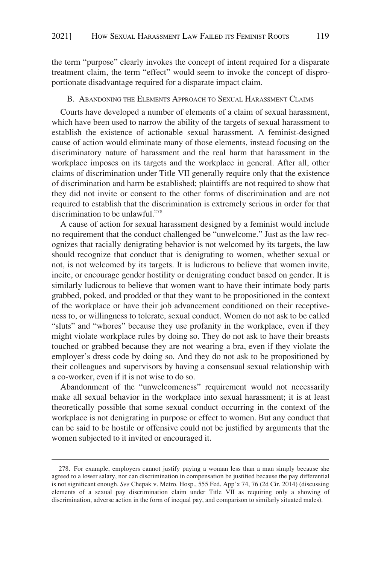<span id="page-62-0"></span>the term "purpose" clearly invokes the concept of intent required for a disparate treatment claim, the term "effect" would seem to invoke the concept of disproportionate disadvantage required for a disparate impact claim.

#### B. ABANDONING THE ELEMENTS APPROACH TO SEXUAL HARASSMENT CLAIMS

Courts have developed a number of elements of a claim of sexual harassment, which have been used to narrow the ability of the targets of sexual harassment to establish the existence of actionable sexual harassment. A feminist-designed cause of action would eliminate many of those elements, instead focusing on the discriminatory nature of harassment and the real harm that harassment in the workplace imposes on its targets and the workplace in general. After all, other claims of discrimination under Title VII generally require only that the existence of discrimination and harm be established; plaintiffs are not required to show that they did not invite or consent to the other forms of discrimination and are not required to establish that the discrimination is extremely serious in order for that discrimination to be unlawful. $278$ 

A cause of action for sexual harassment designed by a feminist would include no requirement that the conduct challenged be "unwelcome." Just as the law recognizes that racially denigrating behavior is not welcomed by its targets, the law should recognize that conduct that is denigrating to women, whether sexual or not, is not welcomed by its targets. It is ludicrous to believe that women invite, incite, or encourage gender hostility or denigrating conduct based on gender. It is similarly ludicrous to believe that women want to have their intimate body parts grabbed, poked, and prodded or that they want to be propositioned in the context of the workplace or have their job advancement conditioned on their receptiveness to, or willingness to tolerate, sexual conduct. Women do not ask to be called "sluts" and "whores" because they use profanity in the workplace, even if they might violate workplace rules by doing so. They do not ask to have their breasts touched or grabbed because they are not wearing a bra, even if they violate the employer's dress code by doing so. And they do not ask to be propositioned by their colleagues and supervisors by having a consensual sexual relationship with a co-worker, even if it is not wise to do so.

Abandonment of the "unwelcomeness" requirement would not necessarily make all sexual behavior in the workplace into sexual harassment; it is at least theoretically possible that some sexual conduct occurring in the context of the workplace is not denigrating in purpose or effect to women. But any conduct that can be said to be hostile or offensive could not be justified by arguments that the women subjected to it invited or encouraged it.

<sup>278.</sup> For example, employers cannot justify paying a woman less than a man simply because she agreed to a lower salary, nor can discrimination in compensation be justified because the pay differential is not significant enough. *See* Chepak v. Metro. Hosp., 555 Fed. App'x 74, 76 (2d Cir. 2014) (discussing elements of a sexual pay discrimination claim under Title VII as requiring only a showing of discrimination, adverse action in the form of inequal pay, and comparison to similarly situated males).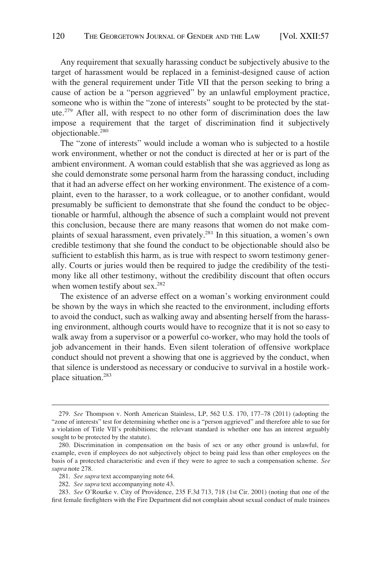Any requirement that sexually harassing conduct be subjectively abusive to the target of harassment would be replaced in a feminist-designed cause of action with the general requirement under Title VII that the person seeking to bring a cause of action be a "person aggrieved" by an unlawful employment practice, someone who is within the "zone of interests" sought to be protected by the statute.279 After all, with respect to no other form of discrimination does the law impose a requirement that the target of discrimination find it subjectively objectionable.280

The "zone of interests" would include a woman who is subjected to a hostile work environment, whether or not the conduct is directed at her or is part of the ambient environment. A woman could establish that she was aggrieved as long as she could demonstrate some personal harm from the harassing conduct, including that it had an adverse effect on her working environment. The existence of a complaint, even to the harasser, to a work colleague, or to another confidant, would presumably be sufficient to demonstrate that she found the conduct to be objectionable or harmful, although the absence of such a complaint would not prevent this conclusion, because there are many reasons that women do not make complaints of sexual harassment, even privately.281 In this situation, a women's own credible testimony that she found the conduct to be objectionable should also be sufficient to establish this harm, as is true with respect to sworn testimony generally. Courts or juries would then be required to judge the credibility of the testimony like all other testimony, without the credibility discount that often occurs when women testify about sex.<sup>282</sup>

The existence of an adverse effect on a woman's working environment could be shown by the ways in which she reacted to the environment, including efforts to avoid the conduct, such as walking away and absenting herself from the harassing environment, although courts would have to recognize that it is not so easy to walk away from a supervisor or a powerful co-worker, who may hold the tools of job advancement in their hands. Even silent toleration of offensive workplace conduct should not prevent a showing that one is aggrieved by the conduct, when that silence is understood as necessary or conducive to survival in a hostile workplace situation.283

<sup>279.</sup> *See* Thompson v. North American Stainless, LP, 562 U.S. 170, 177–78 (2011) (adopting the "zone of interests" test for determining whether one is a "person aggrieved" and therefore able to sue for a violation of Title VII's prohibitions; the relevant standard is whether one has an interest arguably sought to be protected by the statute).

<sup>280.</sup> Discrimination in compensation on the basis of sex or any other ground is unlawful, for example, even if employees do not subjectively object to being paid less than other employees on the basis of a protected characteristic and even if they were to agree to such a compensation scheme. *See supra* note 278.

<sup>281.</sup> *See supra* text accompanying note 64.

<sup>282.</sup> *See supra* text accompanying note 43.

<sup>283.</sup> *See* O'Rourke v. City of Providence, 235 F.3d 713, 718 (1st Cir. 2001) (noting that one of the first female firefighters with the Fire Department did not complain about sexual conduct of male trainees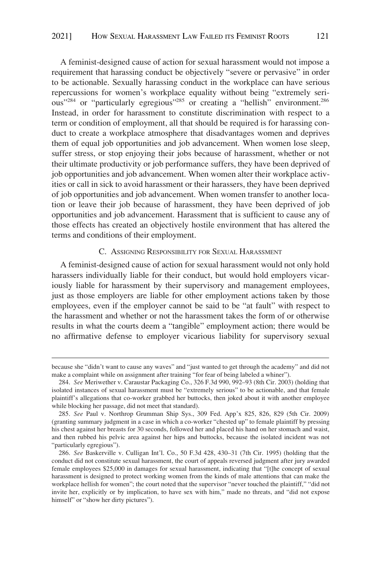<span id="page-64-0"></span>A feminist-designed cause of action for sexual harassment would not impose a requirement that harassing conduct be objectively "severe or pervasive" in order to be actionable. Sexually harassing conduct in the workplace can have serious repercussions for women's workplace equality without being "extremely serious<sup>"284</sup> or "particularly egregious"<sup>285</sup> or creating a "hellish" environment.<sup>286</sup> Instead, in order for harassment to constitute discrimination with respect to a term or condition of employment, all that should be required is for harassing conduct to create a workplace atmosphere that disadvantages women and deprives them of equal job opportunities and job advancement. When women lose sleep, suffer stress, or stop enjoying their jobs because of harassment, whether or not their ultimate productivity or job performance suffers, they have been deprived of job opportunities and job advancement. When women alter their workplace activities or call in sick to avoid harassment or their harassers, they have been deprived of job opportunities and job advancement. When women transfer to another location or leave their job because of harassment, they have been deprived of job opportunities and job advancement. Harassment that is sufficient to cause any of those effects has created an objectively hostile environment that has altered the terms and conditions of their employment.

## C. ASSIGNING RESPONSIBILITY FOR SEXUAL HARASSMENT

A feminist-designed cause of action for sexual harassment would not only hold harassers individually liable for their conduct, but would hold employers vicariously liable for harassment by their supervisory and management employees, just as those employers are liable for other employment actions taken by those employees, even if the employer cannot be said to be "at fault" with respect to the harassment and whether or not the harassment takes the form of or otherwise results in what the courts deem a "tangible" employment action; there would be no affirmative defense to employer vicarious liability for supervisory sexual

because she "didn't want to cause any waves" and "just wanted to get through the academy" and did not make a complaint while on assignment after training "for fear of being labeled a whiner").

<sup>284.</sup> *See* Meriwether v. Caraustar Packaging Co., 326 F.3d 990, 992–93 (8th Cir. 2003) (holding that isolated instances of sexual harassment must be "extremely serious" to be actionable, and that female plaintiff's allegations that co-worker grabbed her buttocks, then joked about it with another employee while blocking her passage, did not meet that standard).

<sup>285.</sup> *See* Paul v. Northrop Grumman Ship Sys., 309 Fed. App'x 825, 826, 829 (5th Cir. 2009) (granting summary judgment in a case in which a co-worker "chested up" to female plaintiff by pressing his chest against her breasts for 30 seconds, followed her and placed his hand on her stomach and waist, and then rubbed his pelvic area against her hips and buttocks, because the isolated incident was not "particularly egregious").

<sup>286.</sup> *See* Baskerville v. Culligan Int'l. Co., 50 F.3d 428, 430–31 (7th Cir. 1995) (holding that the conduct did not constitute sexual harassment, the court of appeals reversed judgment after jury awarded female employees \$25,000 in damages for sexual harassment, indicating that "[t]he concept of sexual harassment is designed to protect working women from the kinds of male attentions that can make the workplace hellish for women"; the court noted that the supervisor "never touched the plaintiff," "did not invite her, explicitly or by implication, to have sex with him," made no threats, and "did not expose himself" or "show her dirty pictures").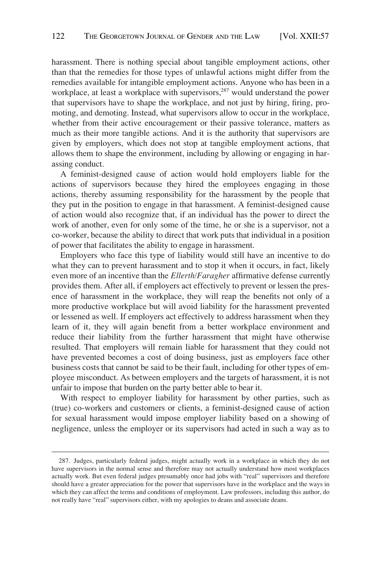harassment. There is nothing special about tangible employment actions, other than that the remedies for those types of unlawful actions might differ from the remedies available for intangible employment actions. Anyone who has been in a workplace, at least a workplace with supervisors,<sup>287</sup> would understand the power that supervisors have to shape the workplace, and not just by hiring, firing, promoting, and demoting. Instead, what supervisors allow to occur in the workplace, whether from their active encouragement or their passive tolerance, matters as much as their more tangible actions. And it is the authority that supervisors are given by employers, which does not stop at tangible employment actions, that allows them to shape the environment, including by allowing or engaging in harassing conduct.

A feminist-designed cause of action would hold employers liable for the actions of supervisors because they hired the employees engaging in those actions, thereby assuming responsibility for the harassment by the people that they put in the position to engage in that harassment. A feminist-designed cause of action would also recognize that, if an individual has the power to direct the work of another, even for only some of the time, he or she is a supervisor, not a co-worker, because the ability to direct that work puts that individual in a position of power that facilitates the ability to engage in harassment.

Employers who face this type of liability would still have an incentive to do what they can to prevent harassment and to stop it when it occurs, in fact, likely even more of an incentive than the *Ellerth/Faragher* affirmative defense currently provides them. After all, if employers act effectively to prevent or lessen the presence of harassment in the workplace, they will reap the benefits not only of a more productive workplace but will avoid liability for the harassment prevented or lessened as well. If employers act effectively to address harassment when they learn of it, they will again benefit from a better workplace environment and reduce their liability from the further harassment that might have otherwise resulted. That employers will remain liable for harassment that they could not have prevented becomes a cost of doing business, just as employers face other business costs that cannot be said to be their fault, including for other types of employee misconduct. As between employers and the targets of harassment, it is not unfair to impose that burden on the party better able to bear it.

With respect to employer liability for harassment by other parties, such as (true) co-workers and customers or clients, a feminist-designed cause of action for sexual harassment would impose employer liability based on a showing of negligence, unless the employer or its supervisors had acted in such a way as to

<sup>287.</sup> Judges, particularly federal judges, might actually work in a workplace in which they do not have supervisors in the normal sense and therefore may not actually understand how most workplaces actually work. But even federal judges presumably once had jobs with "real" supervisors and therefore should have a greater appreciation for the power that supervisors have in the workplace and the ways in which they can affect the terms and conditions of employment. Law professors, including this author, do not really have "real" supervisors either, with my apologies to deans and associate deans.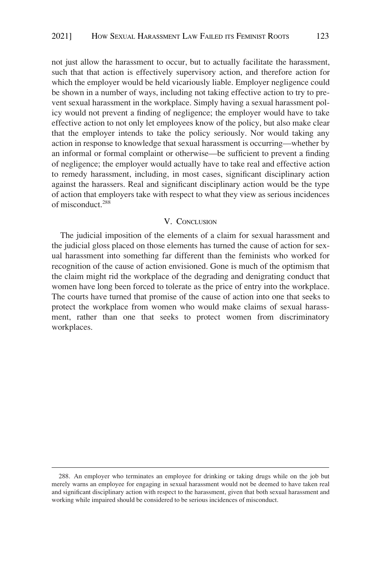<span id="page-66-0"></span>not just allow the harassment to occur, but to actually facilitate the harassment, such that that action is effectively supervisory action, and therefore action for which the employer would be held vicariously liable. Employer negligence could be shown in a number of ways, including not taking effective action to try to prevent sexual harassment in the workplace. Simply having a sexual harassment policy would not prevent a finding of negligence; the employer would have to take effective action to not only let employees know of the policy, but also make clear that the employer intends to take the policy seriously. Nor would taking any action in response to knowledge that sexual harassment is occurring—whether by an informal or formal complaint or otherwise—be sufficient to prevent a finding of negligence; the employer would actually have to take real and effective action to remedy harassment, including, in most cases, significant disciplinary action against the harassers. Real and significant disciplinary action would be the type of action that employers take with respect to what they view as serious incidences of misconduct.288

## V. CONCLUSION

The judicial imposition of the elements of a claim for sexual harassment and the judicial gloss placed on those elements has turned the cause of action for sexual harassment into something far different than the feminists who worked for recognition of the cause of action envisioned. Gone is much of the optimism that the claim might rid the workplace of the degrading and denigrating conduct that women have long been forced to tolerate as the price of entry into the workplace. The courts have turned that promise of the cause of action into one that seeks to protect the workplace from women who would make claims of sexual harassment, rather than one that seeks to protect women from discriminatory workplaces.

<sup>288.</sup> An employer who terminates an employee for drinking or taking drugs while on the job but merely warns an employee for engaging in sexual harassment would not be deemed to have taken real and significant disciplinary action with respect to the harassment, given that both sexual harassment and working while impaired should be considered to be serious incidences of misconduct.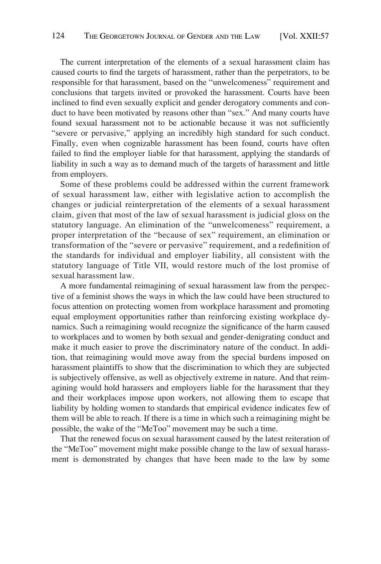The current interpretation of the elements of a sexual harassment claim has caused courts to find the targets of harassment, rather than the perpetrators, to be responsible for that harassment, based on the "unwelcomeness" requirement and conclusions that targets invited or provoked the harassment. Courts have been inclined to find even sexually explicit and gender derogatory comments and conduct to have been motivated by reasons other than "sex." And many courts have found sexual harassment not to be actionable because it was not sufficiently "severe or pervasive," applying an incredibly high standard for such conduct. Finally, even when cognizable harassment has been found, courts have often failed to find the employer liable for that harassment, applying the standards of liability in such a way as to demand much of the targets of harassment and little from employers.

Some of these problems could be addressed within the current framework of sexual harassment law, either with legislative action to accomplish the changes or judicial reinterpretation of the elements of a sexual harassment claim, given that most of the law of sexual harassment is judicial gloss on the statutory language. An elimination of the "unwelcomeness" requirement, a proper interpretation of the "because of sex" requirement, an elimination or transformation of the "severe or pervasive" requirement, and a redefinition of the standards for individual and employer liability, all consistent with the statutory language of Title VII, would restore much of the lost promise of sexual harassment law.

A more fundamental reimagining of sexual harassment law from the perspective of a feminist shows the ways in which the law could have been structured to focus attention on protecting women from workplace harassment and promoting equal employment opportunities rather than reinforcing existing workplace dynamics. Such a reimagining would recognize the significance of the harm caused to workplaces and to women by both sexual and gender-denigrating conduct and make it much easier to prove the discriminatory nature of the conduct. In addition, that reimagining would move away from the special burdens imposed on harassment plaintiffs to show that the discrimination to which they are subjected is subjectively offensive, as well as objectively extreme in nature. And that reimagining would hold harassers and employers liable for the harassment that they and their workplaces impose upon workers, not allowing them to escape that liability by holding women to standards that empirical evidence indicates few of them will be able to reach. If there is a time in which such a reimagining might be possible, the wake of the "MeToo" movement may be such a time.

That the renewed focus on sexual harassment caused by the latest reiteration of the "MeToo" movement might make possible change to the law of sexual harassment is demonstrated by changes that have been made to the law by some